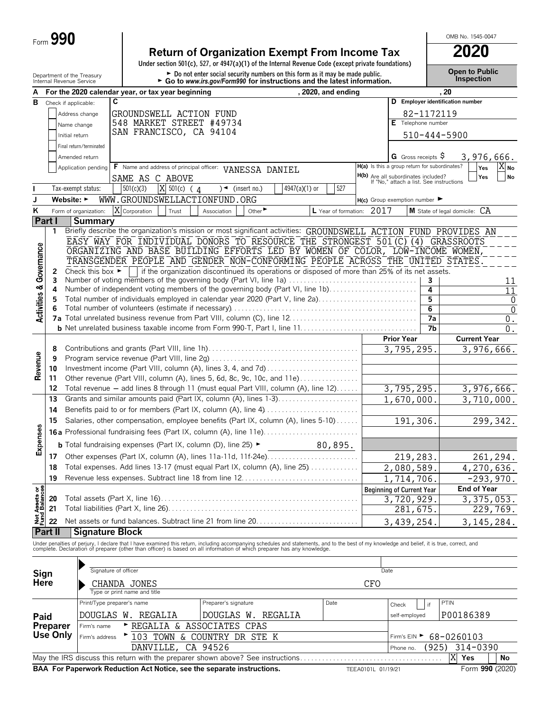## **Return of Organization Exempt From Income Tax 2020**

**Under section 501(c), 527, or 4947(a)(1) of the Internal Revenue Code (except private foundations)**

Department of the Treasury **Depen to Public**<br>Internal Revenue Service **Configuration Figure Configure Configure Configure Configure Configurers Figure Configurer**<br>Internal Revenue Service **Configurers Configure Configurer** 

OMB No. 1545-0047

| A                                      |                                |                                                                                   |                                              |                                                                                                                                                                                                                                   | $\sim$ GO to www.irs.gov/Formally for instructions and the fatest information. |                       |               | , 2020, and ending   |                                                                                 |                                  |                | . 20                          |                                        |
|----------------------------------------|--------------------------------|-----------------------------------------------------------------------------------|----------------------------------------------|-----------------------------------------------------------------------------------------------------------------------------------------------------------------------------------------------------------------------------------|--------------------------------------------------------------------------------|-----------------------|---------------|----------------------|---------------------------------------------------------------------------------|----------------------------------|----------------|-------------------------------|----------------------------------------|
|                                        |                                |                                                                                   | C                                            | For the 2020 calendar year, or tax year beginning                                                                                                                                                                                 |                                                                                |                       |               |                      |                                                                                 | D Employer identification number |                |                               |                                        |
| в                                      | Check if applicable:           |                                                                                   |                                              |                                                                                                                                                                                                                                   |                                                                                |                       |               |                      |                                                                                 |                                  |                |                               |                                        |
|                                        |                                | Address change                                                                    |                                              | GROUNDSWELL ACTION FUND<br>548 MARKET STREET #49734                                                                                                                                                                               |                                                                                |                       |               |                      |                                                                                 | 82-1172119<br>E Telephone number |                |                               |                                        |
|                                        |                                | Name change                                                                       |                                              | SAN FRANCISCO, CA 94104                                                                                                                                                                                                           |                                                                                |                       |               |                      |                                                                                 |                                  |                |                               |                                        |
|                                        | Initial return                 |                                                                                   |                                              |                                                                                                                                                                                                                                   |                                                                                |                       |               |                      |                                                                                 |                                  |                | $510 - 444 - 5900$            |                                        |
|                                        |                                | Final return/terminated                                                           |                                              |                                                                                                                                                                                                                                   |                                                                                |                       |               |                      |                                                                                 |                                  |                |                               |                                        |
|                                        |                                | Amended return                                                                    |                                              |                                                                                                                                                                                                                                   |                                                                                |                       |               |                      | H(a) Is this a group return for subordinates?                                   | G Gross receipts \$              |                |                               | 3,976,666.<br>$X_{\mathsf{No}}$<br>Yes |
|                                        |                                | Application pending                                                               |                                              | F Name and address of principal officer: VANESSA DANIEL<br>SAME AS C ABOVE                                                                                                                                                        |                                                                                |                       |               |                      | H(b) Are all subordinates included?<br>If "No," attach a list. See instructions |                                  |                |                               | Yes<br>No                              |
|                                        |                                | Tax-exempt status:                                                                | 501(c)(3)                                    | $X \overline{501(c)}$ (4                                                                                                                                                                                                          |                                                                                | $)$ (insert no.)      | 4947(a)(1) or | 527                  |                                                                                 |                                  |                |                               |                                        |
| J                                      | Website: $\blacktriangleright$ |                                                                                   |                                              | WWW.GROUNDSWELLACTIONFUND.ORG                                                                                                                                                                                                     |                                                                                |                       |               |                      | $H(c)$ Group exemption number                                                   |                                  |                |                               |                                        |
| Κ                                      |                                | Form of organization:                                                             | X Corporation                                | Trust                                                                                                                                                                                                                             | Association                                                                    | Other <sup>&gt;</sup> |               | L Year of formation: | 2017                                                                            |                                  |                | M State of legal domicile: CA |                                        |
|                                        | Part I                         | <b>Summary</b>                                                                    |                                              |                                                                                                                                                                                                                                   |                                                                                |                       |               |                      |                                                                                 |                                  |                |                               |                                        |
|                                        | 1                              |                                                                                   |                                              | Briefly describe the organization's mission or most significant activities: GROUNDSWELL ACTION FUND PROVIDES AN                                                                                                                   |                                                                                |                       |               |                      |                                                                                 |                                  |                |                               |                                        |
|                                        |                                |                                                                                   |                                              | EASY WAY FOR INDIVIDUAL DONORS TO RESOURCE THE STRONGEST 501 (C) (4) GRASSROOTS                                                                                                                                                   |                                                                                |                       |               |                      |                                                                                 |                                  |                |                               |                                        |
|                                        |                                |                                                                                   |                                              | ORGANIZING AND BASE BUILDING EFFORTS LED BY WOMEN OF COLOR, LOW-INCOME WOMEN,                                                                                                                                                     |                                                                                |                       |               |                      |                                                                                 |                                  |                |                               |                                        |
|                                        |                                |                                                                                   |                                              | TRANSGENDER PEOPLE AND GENDER NON-CONFORMING PEOPLE ACROSS THE UNITED STATES.                                                                                                                                                     |                                                                                |                       |               |                      |                                                                                 |                                  |                |                               |                                        |
|                                        | 2                              | Check this box $\blacktriangleright$                                              |                                              | if the organization discontinued its operations or disposed of more than 25% of its net assets.                                                                                                                                   |                                                                                |                       |               |                      |                                                                                 |                                  |                |                               |                                        |
|                                        | 3<br>4                         |                                                                                   |                                              | Number of voting members of the governing body (Part VI, line 1a)<br>Number of independent voting members of the governing body (Part VI, line 1b)                                                                                |                                                                                |                       |               |                      |                                                                                 |                                  | 3<br>4         |                               | 11                                     |
| <b>Activities &amp; Governance</b>     | 5                              |                                                                                   |                                              | Total number of individuals employed in calendar year 2020 (Part V, line 2a)                                                                                                                                                      |                                                                                |                       |               |                      |                                                                                 |                                  | 5              |                               | $\overline{11}$<br>0                   |
|                                        |                                |                                                                                   |                                              |                                                                                                                                                                                                                                   |                                                                                |                       |               |                      |                                                                                 |                                  | 6              |                               | $\overline{0}$                         |
|                                        |                                |                                                                                   |                                              |                                                                                                                                                                                                                                   |                                                                                |                       |               |                      |                                                                                 |                                  | 7a             |                               | $\boldsymbol{0}$ .                     |
|                                        |                                |                                                                                   |                                              |                                                                                                                                                                                                                                   |                                                                                |                       |               |                      |                                                                                 |                                  | 7 <sub>b</sub> |                               | $\boldsymbol{0}$ .                     |
|                                        |                                |                                                                                   |                                              |                                                                                                                                                                                                                                   |                                                                                |                       |               |                      |                                                                                 | <b>Prior Year</b>                |                |                               | <b>Current Year</b>                    |
|                                        | 8                              |                                                                                   |                                              |                                                                                                                                                                                                                                   |                                                                                |                       |               |                      |                                                                                 | 3,795,295.                       |                |                               | 3,976,666.                             |
|                                        | 9                              |                                                                                   |                                              |                                                                                                                                                                                                                                   |                                                                                |                       |               |                      |                                                                                 |                                  |                |                               |                                        |
| Revenue                                | 10<br>11                       |                                                                                   |                                              | Investment income (Part VIII, column (A), lines 3, 4, and 7d)<br>Other revenue (Part VIII, column (A), lines 5, 6d, 8c, 9c, 10c, and 11e)                                                                                         |                                                                                |                       |               |                      |                                                                                 |                                  |                |                               |                                        |
|                                        | 12                             |                                                                                   |                                              | Total revenue - add lines 8 through 11 (must equal Part VIII, column (A), line 12)                                                                                                                                                |                                                                                |                       |               |                      |                                                                                 | 3, 795, 295.                     |                |                               | 3,976,666.                             |
|                                        | 13                             |                                                                                   |                                              |                                                                                                                                                                                                                                   |                                                                                |                       |               |                      |                                                                                 | 1,670,000.                       |                |                               | 3,710,000.                             |
|                                        | 14                             |                                                                                   |                                              |                                                                                                                                                                                                                                   |                                                                                |                       |               |                      |                                                                                 |                                  |                |                               |                                        |
|                                        | 15                             | Salaries, other compensation, employee benefits (Part IX, column (A), lines 5-10) |                                              |                                                                                                                                                                                                                                   | 191, 306.                                                                      |                       |               | 299, 342.            |                                                                                 |                                  |                |                               |                                        |
| Expenses                               |                                |                                                                                   |                                              | <b>16a</b> Professional fundraising fees (Part IX, column (A), line 11e)                                                                                                                                                          |                                                                                |                       |               |                      |                                                                                 |                                  |                |                               |                                        |
|                                        |                                |                                                                                   |                                              |                                                                                                                                                                                                                                   |                                                                                |                       |               | 80,895.              |                                                                                 |                                  |                |                               |                                        |
|                                        | 17                             | <b>b</b> Total fundraising expenses (Part IX, column (D), line 25) ►              |                                              |                                                                                                                                                                                                                                   |                                                                                |                       | 219,283.      |                      |                                                                                 |                                  |                |                               |                                        |
|                                        | 18                             |                                                                                   |                                              | Total expenses. Add lines 13-17 (must equal Part IX, column (A), line 25)                                                                                                                                                         |                                                                                |                       |               |                      |                                                                                 | 2,080,589.                       |                |                               | 261,294.<br>4,270,636.                 |
|                                        | 19                             |                                                                                   |                                              |                                                                                                                                                                                                                                   |                                                                                |                       |               |                      |                                                                                 | 1,714,706.                       |                |                               | $-293,970.$                            |
|                                        |                                |                                                                                   |                                              |                                                                                                                                                                                                                                   |                                                                                |                       |               |                      |                                                                                 | <b>Beginning of Current Year</b> |                |                               | <b>End of Year</b>                     |
|                                        | 20                             |                                                                                   |                                              |                                                                                                                                                                                                                                   |                                                                                |                       |               |                      |                                                                                 | 3,720,929.                       |                |                               | 3, 375, 053.                           |
|                                        | 21                             |                                                                                   |                                              |                                                                                                                                                                                                                                   |                                                                                |                       |               |                      |                                                                                 | 281,675.                         |                |                               | 229,769.                               |
| <b>Net Assets or<br/>Fund Balances</b> | 22                             |                                                                                   |                                              |                                                                                                                                                                                                                                   |                                                                                |                       |               |                      |                                                                                 | 3,439,254.                       |                |                               | 3, 145, 284.                           |
|                                        | Part II                        | <b>Signature Block</b>                                                            |                                              |                                                                                                                                                                                                                                   |                                                                                |                       |               |                      |                                                                                 |                                  |                |                               |                                        |
|                                        |                                |                                                                                   |                                              | Under penalties of perjury, I declare that I have examined this return, including accompanying schedules and statements, and to the best of my knowledge and belief, it is true, correct, and<br>complete. Declaration of prepare |                                                                                |                       |               |                      |                                                                                 |                                  |                |                               |                                        |
|                                        |                                |                                                                                   |                                              |                                                                                                                                                                                                                                   |                                                                                |                       |               |                      |                                                                                 |                                  |                |                               |                                        |
|                                        |                                | IJ                                                                                | Signature of officer                         |                                                                                                                                                                                                                                   |                                                                                |                       |               |                      | Date                                                                            |                                  |                |                               |                                        |
| Sign                                   |                                |                                                                                   |                                              |                                                                                                                                                                                                                                   |                                                                                |                       |               |                      |                                                                                 |                                  |                |                               |                                        |
| Here                                   |                                |                                                                                   | CHANDA JONES<br>Type or print name and title |                                                                                                                                                                                                                                   |                                                                                |                       |               |                      | CFO                                                                             |                                  |                |                               |                                        |
|                                        |                                |                                                                                   | Print/Type preparer's name                   |                                                                                                                                                                                                                                   | Preparer's signature                                                           |                       |               | Date                 |                                                                                 |                                  | if             | PTIN                          |                                        |
|                                        |                                |                                                                                   | DOUGLAS W. REGALIA                           |                                                                                                                                                                                                                                   |                                                                                | DOUGLAS W. REGALIA    |               |                      |                                                                                 | Check                            |                | P00186389                     |                                        |
| Paid                                   | Preparer                       | Firm's name                                                                       |                                              | REGALIA & ASSOCIATES CPAS                                                                                                                                                                                                         |                                                                                |                       |               |                      |                                                                                 | self-employed                    |                |                               |                                        |
|                                        | <b>Use Only</b>                | Firm's address                                                                    |                                              | ▶ 103 TOWN & COUNTRY DR STE K                                                                                                                                                                                                     |                                                                                |                       |               |                      |                                                                                 | Firm's EIN > 68-0260103          |                |                               |                                        |
|                                        |                                |                                                                                   |                                              | DANVILLE,                                                                                                                                                                                                                         | CA 94526                                                                       |                       |               |                      |                                                                                 | Phone no.                        | (925)          |                               | 314-0390                               |
|                                        |                                |                                                                                   |                                              | May the IRS discuss this return with the preparer shown above? See instructions                                                                                                                                                   |                                                                                |                       |               |                      |                                                                                 |                                  |                | X<br>Yes                      | No                                     |
|                                        |                                |                                                                                   |                                              | BAA For Paperwork Reduction Act Notice, see the separate instructions.                                                                                                                                                            |                                                                                |                       |               |                      | TEEA0101L 01/19/21                                                              |                                  |                |                               | Form 990 (2020)                        |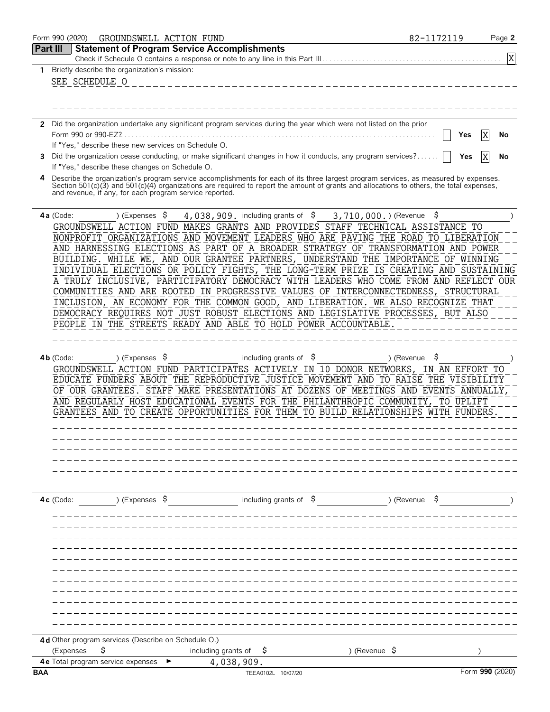|            | Form 990 (2020)<br>GROUNDSWELL ACTION FUND                                                                                                                                                              | 82-1172119       | Page 2          |
|------------|---------------------------------------------------------------------------------------------------------------------------------------------------------------------------------------------------------|------------------|-----------------|
|            | <b>Statement of Program Service Accomplishments</b><br>Part III                                                                                                                                         |                  |                 |
|            |                                                                                                                                                                                                         |                  | X               |
|            | 1 Briefly describe the organization's mission:                                                                                                                                                          |                  |                 |
|            | SEE SCHEDULE O                                                                                                                                                                                          |                  |                 |
|            |                                                                                                                                                                                                         |                  |                 |
|            |                                                                                                                                                                                                         |                  |                 |
|            | 2 Did the organization undertake any significant program services during the year which were not listed on the prior                                                                                    |                  |                 |
|            |                                                                                                                                                                                                         | Yes              | ΙX<br>No        |
|            | If "Yes," describe these new services on Schedule O.                                                                                                                                                    |                  |                 |
| 3          | Did the organization cease conducting, or make significant changes in how it conducts, any program services?                                                                                            | Yes              | ΙX<br>No        |
|            | If "Yes," describe these changes on Schedule O.                                                                                                                                                         |                  |                 |
|            | Describe the organization's program service accomplishments for each of its three largest program services, as measured by expenses.                                                                    |                  |                 |
|            | Section $501(c)(3)$ and $501(c)(4)$ organizations are required to report the amount of grants and allocations to others, the total expenses,<br>and revenue, if any, for each program service reported. |                  |                 |
|            |                                                                                                                                                                                                         |                  |                 |
|            | ) (Expenses $\sqrt{5}$<br>4,038,909. including grants of $\frac{1}{5}$<br>3,710,000.) (Revenue<br>$4a$ (Code:                                                                                           | \$,              |                 |
|            | GROUNDSWELL ACTION FUND MAKES GRANTS AND PROVIDES STAFF TECHNICAL ASSISTANCE TO                                                                                                                         |                  |                 |
|            | NONPROFIT ORGANIZATIONS AND MOVEMENT LEADERS WHO ARE PAVING THE ROAD TO LIBERATION                                                                                                                      |                  |                 |
|            | AND HARNESSING ELECTIONS AS PART OF A BROADER STRATEGY OF TRANSFORMATION AND POWER                                                                                                                      |                  |                 |
|            | BUILDING. WHILE WE, AND OUR GRANTEE PARTNERS, UNDERSTAND THE IMPORTANCE OF                                                                                                                              |                  | WINNING         |
|            | INDIVIDUAL ELECTIONS OR POLICY FIGHTS, THE LONG-TERM PRIZE IS CREATING AND SUSTAINING                                                                                                                   |                  |                 |
|            | A TRULY INCLUSIVE, PARTICIPATORY DEMOCRACY WITH LEADERS WHO COME FROM AND REFLECT OUR                                                                                                                   |                  |                 |
|            | COMMUNITIES AND ARE ROOTED IN PROGRESSIVE VALUES OF INTERCONNECTEDNESS, STRUCTURAL                                                                                                                      |                  |                 |
|            | INCLUSION, AN ECONOMY FOR THE COMMON GOOD, AND LIBERATION. WE ALSO RECOGNIZE THAT                                                                                                                       |                  |                 |
|            | DEMOCRACY REQUIRES NOT JUST ROBUST ELECTIONS AND LEGISLATIVE PROCESSES, BUT ALSO                                                                                                                        |                  |                 |
|            | PEOPLE IN THE STREETS READY AND ABLE TO HOLD POWER ACCOUNTABLE                                                                                                                                          |                  |                 |
|            |                                                                                                                                                                                                         |                  |                 |
|            |                                                                                                                                                                                                         |                  |                 |
|            | ) (Expenses $\sqrt{5}$<br>including grants of $\frac{1}{2}$<br>$4b$ (Code:<br>GROUNDSWELL ACTION FUND PARTICIPATES ACTIVELY IN 10 DONOR NETWORKS, IN AN EFFORT TO                                       | \$<br>) (Revenue |                 |
|            | EDUCATE FUNDERS ABOUT THE REPRODUCTIVE JUSTICE MOVEMENT AND TO RAISE THE VISIBILITY                                                                                                                     |                  |                 |
|            | OUR GRANTEES. STAFF MAKE PRESENTATIONS AT DOZENS OF MEETINGS AND EVENTS ANNUALLY<br>OF.                                                                                                                 |                  |                 |
|            | AND REGULARLY HOST EDUCATIONAL EVENTS FOR THE PHILANTHROPIC COMMUNITY,                                                                                                                                  | TO UPLIFT        |                 |
|            | GRANTEES AND TO CREATE OPPORTUNITIES FOR THEM TO BUILD RELATIONSHIPS WITH FUNDERS.                                                                                                                      |                  |                 |
|            |                                                                                                                                                                                                         |                  |                 |
|            |                                                                                                                                                                                                         |                  |                 |
|            |                                                                                                                                                                                                         |                  |                 |
|            |                                                                                                                                                                                                         |                  |                 |
|            |                                                                                                                                                                                                         |                  |                 |
|            |                                                                                                                                                                                                         |                  |                 |
|            |                                                                                                                                                                                                         |                  |                 |
|            | including grants of $\frac{1}{2}$<br>) (Expenses $\sqrt{5}$<br>$4c$ (Code:                                                                                                                              | ) (Revenue       |                 |
|            |                                                                                                                                                                                                         |                  |                 |
|            |                                                                                                                                                                                                         |                  |                 |
|            |                                                                                                                                                                                                         |                  |                 |
|            |                                                                                                                                                                                                         |                  |                 |
|            |                                                                                                                                                                                                         |                  |                 |
|            |                                                                                                                                                                                                         |                  |                 |
|            |                                                                                                                                                                                                         |                  |                 |
|            |                                                                                                                                                                                                         |                  |                 |
|            |                                                                                                                                                                                                         |                  |                 |
|            |                                                                                                                                                                                                         |                  |                 |
|            |                                                                                                                                                                                                         |                  |                 |
|            | 4 d Other program services (Describe on Schedule O.)                                                                                                                                                    |                  |                 |
|            | \$<br>including grants of<br>) (Revenue $\frac{1}{2}$<br>(Expenses<br>Ş                                                                                                                                 |                  |                 |
|            | 4,038,909.<br>4e Total program service expenses                                                                                                                                                         |                  |                 |
| <b>BAA</b> | TEEA0102L 10/07/20                                                                                                                                                                                      |                  | Form 990 (2020) |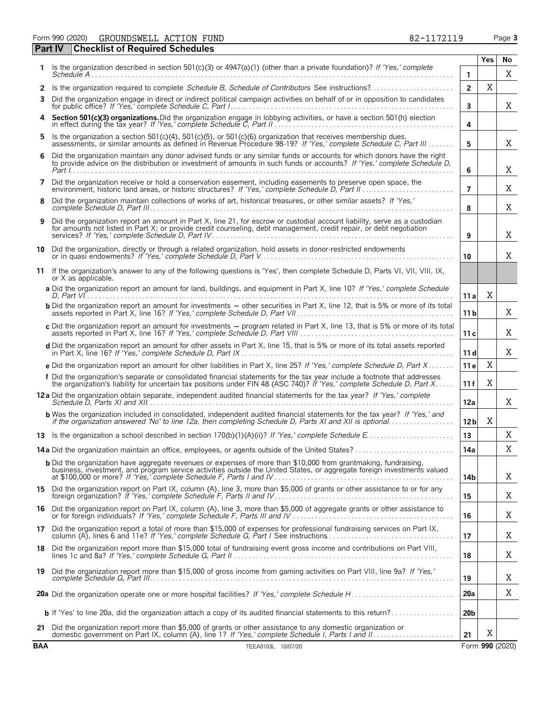Form 990 (2020) Page **3 Part IV Checklist of Required Schedules** GROUNDSWELL ACTION FUND 82-1172119

| 82-1172119 |  |
|------------|--|
|------------|--|

|     |                                                                                                                                                                                                                                                     |                 | <b>Yes</b> | No              |
|-----|-----------------------------------------------------------------------------------------------------------------------------------------------------------------------------------------------------------------------------------------------------|-----------------|------------|-----------------|
|     | Is the organization described in section 501(c)(3) or $4947(a)(1)$ (other than a private foundation)? If 'Yes,' complete<br>Schedule A                                                                                                              | 1               |            | Χ               |
|     |                                                                                                                                                                                                                                                     | $\overline{2}$  | X          |                 |
| 3   | Did the organization engage in direct or indirect political campaign activities on behalf of or in opposition to candidates                                                                                                                         | 3               |            | X               |
|     | 4 Section 501(c)(3) organizations. Did the organization engage in lobbying activities, or have a section 501(h) election                                                                                                                            | 4               |            |                 |
|     | 5 Is the organization a section $501(c)(4)$ , $501(c)(5)$ , or $501(c)(6)$ organization that receives membership dues,<br>assessments, or similar amounts as defined in Revenue Procedure 98-19? If 'Yes,' complete Schedule C, Part III            | 5               |            | X               |
|     | Did the organization maintain any donor advised funds or any similar funds or accounts for which donors have the right<br>to provide advice on the distribution or investment of amounts in such funds or accounts? If 'Yes,' complete Schedule D,  | 6               |            | Χ               |
| 7   | Did the organization receive or hold a conservation easement, including easements to preserve open space, the                                                                                                                                       | $\overline{7}$  |            | Χ               |
|     | 8 Did the organization maintain collections of works of art, historical treasures, or other similar assets? If 'Yes,'                                                                                                                               | 8               |            | Χ               |
| 9.  | Did the organization report an amount in Part X, line 21, for escrow or custodial account liability, serve as a custodian<br>For amounts not listed in Part X; or provide credit counseling, debt management, credit repair, or debt negotiation    | 9               |            | X               |
| 10  | Did the organization, directly or through a related organization, hold assets in donor-restricted endowments                                                                                                                                        | 10              |            | Χ               |
| 11  | If the organization's answer to any of the following questions is 'Yes', then complete Schedule D, Parts VI, VII, VIII, IX,<br>or X as applicable.                                                                                                  |                 |            |                 |
|     | a Did the organization report an amount for land, buildings, and equipment in Part X, line 10? If 'Yes,' complete Schedule                                                                                                                          | 11a             | Χ          |                 |
|     | <b>b</b> Did the organization report an amount for investments – other securities in Part X, line 12, that is 5% or more of its total                                                                                                               | 11 <sub>b</sub> |            | Χ               |
|     | c Did the organization report an amount for investments - program related in Part X, line 13, that is 5% or more of its total                                                                                                                       | 11c             |            | Χ               |
|     | d Did the organization report an amount for other assets in Part X, line 15, that is 5% or more of its total assets reported                                                                                                                        | 11d             |            | X               |
|     | e Did the organization report an amount for other liabilities in Part X, line 25? If 'Yes,' complete Schedule D, Part X                                                                                                                             | 11e             | Χ          |                 |
|     | f Did the organization's separate or consolidated financial statements for the tax year include a footnote that addresses<br>the organization's liability for uncertain tax positions under FIN 48 (ASC 740)? If 'Yes,' complete Schedule D, Part X | 11f             | X          |                 |
|     | 12 a Did the organization obtain separate, independent audited financial statements for the tax year? If 'Yes,' complete                                                                                                                            | 12a             |            | Χ               |
|     | <b>b</b> Was the organization included in consolidated, independent audited financial statements for the tax year? If 'Yes,' and                                                                                                                    | 12 <sub>b</sub> | X          |                 |
|     |                                                                                                                                                                                                                                                     | 13              |            | X               |
|     | 14a Did the organization maintain an office, employees, or agents outside of the United States?                                                                                                                                                     | 14a             |            | Χ               |
|     | <b>b</b> Did the organization have aggregate revenues or expenses of more than \$10,000 from grantmaking, fundraising,<br>business, investment, and program service activities outside the United States, or aggregate foreign investments valued   | 14b             |            | Χ               |
|     | 15 Did the organization report on Part IX, column (A), line 3, more than \$5,000 of grants or other assistance to or for any                                                                                                                        | 15              |            | Χ               |
|     | 16 Did the organization report on Part IX, column (A), line 3, more than \$5,000 of aggregate grants or other assistance to                                                                                                                         | 16              |            | Χ               |
|     | 17 Did the organization report a total of more than \$15,000 of expenses for professional fundraising services on Part IX, column (A), lines 6 and 11e? If 'Yes,' complete Schedule G, Part I See instructions                                      | 17              |            | X               |
|     | 18 Did the organization report more than \$15,000 total of fundraising event gross income and contributions on Part VIII,                                                                                                                           | 18              |            | Χ               |
|     | 19 Did the organization report more than \$15,000 of gross income from gaming activities on Part VIII, line 9a? If 'Yes,'                                                                                                                           | 19              |            | Χ               |
|     |                                                                                                                                                                                                                                                     | 20a             |            | Χ               |
|     | <b>b</b> If 'Yes' to line 20a, did the organization attach a copy of its audited financial statements to this return?                                                                                                                               | 20 <sub>b</sub> |            |                 |
|     | 21 Did the organization report more than \$5,000 of grants or other assistance to any domestic organization or                                                                                                                                      |                 | Χ          |                 |
| BAA | TEEA0103L 10/07/20                                                                                                                                                                                                                                  | 21              |            | Form 990 (2020) |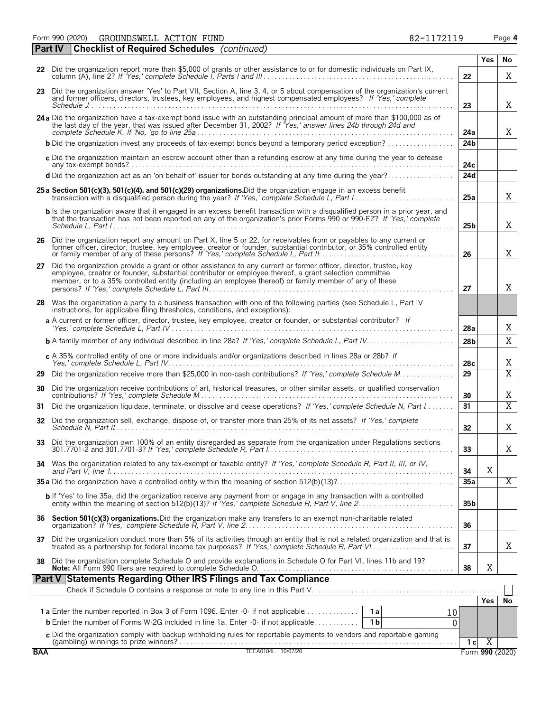Form 990 (2020) Page **4** GROUNDSWELL ACTION FUND 82-1172119

| 82-1172119 |  |  |
|------------|--|--|
|            |  |  |

|    | <b>Checklist of Required Schedules</b> (continued)<br><b>Part IV</b>                                                                                                                                                                                                                                                                  |                 |                |                |
|----|---------------------------------------------------------------------------------------------------------------------------------------------------------------------------------------------------------------------------------------------------------------------------------------------------------------------------------------|-----------------|----------------|----------------|
|    |                                                                                                                                                                                                                                                                                                                                       |                 | Yes            | No             |
|    | 22 Did the organization report more than \$5,000 of grants or other assistance to or for domestic individuals on Part IX,                                                                                                                                                                                                             | 22              |                | Χ              |
|    | 23 Did the organization answer 'Yes' to Part VII, Section A, line 3, 4, or 5 about compensation of the organization's current<br>and former officers, directors, trustees, key employees, and highest compensated employees? If 'Yes,' complete                                                                                       | 23              |                | Χ              |
|    | 24 a Did the organization have a tax-exempt bond issue with an outstanding principal amount of more than \$100,000 as of<br>the last day of the year, that was issued after December 31, 2002? If Yes,' answer lines 24b through 24d and                                                                                              | 24a             |                | Χ              |
|    | <b>b</b> Did the organization invest any proceeds of tax-exempt bonds beyond a temporary period exception?                                                                                                                                                                                                                            | 24 <sub>b</sub> |                |                |
|    | c Did the organization maintain an escrow account other than a refunding escrow at any time during the year to defease                                                                                                                                                                                                                | 24с             |                |                |
|    | d Did the organization act as an 'on behalf of' issuer for bonds outstanding at any time during the year?                                                                                                                                                                                                                             | 24d             |                |                |
|    | 25 a Section 501(c)(3), 501(c)(4), and 501(c)(29) organizations. Did the organization engage in an excess benefit                                                                                                                                                                                                                     | 25a             |                | Χ              |
|    | b Is the organization aware that it engaged in an excess benefit transaction with a disqualified person in a prior year, and<br>that the transaction has not been reported on any of the organization's prior Forms 990 or 990-EZ? If 'Yes,' complete                                                                                 | 25 <sub>b</sub> |                | Χ              |
| 26 | Did the organization report any amount on Part X, line 5 or 22, for receivables from or payables to any current or<br>former officer, director, trustee, key employee, creator or founder, substantial contributor, or 35% controlled entity                                                                                          | 26              |                | Χ              |
| 27 | Did the organization provide a grant or other assistance to any current or former officer, director, trustee, key<br>employee, creator or founder, substantial contributor or employee thereof, a grant selection committee<br>member, or to a 35% controlled entity (including an employee thereof) or family member of any of these | 27              |                | X              |
| 28 | Was the organization a party to a business transaction with one of the following parties (see Schedule L, Part IV<br>instructions, for applicable filing thresholds, conditions, and exceptions):                                                                                                                                     |                 |                |                |
|    | a A current or former officer, director, trustee, key employee, creator or founder, or substantial contributor? If                                                                                                                                                                                                                    | 28a             |                | Χ              |
|    |                                                                                                                                                                                                                                                                                                                                       | 28 <sub>b</sub> |                | X              |
|    | c A 35% controlled entity of one or more individuals and/or organizations described in lines 28a or 28b? If                                                                                                                                                                                                                           | 28c             |                | Χ              |
| 29 | Did the organization receive more than \$25,000 in non-cash contributions? If 'Yes,' complete Schedule M.                                                                                                                                                                                                                             | 29              |                | $\overline{X}$ |
| 30 | Did the organization receive contributions of art, historical treasures, or other similar assets, or qualified conservation                                                                                                                                                                                                           | 30              |                | Χ              |
| 31 | Did the organization liquidate, terminate, or dissolve and cease operations? If 'Yes,' complete Schedule N, Part I                                                                                                                                                                                                                    | 31              |                | $\overline{X}$ |
| 32 | Did the organization sell, exchange, dispose of, or transfer more than 25% of its net assets? If 'Yes,' complete                                                                                                                                                                                                                      | 32 <sub>2</sub> |                | Χ              |
|    | 33 Did the organization own 100% of an entity disregarded as separate from the organization under Regulations sections                                                                                                                                                                                                                | 33              |                | Χ              |
| 34 | Was the organization related to any tax-exempt or taxable entity? If 'Yes,' complete Schedule R, Part II, III, or IV,                                                                                                                                                                                                                 | 34              | X              |                |
|    |                                                                                                                                                                                                                                                                                                                                       | 35a             |                | Χ              |
|    | b If 'Yes' to line 35a, did the organization receive any payment from or engage in any transaction with a controlled<br>entity within the meaning of section 512(b)(13)? If 'Yes,' complete Schedule R, Part V, line 2                                                                                                                | 35 <sub>b</sub> |                |                |
|    | 36 Section 501(c)(3) organizations. Did the organization make any transfers to an exempt non-charitable related                                                                                                                                                                                                                       | 36              |                |                |
| 37 | Did the organization conduct more than 5% of its activities through an entity that is not a related organization and that is treated as a partnership for federal income tax purposes? If 'Yes,' complete Schedule R, Part VI.                                                                                                        | 37              |                | Χ              |
| 38 | Did the organization complete Schedule O and provide explanations in Schedule O for Part VI, lines 11b and 19?<br>Note: All Form 990 filers are required to complete Schedule O.                                                                                                                                                      | 38              | Χ              |                |
|    | Part V Statements Regarding Other IRS Filings and Tax Compliance                                                                                                                                                                                                                                                                      |                 |                |                |
|    |                                                                                                                                                                                                                                                                                                                                       |                 | <b>Yes</b>     | No             |
|    |                                                                                                                                                                                                                                                                                                                                       | 10              |                |                |
|    | <b>b</b> Enter the number of Forms W-2G included in line 1a. Enter -0- if not applicable<br>1 <sub>b</sub>                                                                                                                                                                                                                            | $\Omega$        |                |                |
|    | c Did the organization comply with backup withholding rules for reportable payments to vendors and reportable gaming                                                                                                                                                                                                                  | 1 c             | $\overline{X}$ |                |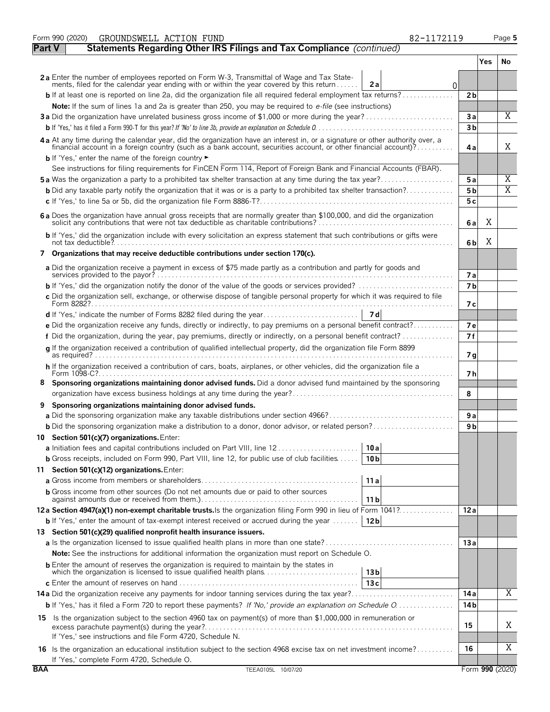|               | GROUNDSWELL ACTION FUND<br>82-1172119<br>Form 990 (2020)                                                                                                                                                                                         |                             |     | Page 5                  |
|---------------|--------------------------------------------------------------------------------------------------------------------------------------------------------------------------------------------------------------------------------------------------|-----------------------------|-----|-------------------------|
| <b>Part V</b> | Statements Regarding Other IRS Filings and Tax Compliance (continued)                                                                                                                                                                            |                             |     |                         |
|               |                                                                                                                                                                                                                                                  |                             | Yes | No                      |
|               | 2a Enter the number of employees reported on Form W-3, Transmittal of Wage and Tax Statements, filed for the calendar year ending with or within the year covered by this return<br>2a<br>0                                                      |                             |     |                         |
|               | <b>b</b> If at least one is reported on line 2a, did the organization file all required federal employment tax returns?                                                                                                                          | 2 <sub>b</sub>              |     |                         |
|               | Note: If the sum of lines 1a and 2a is greater than 250, you may be required to e-file (see instructions)                                                                                                                                        |                             |     |                         |
|               | 3a Did the organization have unrelated business gross income of \$1,000 or more during the year?                                                                                                                                                 | 3a                          |     | Χ                       |
|               |                                                                                                                                                                                                                                                  | 3 <sub>b</sub>              |     |                         |
|               | 4a At any time during the calendar year, did the organization have an interest in, or a signature or other authority over, a<br>financial account in a foreign country (such as a bank account, securities account, or other financial account)? | 4а                          |     | Χ                       |
|               | <b>b</b> If 'Yes,' enter the name of the foreign country $\blacktriangleright$<br>See instructions for filing requirements for FinCEN Form 114, Report of Foreign Bank and Financial Accounts (FBAR).                                            |                             |     |                         |
|               | <b>5a</b> Was the organization a party to a prohibited tax shelter transaction at any time during the tax year?                                                                                                                                  | 5a                          |     | Χ                       |
|               | <b>b</b> Did any taxable party notify the organization that it was or is a party to a prohibited tax shelter transaction?                                                                                                                        | 5 <sub>b</sub>              |     | $\overline{\mathrm{X}}$ |
|               |                                                                                                                                                                                                                                                  | 5c                          |     |                         |
|               | 6 a Does the organization have annual gross receipts that are normally greater than \$100,000, and did the organization<br>solicit any contributions that were not tax deductible as charitable contributions?                                   | 6 a                         | Χ   |                         |
|               | b If 'Yes,' did the organization include with every solicitation an express statement that such contributions or gifts were                                                                                                                      | 6 <sub>b</sub>              | Χ   |                         |
|               | 7 Organizations that may receive deductible contributions under section 170(c).                                                                                                                                                                  |                             |     |                         |
|               | a Did the organization receive a payment in excess of \$75 made partly as a contribution and partly for goods and                                                                                                                                |                             |     |                         |
|               | <b>b</b> If 'Yes,' did the organization notify the donor of the value of the goods or services provided? $\ldots$                                                                                                                                | <b>7a</b><br>7 <sub>b</sub> |     |                         |
|               | c Did the organization sell, exchange, or otherwise dispose of tangible personal property for which it was required to file                                                                                                                      |                             |     |                         |
|               |                                                                                                                                                                                                                                                  | 7 с                         |     |                         |
|               |                                                                                                                                                                                                                                                  |                             |     |                         |
|               | e Did the organization receive any funds, directly or indirectly, to pay premiums on a personal benefit contract?                                                                                                                                | <b>7e</b>                   |     |                         |
|               |                                                                                                                                                                                                                                                  | 7f                          |     |                         |
|               | q If the organization received a contribution of qualified intellectual property, did the organization file Form 8899                                                                                                                            | 7 g                         |     |                         |
|               | h If the organization received a contribution of cars, boats, airplanes, or other vehicles, did the organization file a<br>Form 1098-C?                                                                                                          | 7 h                         |     |                         |
| 8             | Sponsoring organizations maintaining donor advised funds. Did a donor advised fund maintained by the sponsoring                                                                                                                                  |                             |     |                         |
|               |                                                                                                                                                                                                                                                  | 8                           |     |                         |
| 9             | Sponsoring organizations maintaining donor advised funds.                                                                                                                                                                                        | 9a                          |     |                         |
|               | <b>b</b> Did the sponsoring organization make a distribution to a donor, donor advisor, or related person?                                                                                                                                       | 9 b                         |     |                         |
|               | 10 Section 501(c)(7) organizations. Enter:                                                                                                                                                                                                       |                             |     |                         |
|               | 10 a                                                                                                                                                                                                                                             |                             |     |                         |
|               | <b>b</b> Gross receipts, included on Form 990, Part VIII, line 12, for public use of club facilities<br>10 b                                                                                                                                     |                             |     |                         |
| 11.           | Section 501(c)(12) organizations. Enter:<br>11a                                                                                                                                                                                                  |                             |     |                         |
|               | <b>b</b> Gross income from other sources (Do not net amounts due or paid to other sources<br>11 b                                                                                                                                                |                             |     |                         |
|               | 12a Section 4947(a)(1) non-exempt charitable trusts. Is the organization filing Form 990 in lieu of Form 1041?                                                                                                                                   | 12a                         |     |                         |
|               | <b>b</b> If 'Yes,' enter the amount of tax-exempt interest received or accrued during the year $\dots\dots$<br>12 <sub>b</sub>                                                                                                                   |                             |     |                         |
|               | 13 Section 501(c)(29) qualified nonprofit health insurance issuers.                                                                                                                                                                              | 13 a                        |     |                         |
|               | <b>Note:</b> See the instructions for additional information the organization must report on Schedule O.                                                                                                                                         |                             |     |                         |
|               | <b>b</b> Enter the amount of reserves the organization is required to maintain by the states in<br>13 <sub>b</sub>                                                                                                                               |                             |     |                         |
|               | 13c                                                                                                                                                                                                                                              |                             |     |                         |
|               | 14a Did the organization receive any payments for indoor tanning services during the tax year?                                                                                                                                                   | 14 a                        |     | Χ                       |
|               | <b>b</b> If 'Yes,' has it filed a Form 720 to report these payments? If 'No,' provide an explanation on Schedule O                                                                                                                               | 14 b                        |     |                         |
|               | 15 Is the organization subject to the section 4960 tax on payment(s) of more than \$1,000,000 in remuneration or                                                                                                                                 |                             |     |                         |
|               | If 'Yes,' see instructions and file Form 4720, Schedule N.                                                                                                                                                                                       | 15                          |     | Χ                       |
|               | 16 Is the organization an educational institution subject to the section 4968 excise tax on net investment income?                                                                                                                               | 16                          |     | Χ                       |
|               | If 'Yes,' complete Form 4720, Schedule O.                                                                                                                                                                                                        |                             |     |                         |
| BAA           | TEEA0105L 10/07/20                                                                                                                                                                                                                               |                             |     | Form 990 (2020)         |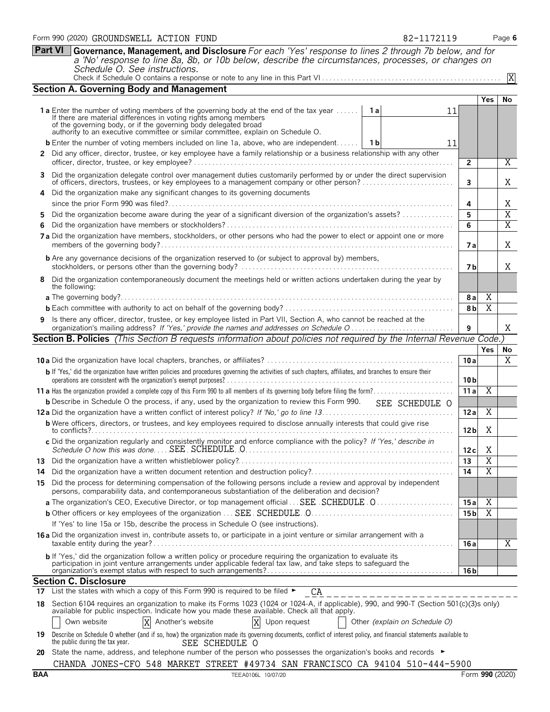| BAA | Form 990 (2020)<br>TEEA0106L 10/07/20                                                                                                                                                                                                                                                                                          |
|-----|--------------------------------------------------------------------------------------------------------------------------------------------------------------------------------------------------------------------------------------------------------------------------------------------------------------------------------|
|     | CHANDA JONES-CFO 548 MARKET STREET #49734 SAN FRANCISCO CA 94104 510-444-5900                                                                                                                                                                                                                                                  |
|     | 20 State the name, address, and telephone number of the person who possesses the organization's books and records ►                                                                                                                                                                                                            |
| 19  | Describe on Schedule O whether (and if so, how) the organization made its governing documents, conflict of interest policy, and financial statements available to<br>the public during the tax year.<br>SEE SCHEDULE O                                                                                                         |
|     | $\overline{X}$ Upon request<br>$\overline{X}$ Another's website<br>Own website<br>Other (explain on Schedule O)                                                                                                                                                                                                                |
|     | about one in a gaing of the court to make the complete the complete the approval of the set of the control of the control of the complete order to the control of the control of the control of the control of the control of<br>available for public inspection. Indicate how you made these available. Check all that apply. |

|    | <b>1a</b> Enter the number of voting members of the governing body at the end of the tax year $\dots$ .<br>1а<br>11<br>If there are material differences in voting rights among members<br>of the governing body, or if the governing body delegated broad authority to an executive committee or similar committee, explain on Schedule O. |                 |                |                |
|----|---------------------------------------------------------------------------------------------------------------------------------------------------------------------------------------------------------------------------------------------------------------------------------------------------------------------------------------------|-----------------|----------------|----------------|
|    | <b>b</b> Enter the number of voting members included on line 1a, above, who are independent $\begin{bmatrix} 1 & b \end{bmatrix}$<br>11                                                                                                                                                                                                     |                 |                |                |
|    | 2 Did any officer, director, trustee, or key employee have a family relationship or a business relationship with any other                                                                                                                                                                                                                  |                 |                |                |
|    |                                                                                                                                                                                                                                                                                                                                             | $\overline{2}$  |                | $\overline{X}$ |
| 3  | Did the organization delegate control over management duties customarily performed by or under the direct supervision<br>of officers, directors, trustees, or key employees to a management company or other person?                                                                                                                        | 3               |                | Χ              |
| 4  | Did the organization make any significant changes to its governing documents                                                                                                                                                                                                                                                                |                 |                |                |
|    |                                                                                                                                                                                                                                                                                                                                             | 4               |                | Χ              |
| 5. | Did the organization become aware during the year of a significant diversion of the organization's assets?                                                                                                                                                                                                                                  | 5               |                | $\overline{X}$ |
| 6  |                                                                                                                                                                                                                                                                                                                                             | 6               |                | $\overline{X}$ |
|    | 7a Did the organization have members, stockholders, or other persons who had the power to elect or appoint one or more                                                                                                                                                                                                                      | 7а              |                | Χ              |
|    | <b>b</b> Are any governance decisions of the organization reserved to (or subject to approval by) members,                                                                                                                                                                                                                                  | 7 b             |                | X              |
|    | 8 Did the organization contemporaneously document the meetings held or written actions undertaken during the year by<br>the following:                                                                                                                                                                                                      |                 |                |                |
|    |                                                                                                                                                                                                                                                                                                                                             | 8 a             | Χ              |                |
|    |                                                                                                                                                                                                                                                                                                                                             | 8 <sub>b</sub>  | $\overline{X}$ |                |
|    | 9 Is there any officer, director, trustee, or key employee listed in Part VII, Section A, who cannot be reached at the<br>organization's mailing address? If 'Yes,' provide the names and addresses on Schedule O                                                                                                                           | 9               |                | Χ              |
|    | Section B. Policies (This Section B requests information about policies not required by the Internal Revenue Code.)                                                                                                                                                                                                                         |                 |                |                |
|    |                                                                                                                                                                                                                                                                                                                                             |                 | <b>Yes</b>     | No             |
|    |                                                                                                                                                                                                                                                                                                                                             | 10a             |                | X              |
|    | b If 'Yes,' did the organization have written policies and procedures governing the activities of such chapters, affiliates, and branches to ensure their                                                                                                                                                                                   |                 |                |                |
|    |                                                                                                                                                                                                                                                                                                                                             | 10 b            |                |                |
|    |                                                                                                                                                                                                                                                                                                                                             | 11a             | Χ              |                |
|    | <b>b</b> Describe in Schedule O the process, if any, used by the organization to review this Form 990.<br>SEE SCHEDULE O                                                                                                                                                                                                                    |                 |                |                |
|    |                                                                                                                                                                                                                                                                                                                                             | 12a             | X              |                |
|    | <b>b</b> Were officers, directors, or trustees, and key employees required to disclose annually interests that could give rise                                                                                                                                                                                                              | 12 <sub>b</sub> | Χ              |                |
|    | c Did the organization regularly and consistently monitor and enforce compliance with the policy? If 'Yes,' describe in                                                                                                                                                                                                                     | 12c             | Χ              |                |
|    |                                                                                                                                                                                                                                                                                                                                             | 13              | X              |                |
| 14 |                                                                                                                                                                                                                                                                                                                                             | 14              | X              |                |
| 15 | Did the process for determining compensation of the following persons include a review and approval by independent<br>persons, comparability data, and contemporaneous substantiation of the deliberation and decision?                                                                                                                     |                 |                |                |
|    | a The organization's CEO, Executive Director, or top management official SEE SCHEDULE 0                                                                                                                                                                                                                                                     | 15a             | X              |                |
|    |                                                                                                                                                                                                                                                                                                                                             | 15 <sub>b</sub> | $\overline{X}$ |                |
|    | If 'Yes' to line 15a or 15b, describe the process in Schedule O (see instructions).                                                                                                                                                                                                                                                         |                 |                |                |
|    | 16a Did the organization invest in, contribute assets to, or participate in a joint venture or similar arrangement with a                                                                                                                                                                                                                   | 16 a            |                | X              |
|    | <b>b</b> If 'Yes,' did the organization follow a written policy or procedure requiring the organization to evaluate its<br>participation in joint venture arrangements under applicable federal tax law, and take steps to safeguard the                                                                                                    | 16 b            |                |                |
|    | <b>Section C. Disclosure</b>                                                                                                                                                                                                                                                                                                                |                 |                |                |
| 17 | List the states with which a copy of this Form 990 is required to be filed ►<br>CA                                                                                                                                                                                                                                                          |                 |                |                |
|    | 18 Section 6104 requires an organization to make its Forms 1023 (1024 or 1024-A, if applicable), 990, and 990-T (Section 501(c)(3)s only)<br>available for public inspection. Indicate how you made these available. Check all that apply.                                                                                                  |                 |                |                |
|    | X<br>Another's website<br>Upon request<br>Other (explain on Schedule O)<br>Own website                                                                                                                                                                                                                                                      |                 |                |                |

**Yes No**

| Form 990 (2020) GROUNDSWELL ACTION<br>FUNL | n n<br>ОZ | Page 6 |
|--------------------------------------------|-----------|--------|
|--------------------------------------------|-----------|--------|

11

X

| <b>Section A. Governing Body and Management</b> |
|-------------------------------------------------|
|                                                 |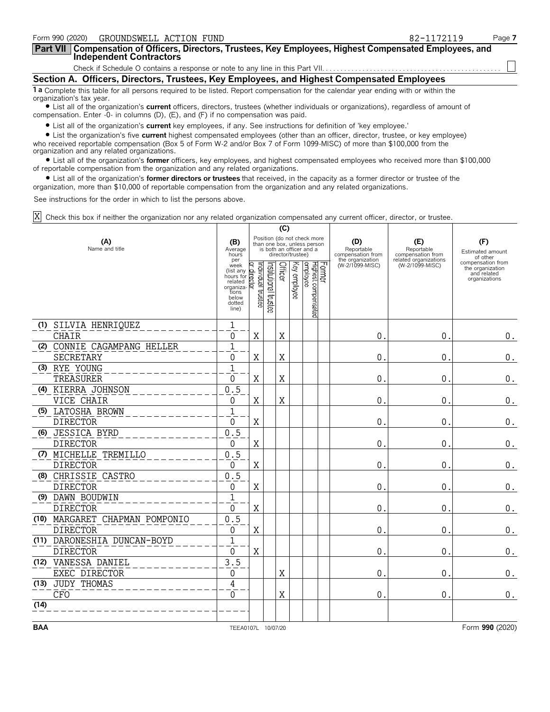| Form 990 (2020)          | GROUNDSWELL ACTION FUND                                                                                                                                                                                                                    | 82-1172119 | Page 7 |
|--------------------------|--------------------------------------------------------------------------------------------------------------------------------------------------------------------------------------------------------------------------------------------|------------|--------|
|                          | Part VII   Compensation of Officers, Directors, Trustees, Key Employees, Highest Compensated Employees, and<br><b>Independent Contractors</b>                                                                                              |            |        |
|                          |                                                                                                                                                                                                                                            |            |        |
|                          | Section A. Officers, Directors, Trustees, Key Employees, and Highest Compensated Employees                                                                                                                                                 |            |        |
| organization's tax year. | 1 a Complete this table for all persons required to be listed. Report compensation for the calendar year ending with or within the                                                                                                         |            |        |
|                          | • List all of the organization's <b>current</b> officers, directors, trustees (whether individuals or organizations), regardless of amount of<br>compensation. Enter -0- in columns $(D)$ , $(E)$ , and $(F)$ if no compensation was paid. |            |        |
|                          | • List all of the organization's current key employees, if any. See instructions for definition of 'key employee.'                                                                                                                         |            |        |

? List the organization's five **current** highest compensated employees (other than an officer, director, trustee, or key employee) who received reportable compensation (Box 5 of Form W-2 and/or Box 7 of Form 1099-MISC) of more than \$100,000 from the organization and any related organizations.

? List all of the organization's **former** officers, key employees, and highest compensated employees who received more than \$100,000 of reportable compensation from the organization and any related organizations.

? List all of the organization's **former directors or trustees** that received, in the capacity as a former director or trustee of the organization, more than \$10,000 of reportable compensation from the organization and any related organizations.

See instructions for the order in which to list the persons above.

Check this box if neither the organization nor any related organization compensated any current officer, director, or trustee. X

| Position (do not check more<br>(F)<br>(A)<br>(D)<br>(E)<br>(B)<br>than one box, unless person<br>Name and title<br>is both an officer and a<br>Reportable<br>Reportable<br>Average<br>Estimated amount<br>director/trustee)<br>compensation from<br>compensation from<br>hours<br>of other<br>the organization<br>related organizations<br>per<br>compensation from<br>employee<br>Former<br>Institutional trustee<br>Officer<br>Key employee<br>Highest compensated<br>(W-2/1099-MISC)<br>(W-2/1099-MISC)<br>ndividual trustee<br>week<br>the organization<br>direct<br>(list any<br>and related<br>hours for<br>organizations<br>related<br>ត្<br>organiza-<br>tions<br>below<br>dotted<br>line)<br>(1) SILVIA HENRIQUEZ<br>$\mathbf 1$<br>$\mathbf X$<br><b>CHAIR</b><br>X<br>0<br>0<br>0<br>$\overline{1}$<br>(2) CONNIE CAGAMPANG HELLER<br><b>SECRETARY</b><br>X<br>X<br>0<br>0<br>0<br>$\mathbf{1}$<br>(3) RYE YOUNG<br>TREASURER<br>Χ<br>Χ<br>0<br>0<br>0<br>0.5<br>(4) KIERRA JOHNSON<br>VICE CHAIR<br>Χ<br>Χ<br>0<br>0<br>0.<br>0<br>$\mathbf 1$<br>(5) LATOSHA BROWN<br><b>DIRECTOR</b><br>Χ<br>0<br>0<br>0<br>0.<br>0.5<br>JESSICA BYRD<br>(6)<br><b>DIRECTOR</b><br>X<br>0<br>$0$ .<br>0<br>0<br>0.5<br>MICHELLE TREMILLO<br>(7)<br><b>DIRECTOR</b><br>X<br>0<br>$\mathbf 0$<br>$\mathbf 0$ .<br>0<br>(8) CHRISSIE CASTRO<br>0.5<br><b>DIRECTOR</b><br>X<br>0<br>$\mathbf 0$<br>$\mathbf 0$ .<br>0<br>$\overline{1}$<br>(9) DAWN BOUDWIN<br>Χ<br><b>DIRECTOR</b><br>0<br>0<br>0<br>(10) MARGARET CHAPMAN POMPONIO<br>0.5<br><b>DIRECTOR</b><br>X<br>0<br>0<br>$\boldsymbol{0}$ .<br>0<br>$\mathbf 1$<br>(11) DARONESHIA DUNCAN-BOYD<br><b>DIRECTOR</b><br>X<br>0<br>0<br>0<br>3.5<br>(12) VANESSA DANIEL<br>$\rm X$<br>EXEC DIRECTOR<br>0<br>0<br>0<br>$0$ .<br>JUDY THOMAS<br>4<br>(13)<br><b>CFO</b><br>X<br>$\overline{0}$<br>0<br>0<br>(14)<br>TEEA0107L 10/07/20 |            |  | (C) |  |  |  |  |  |                    |
|------------------------------------------------------------------------------------------------------------------------------------------------------------------------------------------------------------------------------------------------------------------------------------------------------------------------------------------------------------------------------------------------------------------------------------------------------------------------------------------------------------------------------------------------------------------------------------------------------------------------------------------------------------------------------------------------------------------------------------------------------------------------------------------------------------------------------------------------------------------------------------------------------------------------------------------------------------------------------------------------------------------------------------------------------------------------------------------------------------------------------------------------------------------------------------------------------------------------------------------------------------------------------------------------------------------------------------------------------------------------------------------------------------------------------------------------------------------------------------------------------------------------------------------------------------------------------------------------------------------------------------------------------------------------------------------------------------------------------------------------------------------------------------------------------------------------------------------------------------------------------------|------------|--|-----|--|--|--|--|--|--------------------|
|                                                                                                                                                                                                                                                                                                                                                                                                                                                                                                                                                                                                                                                                                                                                                                                                                                                                                                                                                                                                                                                                                                                                                                                                                                                                                                                                                                                                                                                                                                                                                                                                                                                                                                                                                                                                                                                                                    |            |  |     |  |  |  |  |  |                    |
|                                                                                                                                                                                                                                                                                                                                                                                                                                                                                                                                                                                                                                                                                                                                                                                                                                                                                                                                                                                                                                                                                                                                                                                                                                                                                                                                                                                                                                                                                                                                                                                                                                                                                                                                                                                                                                                                                    |            |  |     |  |  |  |  |  |                    |
|                                                                                                                                                                                                                                                                                                                                                                                                                                                                                                                                                                                                                                                                                                                                                                                                                                                                                                                                                                                                                                                                                                                                                                                                                                                                                                                                                                                                                                                                                                                                                                                                                                                                                                                                                                                                                                                                                    |            |  |     |  |  |  |  |  |                    |
|                                                                                                                                                                                                                                                                                                                                                                                                                                                                                                                                                                                                                                                                                                                                                                                                                                                                                                                                                                                                                                                                                                                                                                                                                                                                                                                                                                                                                                                                                                                                                                                                                                                                                                                                                                                                                                                                                    |            |  |     |  |  |  |  |  | $0$ .              |
|                                                                                                                                                                                                                                                                                                                                                                                                                                                                                                                                                                                                                                                                                                                                                                                                                                                                                                                                                                                                                                                                                                                                                                                                                                                                                                                                                                                                                                                                                                                                                                                                                                                                                                                                                                                                                                                                                    |            |  |     |  |  |  |  |  |                    |
|                                                                                                                                                                                                                                                                                                                                                                                                                                                                                                                                                                                                                                                                                                                                                                                                                                                                                                                                                                                                                                                                                                                                                                                                                                                                                                                                                                                                                                                                                                                                                                                                                                                                                                                                                                                                                                                                                    |            |  |     |  |  |  |  |  | $\boldsymbol{0}$ . |
|                                                                                                                                                                                                                                                                                                                                                                                                                                                                                                                                                                                                                                                                                                                                                                                                                                                                                                                                                                                                                                                                                                                                                                                                                                                                                                                                                                                                                                                                                                                                                                                                                                                                                                                                                                                                                                                                                    |            |  |     |  |  |  |  |  |                    |
|                                                                                                                                                                                                                                                                                                                                                                                                                                                                                                                                                                                                                                                                                                                                                                                                                                                                                                                                                                                                                                                                                                                                                                                                                                                                                                                                                                                                                                                                                                                                                                                                                                                                                                                                                                                                                                                                                    |            |  |     |  |  |  |  |  | $\boldsymbol{0}$ . |
|                                                                                                                                                                                                                                                                                                                                                                                                                                                                                                                                                                                                                                                                                                                                                                                                                                                                                                                                                                                                                                                                                                                                                                                                                                                                                                                                                                                                                                                                                                                                                                                                                                                                                                                                                                                                                                                                                    |            |  |     |  |  |  |  |  |                    |
|                                                                                                                                                                                                                                                                                                                                                                                                                                                                                                                                                                                                                                                                                                                                                                                                                                                                                                                                                                                                                                                                                                                                                                                                                                                                                                                                                                                                                                                                                                                                                                                                                                                                                                                                                                                                                                                                                    |            |  |     |  |  |  |  |  |                    |
|                                                                                                                                                                                                                                                                                                                                                                                                                                                                                                                                                                                                                                                                                                                                                                                                                                                                                                                                                                                                                                                                                                                                                                                                                                                                                                                                                                                                                                                                                                                                                                                                                                                                                                                                                                                                                                                                                    |            |  |     |  |  |  |  |  |                    |
|                                                                                                                                                                                                                                                                                                                                                                                                                                                                                                                                                                                                                                                                                                                                                                                                                                                                                                                                                                                                                                                                                                                                                                                                                                                                                                                                                                                                                                                                                                                                                                                                                                                                                                                                                                                                                                                                                    |            |  |     |  |  |  |  |  |                    |
|                                                                                                                                                                                                                                                                                                                                                                                                                                                                                                                                                                                                                                                                                                                                                                                                                                                                                                                                                                                                                                                                                                                                                                                                                                                                                                                                                                                                                                                                                                                                                                                                                                                                                                                                                                                                                                                                                    |            |  |     |  |  |  |  |  |                    |
|                                                                                                                                                                                                                                                                                                                                                                                                                                                                                                                                                                                                                                                                                                                                                                                                                                                                                                                                                                                                                                                                                                                                                                                                                                                                                                                                                                                                                                                                                                                                                                                                                                                                                                                                                                                                                                                                                    |            |  |     |  |  |  |  |  |                    |
|                                                                                                                                                                                                                                                                                                                                                                                                                                                                                                                                                                                                                                                                                                                                                                                                                                                                                                                                                                                                                                                                                                                                                                                                                                                                                                                                                                                                                                                                                                                                                                                                                                                                                                                                                                                                                                                                                    |            |  |     |  |  |  |  |  |                    |
|                                                                                                                                                                                                                                                                                                                                                                                                                                                                                                                                                                                                                                                                                                                                                                                                                                                                                                                                                                                                                                                                                                                                                                                                                                                                                                                                                                                                                                                                                                                                                                                                                                                                                                                                                                                                                                                                                    |            |  |     |  |  |  |  |  |                    |
|                                                                                                                                                                                                                                                                                                                                                                                                                                                                                                                                                                                                                                                                                                                                                                                                                                                                                                                                                                                                                                                                                                                                                                                                                                                                                                                                                                                                                                                                                                                                                                                                                                                                                                                                                                                                                                                                                    |            |  |     |  |  |  |  |  |                    |
|                                                                                                                                                                                                                                                                                                                                                                                                                                                                                                                                                                                                                                                                                                                                                                                                                                                                                                                                                                                                                                                                                                                                                                                                                                                                                                                                                                                                                                                                                                                                                                                                                                                                                                                                                                                                                                                                                    |            |  |     |  |  |  |  |  |                    |
|                                                                                                                                                                                                                                                                                                                                                                                                                                                                                                                                                                                                                                                                                                                                                                                                                                                                                                                                                                                                                                                                                                                                                                                                                                                                                                                                                                                                                                                                                                                                                                                                                                                                                                                                                                                                                                                                                    |            |  |     |  |  |  |  |  |                    |
|                                                                                                                                                                                                                                                                                                                                                                                                                                                                                                                                                                                                                                                                                                                                                                                                                                                                                                                                                                                                                                                                                                                                                                                                                                                                                                                                                                                                                                                                                                                                                                                                                                                                                                                                                                                                                                                                                    |            |  |     |  |  |  |  |  | $\boldsymbol{0}$ . |
|                                                                                                                                                                                                                                                                                                                                                                                                                                                                                                                                                                                                                                                                                                                                                                                                                                                                                                                                                                                                                                                                                                                                                                                                                                                                                                                                                                                                                                                                                                                                                                                                                                                                                                                                                                                                                                                                                    |            |  |     |  |  |  |  |  |                    |
|                                                                                                                                                                                                                                                                                                                                                                                                                                                                                                                                                                                                                                                                                                                                                                                                                                                                                                                                                                                                                                                                                                                                                                                                                                                                                                                                                                                                                                                                                                                                                                                                                                                                                                                                                                                                                                                                                    |            |  |     |  |  |  |  |  |                    |
|                                                                                                                                                                                                                                                                                                                                                                                                                                                                                                                                                                                                                                                                                                                                                                                                                                                                                                                                                                                                                                                                                                                                                                                                                                                                                                                                                                                                                                                                                                                                                                                                                                                                                                                                                                                                                                                                                    |            |  |     |  |  |  |  |  |                    |
|                                                                                                                                                                                                                                                                                                                                                                                                                                                                                                                                                                                                                                                                                                                                                                                                                                                                                                                                                                                                                                                                                                                                                                                                                                                                                                                                                                                                                                                                                                                                                                                                                                                                                                                                                                                                                                                                                    |            |  |     |  |  |  |  |  | $0$ .              |
|                                                                                                                                                                                                                                                                                                                                                                                                                                                                                                                                                                                                                                                                                                                                                                                                                                                                                                                                                                                                                                                                                                                                                                                                                                                                                                                                                                                                                                                                                                                                                                                                                                                                                                                                                                                                                                                                                    |            |  |     |  |  |  |  |  |                    |
|                                                                                                                                                                                                                                                                                                                                                                                                                                                                                                                                                                                                                                                                                                                                                                                                                                                                                                                                                                                                                                                                                                                                                                                                                                                                                                                                                                                                                                                                                                                                                                                                                                                                                                                                                                                                                                                                                    |            |  |     |  |  |  |  |  |                    |
|                                                                                                                                                                                                                                                                                                                                                                                                                                                                                                                                                                                                                                                                                                                                                                                                                                                                                                                                                                                                                                                                                                                                                                                                                                                                                                                                                                                                                                                                                                                                                                                                                                                                                                                                                                                                                                                                                    |            |  |     |  |  |  |  |  |                    |
|                                                                                                                                                                                                                                                                                                                                                                                                                                                                                                                                                                                                                                                                                                                                                                                                                                                                                                                                                                                                                                                                                                                                                                                                                                                                                                                                                                                                                                                                                                                                                                                                                                                                                                                                                                                                                                                                                    |            |  |     |  |  |  |  |  | $0$ .              |
|                                                                                                                                                                                                                                                                                                                                                                                                                                                                                                                                                                                                                                                                                                                                                                                                                                                                                                                                                                                                                                                                                                                                                                                                                                                                                                                                                                                                                                                                                                                                                                                                                                                                                                                                                                                                                                                                                    |            |  |     |  |  |  |  |  |                    |
|                                                                                                                                                                                                                                                                                                                                                                                                                                                                                                                                                                                                                                                                                                                                                                                                                                                                                                                                                                                                                                                                                                                                                                                                                                                                                                                                                                                                                                                                                                                                                                                                                                                                                                                                                                                                                                                                                    | <b>BAA</b> |  |     |  |  |  |  |  | Form 990 (2020)    |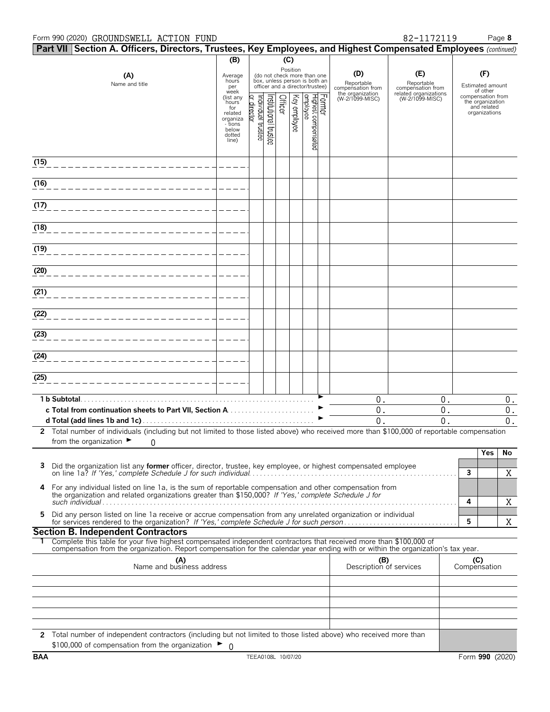#### Form 990 (2020) Page **8** GROUNDSWELL ACTION FUND 82-1172119

|      | Part VII Section A. Officers, Directors, Trustees, Key Employees, and Highest Compensated Employees (continued)                                                                                                   |                              |                                  |                                 |              |                                                                                                             |        |                                        |                                          |              |                                       |       |
|------|-------------------------------------------------------------------------------------------------------------------------------------------------------------------------------------------------------------------|------------------------------|----------------------------------|---------------------------------|--------------|-------------------------------------------------------------------------------------------------------------|--------|----------------------------------------|------------------------------------------|--------------|---------------------------------------|-------|
|      |                                                                                                                                                                                                                   | (B)                          |                                  |                                 | (C)          |                                                                                                             |        |                                        |                                          |              |                                       |       |
|      | (A)<br>Name and title                                                                                                                                                                                             | Average<br>hours<br>per      |                                  |                                 |              | Position<br>(do not check more than one<br>box, unless person is both an<br>officer and a director/trustee) |        | (D)<br>Reportable<br>compensation from | (E)<br>Reportable<br>compensation from   |              | (F)<br>Estimated amount<br>of other   |       |
|      |                                                                                                                                                                                                                   | week<br>(list any<br>hours   |                                  |                                 |              |                                                                                                             | Former | the organization<br>(W-2/1099-MISC)    | related organizations<br>(W-2/1099-MISC) |              | compensation from<br>the organization |       |
|      |                                                                                                                                                                                                                   | for<br>related               | or director<br>ndividual trustee | nstitutional trustee<br>Officer | Key employee | Highest compensated<br>employee                                                                             |        |                                        |                                          |              | and related<br>organizations          |       |
|      |                                                                                                                                                                                                                   | organiza<br>- tions<br>below |                                  |                                 |              |                                                                                                             |        |                                        |                                          |              |                                       |       |
|      |                                                                                                                                                                                                                   | dotted<br>line)              |                                  |                                 |              |                                                                                                             |        |                                        |                                          |              |                                       |       |
|      |                                                                                                                                                                                                                   |                              |                                  |                                 |              |                                                                                                             |        |                                        |                                          |              |                                       |       |
| (15) |                                                                                                                                                                                                                   |                              |                                  |                                 |              |                                                                                                             |        |                                        |                                          |              |                                       |       |
| (16) |                                                                                                                                                                                                                   |                              |                                  |                                 |              |                                                                                                             |        |                                        |                                          |              |                                       |       |
| (17) |                                                                                                                                                                                                                   |                              |                                  |                                 |              |                                                                                                             |        |                                        |                                          |              |                                       |       |
| (18) |                                                                                                                                                                                                                   |                              |                                  |                                 |              |                                                                                                             |        |                                        |                                          |              |                                       |       |
| (19) |                                                                                                                                                                                                                   |                              |                                  |                                 |              |                                                                                                             |        |                                        |                                          |              |                                       |       |
| (20) |                                                                                                                                                                                                                   |                              |                                  |                                 |              |                                                                                                             |        |                                        |                                          |              |                                       |       |
| (21) |                                                                                                                                                                                                                   |                              |                                  |                                 |              |                                                                                                             |        |                                        |                                          |              |                                       |       |
| (22) |                                                                                                                                                                                                                   |                              |                                  |                                 |              |                                                                                                             |        |                                        |                                          |              |                                       |       |
|      |                                                                                                                                                                                                                   |                              |                                  |                                 |              |                                                                                                             |        |                                        |                                          |              |                                       |       |
| (23) |                                                                                                                                                                                                                   |                              |                                  |                                 |              |                                                                                                             |        |                                        |                                          |              |                                       |       |
| (24) |                                                                                                                                                                                                                   |                              |                                  |                                 |              |                                                                                                             |        |                                        |                                          |              |                                       |       |
| (25) |                                                                                                                                                                                                                   |                              |                                  |                                 |              |                                                                                                             |        |                                        |                                          |              |                                       |       |
|      | 1 b Subtotal.                                                                                                                                                                                                     |                              |                                  |                                 |              |                                                                                                             |        | 0.                                     | 0.                                       |              |                                       | 0.    |
|      | c Total from continuation sheets to Part VII, Section A                                                                                                                                                           |                              |                                  |                                 |              |                                                                                                             |        | 0.                                     | 0.                                       |              |                                       | $0$ . |
|      |                                                                                                                                                                                                                   |                              |                                  |                                 |              |                                                                                                             |        | $\mathbf 0$ .                          | $\mathbf 0$ .                            |              |                                       | 0.    |
|      | 2 Total number of individuals (including but not limited to those listed above) who received more than \$100,000 of reportable compensation<br>from the organization $\blacktriangleright$<br>0                   |                              |                                  |                                 |              |                                                                                                             |        |                                        |                                          |              |                                       |       |
|      |                                                                                                                                                                                                                   |                              |                                  |                                 |              |                                                                                                             |        |                                        |                                          |              | Yes                                   | No    |
|      | 3 Did the organization list any former officer, director, trustee, key employee, or highest compensated employee                                                                                                  |                              |                                  |                                 |              |                                                                                                             |        |                                        |                                          |              |                                       |       |
|      |                                                                                                                                                                                                                   |                              |                                  |                                 |              |                                                                                                             |        |                                        |                                          | 3            |                                       | X     |
|      | 4 For any individual listed on line 1a, is the sum of reportable compensation and other compensation from<br>the organization and related organizations greater than \$150,000? If 'Yes,' complete Schedule J for |                              |                                  |                                 |              |                                                                                                             |        |                                        |                                          | 4            |                                       | Χ     |
| 5    | Did any person listed on line 1a receive or accrue compensation from any unrelated organization or individual                                                                                                     |                              |                                  |                                 |              |                                                                                                             |        |                                        |                                          | 5            |                                       |       |
|      | <b>Section B. Independent Contractors</b>                                                                                                                                                                         |                              |                                  |                                 |              |                                                                                                             |        |                                        |                                          |              |                                       | X     |
|      | Complete this table for your five highest compensated independent contractors that received more than \$100,000 of                                                                                                |                              |                                  |                                 |              |                                                                                                             |        |                                        |                                          |              |                                       |       |
|      | compensation from the organization. Report compensation for the calendar year ending with or within the organization's tax year.<br>(A)                                                                           |                              |                                  |                                 |              |                                                                                                             |        | (B)                                    |                                          | (C)          |                                       |       |
|      | Name and business address                                                                                                                                                                                         |                              |                                  |                                 |              |                                                                                                             |        | Description of services                |                                          | Compensation |                                       |       |
|      |                                                                                                                                                                                                                   |                              |                                  |                                 |              |                                                                                                             |        |                                        |                                          |              |                                       |       |
|      |                                                                                                                                                                                                                   |                              |                                  |                                 |              |                                                                                                             |        |                                        |                                          |              |                                       |       |
|      |                                                                                                                                                                                                                   |                              |                                  |                                 |              |                                                                                                             |        |                                        |                                          |              |                                       |       |
|      | 2 Total number of independent contractors (including but not limited to those listed above) who received more than                                                                                                |                              |                                  |                                 |              |                                                                                                             |        |                                        |                                          |              |                                       |       |
|      | \$100,000 of compensation from the organization $\blacktriangleright$ 0                                                                                                                                           |                              |                                  |                                 |              |                                                                                                             |        |                                        |                                          |              |                                       |       |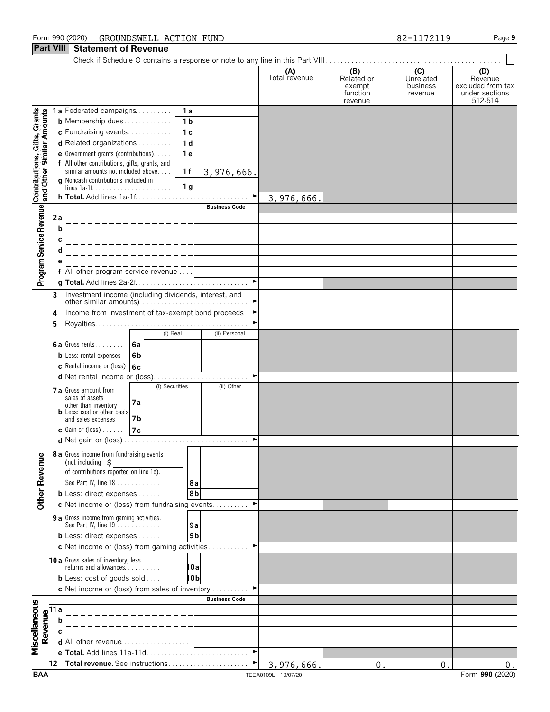#### Form 990 (2020) Page **9** GROUNDSWELL ACTION FUND 82-1172119

### **Part VIII Statement of Revenue**

Check if Schedule O contains a response or note to any line in this Part VIII . . . . . . . . . . . . . . . . . . . . . . . . . . . . . . . . . . . . . . . . . . . . . . . .

 $\mathsf{L}$ 

|                                                           |                                                         |                                                                       |    |                |                |                          | (A)<br>Total revenue | (B)<br>Related or<br>exempt<br>function<br>revenue | (C)<br>Unrelated<br>business<br>revenue | (D)<br>Revenue<br>excluded from tax<br>under sections<br>512-514 |
|-----------------------------------------------------------|---------------------------------------------------------|-----------------------------------------------------------------------|----|----------------|----------------|--------------------------|----------------------|----------------------------------------------------|-----------------------------------------|------------------------------------------------------------------|
|                                                           |                                                         | 1a Federated campaigns                                                |    |                | 1a             |                          |                      |                                                    |                                         |                                                                  |
|                                                           |                                                         | <b>b</b> Membership dues                                              |    |                | 1 <sub>b</sub> |                          |                      |                                                    |                                         |                                                                  |
|                                                           |                                                         | c Fundraising events                                                  |    |                | 1 <sub>c</sub> |                          |                      |                                                    |                                         |                                                                  |
|                                                           |                                                         | d Related organizations                                               |    |                | 1 <sub>d</sub> |                          |                      |                                                    |                                         |                                                                  |
|                                                           |                                                         | e Government grants (contributions).                                  |    |                | 1 <sub>e</sub> |                          |                      |                                                    |                                         |                                                                  |
|                                                           |                                                         | f All other contributions, gifts, grants, and                         |    |                |                |                          |                      |                                                    |                                         |                                                                  |
|                                                           |                                                         | similar amounts not included above.                                   |    |                | 1f             | 3,976,666.               |                      |                                                    |                                         |                                                                  |
|                                                           |                                                         | g Noncash contributions included in                                   |    |                | 1 <sub>g</sub> |                          |                      |                                                    |                                         |                                                                  |
| Contributions, Gifts, Grants<br>and Other Similar Amounts |                                                         |                                                                       |    |                |                | $\blacktriangleright$    | 3,976,666            |                                                    |                                         |                                                                  |
|                                                           |                                                         |                                                                       |    |                |                | <b>Business Code</b>     |                      |                                                    |                                         |                                                                  |
|                                                           | 2a                                                      |                                                                       |    |                |                |                          |                      |                                                    |                                         |                                                                  |
|                                                           | b                                                       |                                                                       |    |                |                |                          |                      |                                                    |                                         |                                                                  |
|                                                           | С                                                       |                                                                       |    |                |                |                          |                      |                                                    |                                         |                                                                  |
|                                                           | d                                                       |                                                                       |    |                |                |                          |                      |                                                    |                                         |                                                                  |
|                                                           |                                                         |                                                                       |    |                |                |                          |                      |                                                    |                                         |                                                                  |
| Program Service Revenue                                   |                                                         | All other program service revenue                                     |    |                |                |                          |                      |                                                    |                                         |                                                                  |
|                                                           |                                                         |                                                                       |    |                |                | $\overline{\phantom{a}}$ |                      |                                                    |                                         |                                                                  |
|                                                           | 3                                                       | Investment income (including dividends, interest, and                 |    |                |                |                          |                      |                                                    |                                         |                                                                  |
|                                                           |                                                         |                                                                       |    |                |                |                          |                      |                                                    |                                         |                                                                  |
|                                                           | Income from investment of tax-exempt bond proceeds<br>4 |                                                                       |    | ▶              |                |                          |                      |                                                    |                                         |                                                                  |
|                                                           | 5                                                       |                                                                       |    |                |                |                          |                      |                                                    |                                         |                                                                  |
|                                                           |                                                         |                                                                       |    | (i) Real       |                | (ii) Personal            |                      |                                                    |                                         |                                                                  |
|                                                           |                                                         | $6a$ Gross rents                                                      | 6a |                |                |                          |                      |                                                    |                                         |                                                                  |
|                                                           |                                                         | <b>b</b> Less: rental expenses                                        | 6b |                |                |                          |                      |                                                    |                                         |                                                                  |
|                                                           |                                                         | c Rental income or (loss)                                             | 6c |                |                |                          |                      |                                                    |                                         |                                                                  |
|                                                           |                                                         | d Net rental income or (loss)                                         |    |                |                | ▶                        |                      |                                                    |                                         |                                                                  |
|                                                           |                                                         | <b>7 a</b> Gross amount from                                          |    | (i) Securities |                | (ii) Other               |                      |                                                    |                                         |                                                                  |
|                                                           |                                                         | sales of assets<br>other than inventory                               | 7a |                |                |                          |                      |                                                    |                                         |                                                                  |
|                                                           |                                                         | <b>b</b> Less: cost or other basis                                    | 7b |                |                |                          |                      |                                                    |                                         |                                                                  |
|                                                           |                                                         | and sales expenses                                                    |    |                |                |                          |                      |                                                    |                                         |                                                                  |
|                                                           |                                                         | $c$ Gain or (loss)                                                    | 7c |                |                |                          |                      |                                                    |                                         |                                                                  |
|                                                           |                                                         |                                                                       |    |                |                |                          |                      |                                                    |                                         |                                                                  |
| enue                                                      |                                                         | 8 a Gross income from fundraising events<br>(not including $\zeta$    |    |                |                |                          |                      |                                                    |                                         |                                                                  |
|                                                           |                                                         | of contributions reported on line 1c).                                |    |                |                |                          |                      |                                                    |                                         |                                                                  |
|                                                           |                                                         | See Part IV, line 18                                                  |    |                | 8a             |                          |                      |                                                    |                                         |                                                                  |
|                                                           |                                                         | <b>b</b> Less: direct expenses $\ldots$ .                             |    |                | 8b             |                          |                      |                                                    |                                         |                                                                  |
| Other Rev                                                 |                                                         | c Net income or (loss) from fundraising events                        |    |                |                |                          |                      |                                                    |                                         |                                                                  |
|                                                           |                                                         | 9 a Gross income from gaming activities.                              |    |                |                |                          |                      |                                                    |                                         |                                                                  |
|                                                           |                                                         | See Part IV, line 19                                                  |    |                | 9a             |                          |                      |                                                    |                                         |                                                                  |
|                                                           |                                                         | <b>b</b> Less: direct expenses $\ldots$ .                             |    |                | 9 <sub>b</sub> |                          |                      |                                                    |                                         |                                                                  |
|                                                           |                                                         | c Net income or (loss) from gaming activities                         |    |                |                | ▶                        |                      |                                                    |                                         |                                                                  |
|                                                           |                                                         |                                                                       |    |                |                |                          |                      |                                                    |                                         |                                                                  |
|                                                           |                                                         | <b>10 a</b> Gross sales of inventory, less<br>returns and allowances. |    |                | 10a            |                          |                      |                                                    |                                         |                                                                  |
|                                                           |                                                         | <b>b</b> Less: $cost$ of goods $sold$                                 |    |                | 10 b           |                          |                      |                                                    |                                         |                                                                  |
|                                                           |                                                         | c Net income or (loss) from sales of inventory                        |    |                |                | ▶                        |                      |                                                    |                                         |                                                                  |
|                                                           |                                                         |                                                                       |    |                |                | <b>Business Code</b>     |                      |                                                    |                                         |                                                                  |
| Miscellaneous                                             | Revenue<br>$\alpha$ o $\alpha$                          |                                                                       |    |                |                |                          |                      |                                                    |                                         |                                                                  |
|                                                           |                                                         |                                                                       |    |                |                |                          |                      |                                                    |                                         |                                                                  |
|                                                           |                                                         |                                                                       |    |                |                |                          |                      |                                                    |                                         |                                                                  |
|                                                           |                                                         | d All other revenue<br>e Total. Add lines 11a-11d                     |    |                |                | ►                        |                      |                                                    |                                         |                                                                  |
|                                                           | 12                                                      | Total revenue. See instructions                                       |    |                |                | ٠                        |                      |                                                    |                                         |                                                                  |
|                                                           |                                                         |                                                                       |    |                |                |                          | 3,976,666.           | $\mathbf 0$ .                                      | 0.                                      | $0$ .                                                            |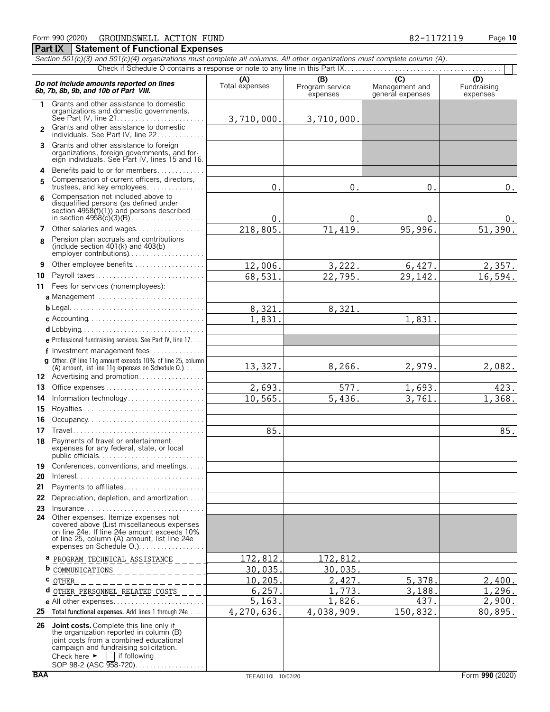| Form 990 (2020)<br>GROUNDSWELL ACTION FUND                                                                                                         |                       |                                    | 82-1172119                                | Page 10                        |  |
|----------------------------------------------------------------------------------------------------------------------------------------------------|-----------------------|------------------------------------|-------------------------------------------|--------------------------------|--|
| <b>Part IX   Statement of Functional Expenses</b>                                                                                                  |                       |                                    |                                           |                                |  |
| Section 501(c)(3) and 501(c)(4) organizations must complete all columns. All other organizations must complete column (A).                         |                       |                                    |                                           |                                |  |
|                                                                                                                                                    |                       |                                    |                                           |                                |  |
| Do not include amounts reported on lines<br>6b, 7b, 8b, 9b, and 10b of Part VIII.                                                                  | (A)<br>Total expenses | (B)<br>Program service<br>expenses | (C)<br>Management and<br>general expenses | (D)<br>Fundraising<br>expenses |  |
| Grants and other assistance to domestic<br>organizations and domestic governments.<br>Grants and other assistance to domestic<br>$\mathbf{\Omega}$ | 3,710,000.            | 3,710,000.                         |                                           |                                |  |
| individuals. See Part IV, line 22.<br>3 Grants and other assistance to foreign                                                                     |                       |                                    |                                           |                                |  |

|                | Do not include amounts reported on lines<br>6b, 7b, 8b, 9b, and 10b of Part VIII.                                                                                                                                                                                                              | (A)<br>Total expenses | (B)<br>Program service<br>expenses | (C)<br>Management and<br>general expenses | (D)<br>Fundraising<br>expenses |
|----------------|------------------------------------------------------------------------------------------------------------------------------------------------------------------------------------------------------------------------------------------------------------------------------------------------|-----------------------|------------------------------------|-------------------------------------------|--------------------------------|
| 1.             | Grants and other assistance to domestic<br>organizations and domestic governments.                                                                                                                                                                                                             | 3,710,000.            | 3,710,000.                         |                                           |                                |
| $\overline{2}$ | Grants and other assistance to domestic<br>individuals. See Part IV, line 22                                                                                                                                                                                                                   |                       |                                    |                                           |                                |
|                | <b>3</b> Grants and other assistance to foreign<br>organizations, foreign governments, and for-<br>eign individuals. See Part IV, lines 15 and 16.                                                                                                                                             |                       |                                    |                                           |                                |
| 4<br>5         | Benefits paid to or for members<br>Compensation of current officers, directors,<br>trustees, and key employees                                                                                                                                                                                 |                       |                                    |                                           |                                |
| 6              | Compensation not included above to<br>disqualified persons (as defined under<br>section $4958(f)(1)$ and persons described<br>in section $4958(c)(3)(B)$                                                                                                                                       | $0$ .<br>0.           | 0.<br>0.                           | 0.<br>0.                                  | 0.                             |
| 7              | Other salaries and wages                                                                                                                                                                                                                                                                       | 218,805.              | 71, 419.                           | 95,996.                                   | 0.<br>51,390.                  |
| 8              | Pension plan accruals and contributions<br>(include section $401(k)$ and $403(b)$<br>employer contributions)                                                                                                                                                                                   |                       |                                    |                                           |                                |
| 9              | Other employee benefits                                                                                                                                                                                                                                                                        | 12,006.               | 3,222.                             | 6,427.                                    | 2,357.                         |
| 10             | Payroll taxes                                                                                                                                                                                                                                                                                  | 68,531.               | 22,795.                            | 29,142.                                   | 16,594.                        |
| 11             | Fees for services (nonemployees):                                                                                                                                                                                                                                                              |                       |                                    |                                           |                                |
|                | a Management                                                                                                                                                                                                                                                                                   |                       |                                    |                                           |                                |
|                |                                                                                                                                                                                                                                                                                                | 8,321.                | 8,321.                             |                                           |                                |
|                |                                                                                                                                                                                                                                                                                                | 1,831.                |                                    | 1,831.                                    |                                |
|                |                                                                                                                                                                                                                                                                                                |                       |                                    |                                           |                                |
|                | e Professional fundraising services. See Part IV, line 17.<br>f Investment management fees                                                                                                                                                                                                     |                       |                                    |                                           |                                |
|                | g Other. (If line 11g amount exceeds 10% of line 25, column                                                                                                                                                                                                                                    |                       |                                    |                                           |                                |
|                | (A) amount, list line 11g expenses on Schedule 0.).<br>12 Advertising and promotion                                                                                                                                                                                                            | 13,327.               | 8,266.                             | 2,979.                                    | 2,082.                         |
| 13             | Office expenses                                                                                                                                                                                                                                                                                | 2,693.                | 577.                               | 1,693.                                    | 423.                           |
| 14             | Information technology                                                                                                                                                                                                                                                                         | 10,565.               | $\overline{5}$ , 436.              | 3,761.                                    | 1,368.                         |
| 15             |                                                                                                                                                                                                                                                                                                |                       |                                    |                                           |                                |
| 16             |                                                                                                                                                                                                                                                                                                |                       |                                    |                                           |                                |
| 17             |                                                                                                                                                                                                                                                                                                | 85.                   |                                    |                                           | 85.                            |
| 18             | Payments of travel or entertainment<br>expenses for any federal, state, or local<br>public officials                                                                                                                                                                                           |                       |                                    |                                           |                                |
| 19             | Conferences, conventions, and meetings                                                                                                                                                                                                                                                         |                       |                                    |                                           |                                |
| 20             |                                                                                                                                                                                                                                                                                                |                       |                                    |                                           |                                |
| 21             | Payments to affiliates                                                                                                                                                                                                                                                                         |                       |                                    |                                           |                                |
| 22             | Depreciation, depletion, and amortization                                                                                                                                                                                                                                                      |                       |                                    |                                           |                                |
| 23             | $Insurance \ldots \ldots \ldots \ldots \ldots \ldots \ldots \ldots \ldots$<br>24 Other expenses. Itemize expenses not<br>covered above (List miscellaneous expenses<br>on line 24e. If line 24e amount exceeds 10%<br>of line 25, column (A) amount, list line 24e<br>expenses on Schedule O.) |                       |                                    |                                           |                                |
| a              | PROGRAM TECHNICAL ASSISTANCE                                                                                                                                                                                                                                                                   | 172,812.              | <u>172,812.</u>                    |                                           |                                |
| b              | COMMUNICATIONS<br>________                                                                                                                                                                                                                                                                     | 30,035                | 30,035                             |                                           |                                |
| c              | OTHER                                                                                                                                                                                                                                                                                          | 10,205                | 2,427                              | 5,378                                     | 2,400.                         |
| d              | OTHER PERSONNEL RELATED COSTS ____                                                                                                                                                                                                                                                             | 6, 257.               | 1,773.                             | 3,188.                                    | 1,296.                         |
|                |                                                                                                                                                                                                                                                                                                | 5, 163.               | 1,826.                             | 437.                                      | 2,900.                         |
| 25             | Total functional expenses. Add lines 1 through 24e                                                                                                                                                                                                                                             | 4,270,636.            | 4,038,909.                         | 150,832.                                  | 80,895.                        |
| 26             | Joint costs. Complete this line only if<br>the organization reported in column (B)<br>joint costs from a combined educational<br>campaign and fundraising solicitation.<br>if following<br>Check here $\blacktriangleright$<br>SOP 98-2 (ASC 958-720)                                          |                       |                                    |                                           |                                |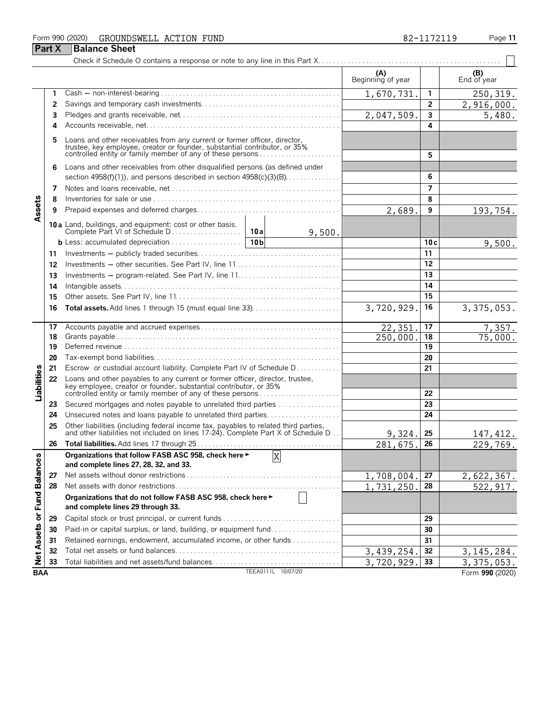#### Form 990 (2020) GROUNDSWELL ACTION FUND **82-1172119** Page 11

**Part X** Balance Sheet

Check if Schedule O contains a response or note to any line in this Part X. . . . . . . . . . . . . . . . . . . . . . . . . . . . . . . . . . . . . . . . . . . . . . . . . .  $(B)$  **(A)**  $\qquad \qquad$  **End of year** End of year **(A) (B) 1** Cash ' non-interest-bearing . . . . . . . . . . . . . . . . . . . . . . . . . . . . . . . . . . . . . . . . . . . . . . . . . **1** 250,319 **2** Savings and temporary cash investments. . . . . . . . . . . . . . . . . . . . . . . . . . . . . . . . . . . . . . **2** 2,916,000. **3** Pledges and grants receivable, net. . . . . . . . . . . . . . . . . . . . . . . . . . . . . . . . . . . . . . . . . . . . **3** 2,047,509. 5,480. **4** Accounts receivable, net. . . . . . . . . . . . . . . . . . . . . . . . . . . . . . . . . . . . . . . . . . . . . . . . . . . . . **4** 5 Loans and other receivables from any current or former officer, director,<br>trustee, key employee, creator or founder, substantial contributor, or 35%<br>controlled entity or family member of any of these persons . . . . . . **6** Loans and other receivables from other disqualified persons (as defined under section 4958(f)(1)), and persons described in section 4958(c)(3)(B). . . . . . . . . . . . . . . **6 7** Notes and loans receivable, net. . . . . . . . . . . . . . . . . . . . . . . . . . . . . . . . . . . . . . . . . . . . . . . **7 8** Inventories for sale or use . . . . . . . . . . . . . . . . . . . . . . . . . . . . . . . . . . . . . . . . . . . . . . . . . . . **8** Assets **9** Prepaid expenses and deferred charges . . . . . . . . . . . . . . . . . . . . . . . . . . . . . . . . . . . . . . . **9** 193,754 **10 a** Land, buildings, and equipment: cost or other basis. Complete Part VI of Schedule D . . . . . . . . . . . . . . . . . . . **10a** 9,500. **b** Less: accumulated depreciation. . . . . . . . . . . . . . . . . . . . **10b 10 c** 9,500. **11** Investments ' publicly traded securities. . . . . . . . . . . . . . . . . . . . . . . . . . . . . . . . . . . . . . . **11 12** Investments ' other securities. See Part IV, line 11 . . . . . . . . . . . . . . . . . . . . . . . . . . . . **12 13** Investments ' program-related. See Part IV, line 11. . . . . . . . . . . . . . . . . . . . . . . . . . . . **13 14** Intangible assets. . . . . . . . . . . . . . . . . . . . . . . . . . . . . . . . . . . . . . . . . . . . . . . . . . . . . . . . . . . . **14 15** Other assets. See Part IV, line 11. . . . . . . . . . . . . . . . . . . . . . . . . . . . . . . . . . . . . . . . . . . . . **15 16 Total assets.** Add lines 1 through 15 (must equal line 33). . . . . . . . . . . . . . . . . . . . . . . . **16** 3,720,929. 3,375,053. **17** Accounts payable and accrued expenses . . . . . . . . . . . . . . . . . . . . . . . . . . . . . . . . . . . . . . **17** 22,351 **18** Grants payable . . . . . . . . . . . . . . . . . . . . . . . . . . . . . . . . . . . . . . . . . . . . . . . . . . . . . . . . . . . . . **18** 250,000. 75,000. **19** Deferred revenue . . . . . . . . . . . . . . . . . . . . . . . . . . . . . . . . . . . . . . . . . . . . . . . . . . . . . . . . . . . **19 20** Tax-exempt bond liabilities. . . . . . . . . . . . . . . . . . . . . . . . . . . . . . . . . . . . . . . . . . . . . . . . . . . **20 21** Escrow or custodial account liability. Complete Part IV of Schedule D. . . . . . . . . . . . **21** Liabilities **22** Loans and other payables to any current or former officer, director, trustee, key employee, creator or founder, substantial contributor, or 35% controlled entity or family member of any of these persons . . . . . . . . . . . . . . . . . . . . . . **22 23** Secured mortgages and notes payable to unrelated third parties . . . . . . . . . . . . . . . . . **23 24** Unsecured notes and loans payable to unrelated third parties. . . . . . . . . . . . . . . . . . . . **24 25** Other liabilities (including federal income tax, payables to related third parties,<br>and other liabilities not included on lines 17-24). Complete Part X of Schedule D. . . **25**<br>**25** and other liabilities not included o 9,324. 25 147,412. **26 Total liabilities.** Add lines 17 through 25 . . . . . . . . . . . . . . . . . . . . . . . . . . . . . . . . . . . . . . . **26** 229,769 **Organizations that follow FASB ASC 958, check here** G X or Fund Balances **and complete lines 27, 28, 32, and 33. 27** Net assets without donor restrictions . . . . . . . . . . . . . . . . . . . . . . . . . . . . . . . . . . . . . . . . . . **27** 2,622,367. **28** Net assets with donor restrictions. . . . . . . . . . . . . . . . . . . . . . . . . . . . . . . . . . . . . . . . . . . . . **28**  $1,731,250$ . **28**  $\vert$  522, 917. **Organizations that do not follow FASB ASC 958, check here** G **and complete lines 29 through 33. 29** Capital stock or trust principal, or current funds. . . . . . . . . . . . . . . . . . . . . . . . . . . . . . . . . **29 Net Assets 30** Paid-in or capital surplus, or land, building, or equipment fund. . . . . . . . . . . . . . . . . . . **30 31** Retained earnings, endowment, accumulated income, or other funds . . . . . . . . . . . . . **31 32** Total net assets or fund balances. . . . . . . . . . . . . . . . . . . . . . . . . . . . . . . . . . . . . . . . . . . . . **32** 3,439,254. 3,145,284. **33** Total liabilities and net assets/fund balances. . . . . . . . . . . . . . . . . . . . . . . . . . . . . . . . . . . **33** 3,375,053

**BAA** TEEA0111L 10/07/20 Form **990** (2020)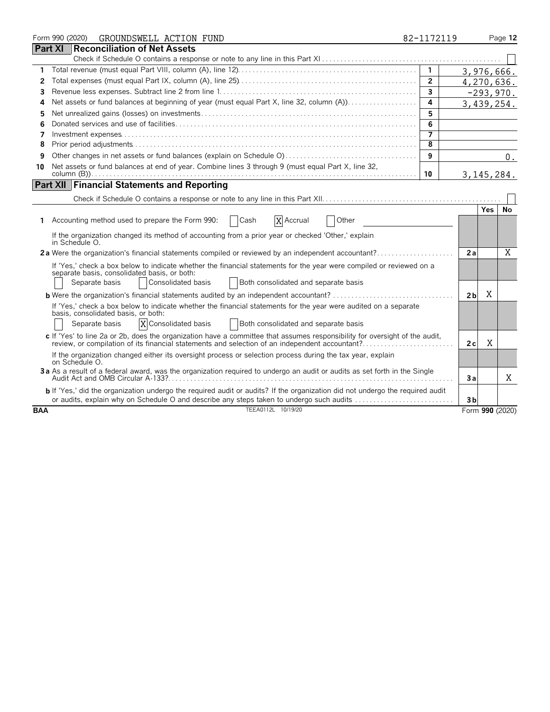|            | Form 990 (2020)<br>GROUNDSWELL ACTION FUND                                                                                                              | 82-1172119     |                 |             | Page 12 |
|------------|---------------------------------------------------------------------------------------------------------------------------------------------------------|----------------|-----------------|-------------|---------|
|            | <b>Part XI</b><br>Reconciliation of Net Assets                                                                                                          |                |                 |             |         |
|            |                                                                                                                                                         |                |                 |             |         |
| 1.         |                                                                                                                                                         | $\overline{1}$ | 3,976,666.      |             |         |
| 2          |                                                                                                                                                         | $\overline{2}$ | 4,270,636.      |             |         |
| 3          |                                                                                                                                                         | $\overline{3}$ |                 | $-293,970.$ |         |
| 4          | Net assets or fund balances at beginning of year (must equal Part X, line 32, column (A))                                                               | 4              | 3,439,254.      |             |         |
| 5          |                                                                                                                                                         | 5              |                 |             |         |
| 6          |                                                                                                                                                         | 6              |                 |             |         |
| 7          |                                                                                                                                                         | 7              |                 |             |         |
| 8          |                                                                                                                                                         | 8              |                 |             |         |
| 9          |                                                                                                                                                         | 9              |                 |             | 0.      |
| 10         | Net assets or fund balances at end of year. Combine lines 3 through 9 (must equal Part X, line 32,                                                      |                |                 |             |         |
|            |                                                                                                                                                         | 10             | 3, 145, 284.    |             |         |
|            | <b>Part XII Financial Statements and Reporting</b>                                                                                                      |                |                 |             |         |
|            |                                                                                                                                                         |                |                 |             |         |
|            |                                                                                                                                                         |                |                 | <b>Yes</b>  | No      |
| 1          | Accounting method used to prepare the Form 990:<br>Cash<br>X Accrual<br>Other                                                                           |                |                 |             |         |
|            | If the organization changed its method of accounting from a prior year or checked 'Other,' explain                                                      |                |                 |             |         |
|            | in Schedule O.                                                                                                                                          |                |                 |             |         |
|            | 2a Were the organization's financial statements compiled or reviewed by an independent accountant?                                                      |                | 2a              |             | X       |
|            | If 'Yes,' check a box below to indicate whether the financial statements for the year were compiled or reviewed on a                                    |                |                 |             |         |
|            | separate basis, consolidated basis, or both:                                                                                                            |                |                 |             |         |
|            | Consolidated basis<br>Both consolidated and separate basis<br>Separate basis                                                                            |                |                 |             |         |
|            | <b>b</b> Were the organization's financial statements audited by an independent accountant?                                                             |                | 2 <sub>b</sub>  | Χ           |         |
|            | If 'Yes,' check a box below to indicate whether the financial statements for the year were audited on a separate<br>basis, consolidated basis, or both: |                |                 |             |         |
|            | X Consolidated basis<br>Both consolidated and separate basis<br>Separate basis                                                                          |                |                 |             |         |
|            |                                                                                                                                                         |                |                 |             |         |
|            | c If 'Yes' to line 2a or 2b, does the organization have a committee that assumes responsibility for oversight of the audit,                             |                | 2 c             | Χ           |         |
|            | If the organization changed either its oversight process or selection process during the tax year, explain<br>on Schedule O.                            |                |                 |             |         |
|            | 3a As a result of a federal award, was the organization required to undergo an audit or audits as set forth in the Single                               |                | Зa              |             | Χ       |
|            | <b>b</b> If 'Yes,' did the organization undergo the required audit or audits? If the organization did not undergo the required audit                    |                |                 |             |         |
|            | or audits, explain why on Schedule O and describe any steps taken to undergo such audits                                                                |                | 3 <sub>b</sub>  |             |         |
| <b>BAA</b> | TEEA0112L 10/19/20                                                                                                                                      |                | Form 990 (2020) |             |         |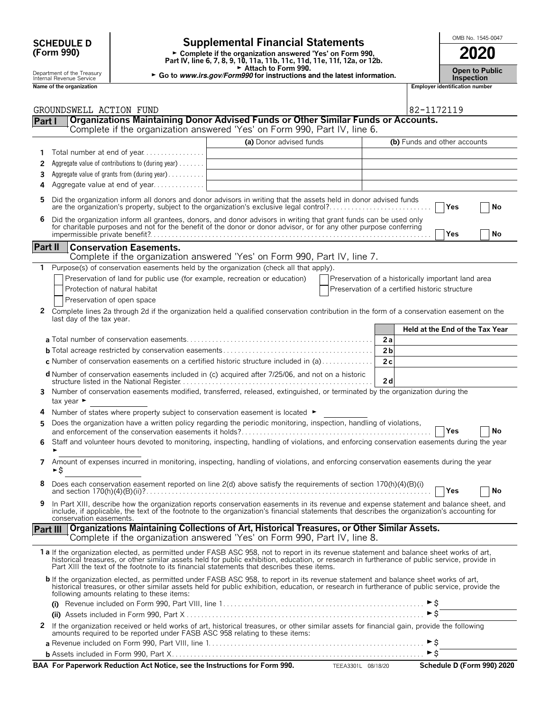| <b>SCHEDULE D</b><br>(Form 990)                        | OMB No. 1545-0047                                                                                                                                                                                                                       |                                            |                                                |                                                    |
|--------------------------------------------------------|-----------------------------------------------------------------------------------------------------------------------------------------------------------------------------------------------------------------------------------------|--------------------------------------------|------------------------------------------------|----------------------------------------------------|
| Department of the Treasury<br>Internal Revenue Service | Part IV, line 6, 7, 8, 9, 10, 11a, 11b, 11c, 11d, 11e, 11f, 12a, or 12b.<br>► Go to www.irs.gov/Form990 for instructions and the latest information.                                                                                    | <b>Open to Public</b><br><b>Inspection</b> |                                                |                                                    |
| Name of the organization                               |                                                                                                                                                                                                                                         |                                            |                                                | <b>Employer identification number</b>              |
| GROUNDSWELL ACTION FUND<br>Part I                      | <b>Organizations Maintaining Donor Advised Funds or Other Similar Funds or Accounts.</b><br>Complete if the organization answered 'Yes' on Form 990, Part IV, line 6.                                                                   |                                            |                                                | 82-1172119                                         |
|                                                        |                                                                                                                                                                                                                                         | (a) Donor advised funds                    |                                                | (b) Funds and other accounts                       |
| 1                                                      | Total number at end of year                                                                                                                                                                                                             |                                            |                                                |                                                    |
| 2                                                      | Aggregate value of contributions to (during year)                                                                                                                                                                                       |                                            |                                                |                                                    |
| 3                                                      | Aggregate value of grants from (during year)                                                                                                                                                                                            |                                            |                                                |                                                    |
| 4                                                      | Aggregate value at end of year                                                                                                                                                                                                          |                                            |                                                |                                                    |
| 5                                                      | Did the organization inform all donors and donor advisors in writing that the assets held in donor advised funds<br>are the organization's property, subject to the organization's exclusive legal control?                             |                                            |                                                | Yes<br>No                                          |
| 6                                                      | Did the organization inform all grantees, donors, and donor advisors in writing that grant funds can be used only<br>for charitable purposes and not for the benefit of the donor or donor advisor, or for any other purpose conferring |                                            |                                                | <b>Yes</b><br>No                                   |
| <b>Part II</b>                                         | <b>Conservation Easements.</b><br>Complete if the organization answered 'Yes' on Form 990, Part IV, line 7.                                                                                                                             |                                            |                                                |                                                    |
| 1.                                                     | Purpose(s) of conservation easements held by the organization (check all that apply).                                                                                                                                                   |                                            |                                                |                                                    |
|                                                        | Preservation of land for public use (for example, recreation or education)                                                                                                                                                              |                                            |                                                | Preservation of a historically important land area |
|                                                        | Protection of natural habitat                                                                                                                                                                                                           |                                            | Preservation of a certified historic structure |                                                    |
|                                                        | Preservation of open space                                                                                                                                                                                                              |                                            |                                                |                                                    |
| 2<br>last day of the tax year.                         | Complete lines 2a through 2d if the organization held a qualified conservation contribution in the form of a conservation easement on the                                                                                               |                                            |                                                |                                                    |
|                                                        |                                                                                                                                                                                                                                         |                                            |                                                | Held at the End of the Tax Year                    |
|                                                        |                                                                                                                                                                                                                                         |                                            | 2a                                             |                                                    |
|                                                        |                                                                                                                                                                                                                                         |                                            | 2 <sub>b</sub>                                 |                                                    |
|                                                        | c Number of conservation easements on a certified historic structure included in (a) $\dots$                                                                                                                                            |                                            | 2c                                             |                                                    |
|                                                        | <b>d</b> Number of conservation easements included in (c) acquired after 7/25/06, and not on a historic                                                                                                                                 |                                            | 2d                                             |                                                    |
| 3<br>tax year                                          | Number of conservation easements modified, transferred, released, extinguished, or terminated by the organization during the                                                                                                            |                                            |                                                |                                                    |
|                                                        | Number of states where property subject to conservation easement is located ►                                                                                                                                                           |                                            |                                                |                                                    |
| 5                                                      | Does the organization have a written policy regarding the periodic monitoring, inspection, handling of violations,                                                                                                                      |                                            |                                                | Yes<br>No                                          |

|  |  |  | 6 Staff and volunteer hours devoted to monitoring, inspecting, handling of violations, and enforcing conservation easements during the year |
|--|--|--|---------------------------------------------------------------------------------------------------------------------------------------------|
|  |  |  |                                                                                                                                             |

|  | 7 Amount of expenses incurred in monitoring, inspecting, handling of violations, and enforcing conservation easements during the year |
|--|---------------------------------------------------------------------------------------------------------------------------------------|
|  |                                                                                                                                       |

|  | $\sqcap$ No |
|--|-------------|

| 9 In Part XIII, describe how the organization reports conservation easements in its revenue and expense statement and balance sheet, and     |
|----------------------------------------------------------------------------------------------------------------------------------------------|
| include, if applicable, the text of the footnote to the organization's financial statements that describes the organization's accounting for |
| conservation easements.                                                                                                                      |

### **Part III Organizations Maintaining Collections of Art, Historical Treasures, or Other Similar Assets.** Complete if the organization answered 'Yes' on Form 990, Part IV, line 8.

| 1a If the organization elected, as permitted under FASB ASC 958, not to report in its revenue statement and balance sheet works of art,<br>historical treasures, or other similar assets held for public exhibition, education, or research in furtherance of public service, provide in<br>Part XIII the text of the footnote to its financial statements that describes these items. |
|----------------------------------------------------------------------------------------------------------------------------------------------------------------------------------------------------------------------------------------------------------------------------------------------------------------------------------------------------------------------------------------|
| <b>b</b> If the organization elected, as permitted under FASB ASC 958, to report in its revenue statement and balance sheet works of art, historical treasures, or other similar assets held for public exhibition, education, or r<br>following amounts relating to these items:                                                                                                      |
|                                                                                                                                                                                                                                                                                                                                                                                        |
|                                                                                                                                                                                                                                                                                                                                                                                        |
| 2 If the organization received or held works of art, historical treasures, or other similar assets for financial gain, provide the following<br>amounts required to be reported under FASB ASC 958 relating to these items:                                                                                                                                                            |
|                                                                                                                                                                                                                                                                                                                                                                                        |
|                                                                                                                                                                                                                                                                                                                                                                                        |

**BAA For Paperwork Reduction Act Notice, see the Instructions for Form 990.** TEEA3301L 08/18/20 **Schedule D (Form 990) 2020**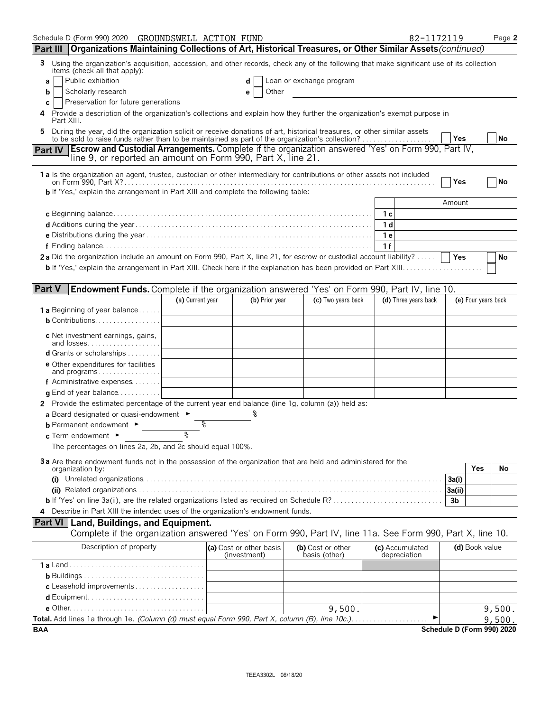| Schedule D (Form 990) 2020                                                                                                                                                                                                        | GROUNDSWELL ACTION FUND |                                         |                                    |            | 82-1172119                      |                |                     | Page 2                     |
|-----------------------------------------------------------------------------------------------------------------------------------------------------------------------------------------------------------------------------------|-------------------------|-----------------------------------------|------------------------------------|------------|---------------------------------|----------------|---------------------|----------------------------|
| Organizations Maintaining Collections of Art, Historical Treasures, or Other Similar Assets (continued)<br>Part III                                                                                                               |                         |                                         |                                    |            |                                 |                |                     |                            |
| Using the organization's acquisition, accession, and other records, check any of the following that make significant use of its collection<br>3<br>items (check all that apply):                                                  |                         |                                         |                                    |            |                                 |                |                     |                            |
| Public exhibition<br>a                                                                                                                                                                                                            |                         |                                         | Loan or exchange program           |            |                                 |                |                     |                            |
| Scholarly research<br>b                                                                                                                                                                                                           |                         | Other<br>e                              |                                    |            |                                 |                |                     |                            |
| Preservation for future generations<br>C                                                                                                                                                                                          |                         |                                         |                                    |            |                                 |                |                     |                            |
| Provide a description of the organization's collections and explain how they further the organization's exempt purpose in<br>4<br>Part XIII.                                                                                      |                         |                                         |                                    |            |                                 |                |                     |                            |
| During the year, did the organization solicit or receive donations of art, historical treasures, or other similar assets<br>5<br>to be sold to raise funds rather than to be maintained as part of the organization's collection? |                         |                                         |                                    |            |                                 | <b>Yes</b>     |                     | No                         |
| <b>Escrow and Custodial Arrangements.</b> Complete if the organization answered 'Yes' on Form 990, Part IV,<br><b>Part IV</b>                                                                                                     |                         |                                         |                                    |            |                                 |                |                     |                            |
| line 9, or reported an amount on Form 990, Part X, line 21.                                                                                                                                                                       |                         |                                         |                                    |            |                                 |                |                     |                            |
| 1 a Is the organization an agent, trustee, custodian or other intermediary for contributions or other assets not included                                                                                                         |                         |                                         |                                    |            |                                 |                |                     |                            |
|                                                                                                                                                                                                                                   |                         |                                         |                                    |            |                                 | Yes            |                     | No                         |
| <b>b</b> If 'Yes,' explain the arrangement in Part XIII and complete the following table:                                                                                                                                         |                         |                                         |                                    |            |                                 |                |                     |                            |
|                                                                                                                                                                                                                                   |                         |                                         |                                    |            |                                 | Amount         |                     |                            |
|                                                                                                                                                                                                                                   |                         |                                         |                                    | <b>1</b> c |                                 |                |                     |                            |
|                                                                                                                                                                                                                                   |                         |                                         |                                    |            |                                 |                |                     |                            |
|                                                                                                                                                                                                                                   |                         |                                         |                                    | 1е         |                                 |                |                     |                            |
|                                                                                                                                                                                                                                   |                         |                                         |                                    | 1f         |                                 |                |                     |                            |
| 2a Did the organization include an amount on Form 990, Part X, line 21, for escrow or custodial account liability?                                                                                                                |                         |                                         |                                    |            |                                 | Yes            |                     | No                         |
|                                                                                                                                                                                                                                   |                         |                                         |                                    |            |                                 |                |                     |                            |
|                                                                                                                                                                                                                                   |                         |                                         |                                    |            |                                 |                |                     |                            |
| <b>Part V</b><br><b>Endowment Funds.</b> Complete if the organization answered 'Yes' on Form 990, Part IV, line 10.                                                                                                               |                         |                                         |                                    |            |                                 |                |                     |                            |
| <b>1a</b> Beginning of year balance                                                                                                                                                                                               | (a) Current year        | (b) Prior year                          | (c) Two years back                 |            | (d) Three years back            |                | (e) Four years back |                            |
| $b$ Contributions.                                                                                                                                                                                                                |                         |                                         |                                    |            |                                 |                |                     |                            |
|                                                                                                                                                                                                                                   |                         |                                         |                                    |            |                                 |                |                     |                            |
| c Net investment earnings, gains,<br>and losses                                                                                                                                                                                   |                         |                                         |                                    |            |                                 |                |                     |                            |
| <b>d</b> Grants or scholarships $\ldots \ldots \ldots$                                                                                                                                                                            |                         |                                         |                                    |            |                                 |                |                     |                            |
| <b>e</b> Other expenditures for facilities<br>and programs                                                                                                                                                                        |                         |                                         |                                    |            |                                 |                |                     |                            |
| f Administrative expenses                                                                                                                                                                                                         |                         |                                         |                                    |            |                                 |                |                     |                            |
| $q$ End of year balance $\ldots \ldots \ldots$                                                                                                                                                                                    |                         |                                         |                                    |            |                                 |                |                     |                            |
| 2 Provide the estimated percentage of the current year end balance (line 1g, column (a)) held as:                                                                                                                                 |                         |                                         |                                    |            |                                 |                |                     |                            |
| a Board designated or quasi-endowment $\blacktriangleright$                                                                                                                                                                       |                         |                                         |                                    |            |                                 |                |                     |                            |
| <b>b</b> Permanent endowment ►                                                                                                                                                                                                    | ℅                       |                                         |                                    |            |                                 |                |                     |                            |
| $\epsilon$ Term endowment $\blacktriangleright$                                                                                                                                                                                   | °                       |                                         |                                    |            |                                 |                |                     |                            |
| The percentages on lines 2a, 2b, and 2c should equal 100%.                                                                                                                                                                        |                         |                                         |                                    |            |                                 |                |                     |                            |
| 3a Are there endowment funds not in the possession of the organization that are held and administered for the                                                                                                                     |                         |                                         |                                    |            |                                 |                |                     |                            |
| organization by:                                                                                                                                                                                                                  |                         |                                         |                                    |            |                                 |                | Yes                 | No                         |
|                                                                                                                                                                                                                                   |                         |                                         |                                    |            |                                 | 3a(i)          |                     |                            |
|                                                                                                                                                                                                                                   |                         |                                         |                                    |            |                                 | 3a(ii)         |                     |                            |
|                                                                                                                                                                                                                                   |                         |                                         |                                    |            |                                 | 3 <sub>b</sub> |                     |                            |
| Describe in Part XIII the intended uses of the organization's endowment funds.                                                                                                                                                    |                         |                                         |                                    |            |                                 |                |                     |                            |
| <b>Part VI Land, Buildings, and Equipment.</b>                                                                                                                                                                                    |                         |                                         |                                    |            |                                 |                |                     |                            |
| Complete if the organization answered 'Yes' on Form 990, Part IV, line 11a. See Form 990, Part X, line 10.                                                                                                                        |                         |                                         |                                    |            |                                 |                |                     |                            |
| Description of property                                                                                                                                                                                                           |                         | (a) Cost or other basis<br>(investment) | (b) Cost or other<br>basis (other) |            | (c) Accumulated<br>depreciation |                | (d) Book value      |                            |
|                                                                                                                                                                                                                                   |                         |                                         |                                    |            |                                 |                |                     |                            |
|                                                                                                                                                                                                                                   |                         |                                         |                                    |            |                                 |                |                     |                            |
| c Leasehold improvements                                                                                                                                                                                                          |                         |                                         |                                    |            |                                 |                |                     |                            |
|                                                                                                                                                                                                                                   |                         |                                         |                                    |            |                                 |                |                     |                            |
|                                                                                                                                                                                                                                   |                         |                                         | 9,500.                             |            |                                 |                |                     | 9,500.                     |
|                                                                                                                                                                                                                                   |                         |                                         |                                    |            | ▶                               |                |                     | 9,500.                     |
| <b>BAA</b>                                                                                                                                                                                                                        |                         |                                         |                                    |            |                                 |                |                     | Schedule D (Form 990) 2020 |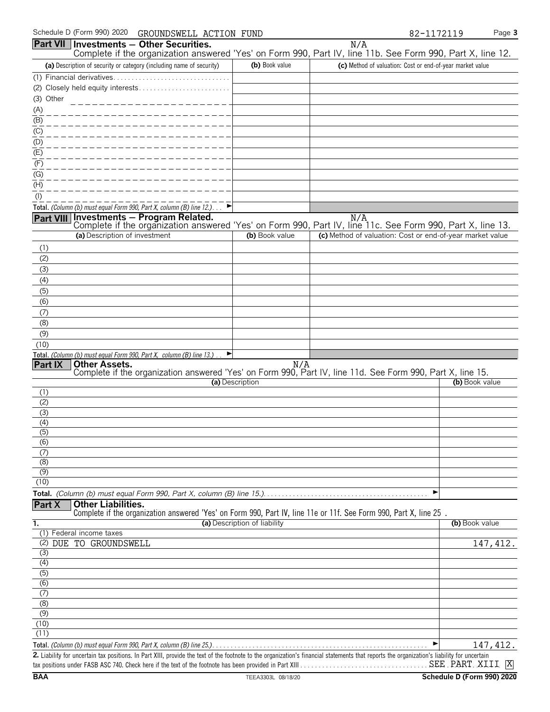| Schedule D (Form 990) 2020<br>GROUNDSWELL ACTION FUND                                                               |                 |     | 82-1172119                                                | Page 3 |
|---------------------------------------------------------------------------------------------------------------------|-----------------|-----|-----------------------------------------------------------|--------|
| <b>Part VII Investments - Other Securities.</b>                                                                     |                 | N/A |                                                           |        |
| Complete if the organization answered 'Yes' on Form 990, Part IV, line 11b. See Form 990, Part X, line 12.          |                 |     |                                                           |        |
| (a) Description of security or category (including name of security)                                                | (b) Book value  |     | (c) Method of valuation: Cost or end-of-year market value |        |
|                                                                                                                     |                 |     |                                                           |        |
| (2) Closely held equity interests                                                                                   |                 |     |                                                           |        |
| (3) Other                                                                                                           |                 |     |                                                           |        |
| (A)                                                                                                                 |                 |     |                                                           |        |
| (B)                                                                                                                 |                 |     |                                                           |        |
| (C)                                                                                                                 |                 |     |                                                           |        |
| (D)                                                                                                                 |                 |     |                                                           |        |
| (E)                                                                                                                 |                 |     |                                                           |        |
| (F)                                                                                                                 |                 |     |                                                           |        |
| (G)                                                                                                                 |                 |     |                                                           |        |
| (H)                                                                                                                 |                 |     |                                                           |        |
| $($ l $)$                                                                                                           |                 |     |                                                           |        |
| Total. (Column (b) must equal Form 990, Part X, column (B) line $12.$ )                                             |                 |     |                                                           |        |
| Investments - Program Related.<br><b>Part VIII</b>                                                                  |                 | N/A |                                                           |        |
| Complete if the organization answered 'Yes' on Form 990, Part IV, line 11c. See Form 990, Part X, line 13.          |                 |     |                                                           |        |
| (a) Description of investment                                                                                       | (b) Book value  |     | (c) Method of valuation: Cost or end-of-year market value |        |
| (1)                                                                                                                 |                 |     |                                                           |        |
| (2)                                                                                                                 |                 |     |                                                           |        |
| (3)                                                                                                                 |                 |     |                                                           |        |
| (4)                                                                                                                 |                 |     |                                                           |        |
| (5)                                                                                                                 |                 |     |                                                           |        |
| (6)                                                                                                                 |                 |     |                                                           |        |
| (7)                                                                                                                 |                 |     |                                                           |        |
| (8)                                                                                                                 |                 |     |                                                           |        |
| (9)                                                                                                                 |                 |     |                                                           |        |
| (10)                                                                                                                |                 |     |                                                           |        |
| Total. (Column (b) must equal Form 990, Part X, column (B) line 13.)<br>▶<br><b>Other Assets.</b><br><b>Part IX</b> | N/A             |     |                                                           |        |
| Complete if the organization answered 'Yes' on Form 990, Part IV, line 11d. See Form 990, Part X, line 15.          |                 |     |                                                           |        |
|                                                                                                                     | (a) Description |     | (b) Book value                                            |        |
| (1)                                                                                                                 |                 |     |                                                           |        |
| (2)                                                                                                                 |                 |     |                                                           |        |
| (3)                                                                                                                 |                 |     |                                                           |        |
| (4)                                                                                                                 |                 |     |                                                           |        |
| (5)                                                                                                                 |                 |     |                                                           |        |
| (6)<br>(7)                                                                                                          |                 |     |                                                           |        |
|                                                                                                                     |                 |     |                                                           |        |

 $(10)$ **Total.** *(Column (b) must equal Form 990, Part X, column (B) line 15.)*. . . . . . . . . . . . . . . . . . . . . . . . . . . . . . . . . . . . . . . . . . . . . G

**Part X Other Liabilities.**

Complete if the organization answered 'Yes' on Form 990, Part IV, line 11e or 11f. See Form 990, Part X, line 25 .

| 1.                       | (a) Description of liability | (b) Book value |
|--------------------------|------------------------------|----------------|
| (1) Federal income taxes |                              |                |
| (2) DUE TO GROUNDSWELL   |                              | 147, 412.      |
| (3)                      |                              |                |
| (4)                      |                              |                |
| (5)                      |                              |                |
| (6)                      |                              |                |
| (7)                      |                              |                |
| (8)                      |                              |                |
| (9)                      |                              |                |
| (10)                     |                              |                |
| (11)                     |                              |                |
|                          |                              | 147, 412.      |
|                          |                              |                |

**2.** Liability for uncertain tax positions. In Part XIII, provide the text of the footnote to the organization's financial statements that reports the organization's liability for uncertain tax positions under FASB ASC 740. Check here if the text of the footnote has been provided in Part XIII . . . . . . . . . . . . . . . . . . . . . . . . . . . . . . . . . . . . . . . . . . . . . . . . . . . . . . . X SEE PART XIII

(8) (9)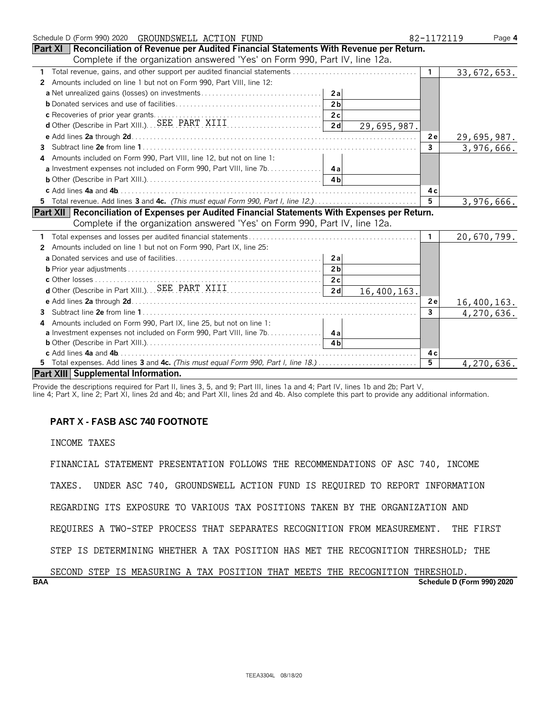| Schedule D (Form 990) 2020 GROUNDSWELL ACTION FUND                                               | 82-1172119     | Page 4        |
|--------------------------------------------------------------------------------------------------|----------------|---------------|
| Part XI   Reconciliation of Revenue per Audited Financial Statements With Revenue per Return.    |                |               |
| Complete if the organization answered 'Yes' on Form 990, Part IV, line 12a.                      |                |               |
| 1                                                                                                | $\mathbf{1}$   | 33, 672, 653. |
| Amounts included on line 1 but not on Form 990, Part VIII, line 12:<br>2                         |                |               |
|                                                                                                  |                |               |
| 2 <sub>b</sub>                                                                                   |                |               |
|                                                                                                  |                |               |
| 29,695,987.                                                                                      |                |               |
|                                                                                                  | 2e             | 29,695,987.   |
| 3                                                                                                | $\overline{3}$ | 3,976,666.    |
| Amounts included on Form 990, Part VIII, line 12, but not on line 1:                             |                |               |
| <b>a</b> Investment expenses not included on Form 990, Part VIII, line 7b. 4a                    |                |               |
|                                                                                                  |                |               |
|                                                                                                  | 4 с            |               |
| 5 Total revenue. Add lines 3 and 4c. (This must equal Form 990, Part I, line 12.)                | 5              | 3,976,666.    |
| Part XII   Reconciliation of Expenses per Audited Financial Statements With Expenses per Return. |                |               |
| Complete if the organization answered 'Yes' on Form 990, Part IV, line 12a.                      |                |               |
|                                                                                                  | $\mathbf{1}$   | 20,670,799.   |
| Amounts included on line 1 but not on Form 990, Part IX, line 25:<br>2                           |                |               |
| 2a                                                                                               |                |               |
| 2 <sub>b</sub>                                                                                   |                |               |
| c Other losses                                                                                   |                |               |
| 2d<br>16,400,163.                                                                                |                |               |
|                                                                                                  | 2 e            | 16, 400, 163. |
|                                                                                                  | 3              | 4,270,636.    |
| Amounts included on Form 990, Part IX, line 25, but not on line 1:<br>4                          |                |               |
| <b>a</b> Investment expenses not included on Form 990, Part VIII, line 7b. 4a                    |                |               |
|                                                                                                  |                |               |
|                                                                                                  | 4 c            |               |
| 5 Total expenses. Add lines 3 and 4c. (This must equal Form 990, Part I, line 18.)               | 5.             | 4,270,636.    |
| Part XIII Supplemental Information.                                                              |                |               |

Provide the descriptions required for Part II, lines 3, 5, and 9; Part III, lines 1a and 4; Part IV, lines 1b and 2b; Part V,

line 4; Part X, line 2; Part XI, lines 2d and 4b; and Part XII, lines 2d and 4b. Also complete this part to provide any additional information.

### **PART X - FASB ASC 740 FOOTNOTE**

INCOME TAXES

FINANCIAL STATEMENT PRESENTATION FOLLOWS THE RECOMMENDATIONS OF ASC 740, INCOME

TAXES. UNDER ASC 740, GROUNDSWELL ACTION FUND IS REQUIRED TO REPORT INFORMATION

REGARDING ITS EXPOSURE TO VARIOUS TAX POSITIONS TAKEN BY THE ORGANIZATION AND

REQUIRES A TWO-STEP PROCESS THAT SEPARATES RECOGNITION FROM MEASUREMENT. THE FIRST

STEP IS DETERMINING WHETHER A TAX POSITION HAS MET THE RECOGNITION THRESHOLD; THE

|            |  |  |  |  |  | SECOND STEP IS MEASURING A TAX POSITION THAT MEETS THE RECOGNITION THRESHOLD. |                            |
|------------|--|--|--|--|--|-------------------------------------------------------------------------------|----------------------------|
| <b>BAA</b> |  |  |  |  |  |                                                                               | Schedule D (Form 990) 2020 |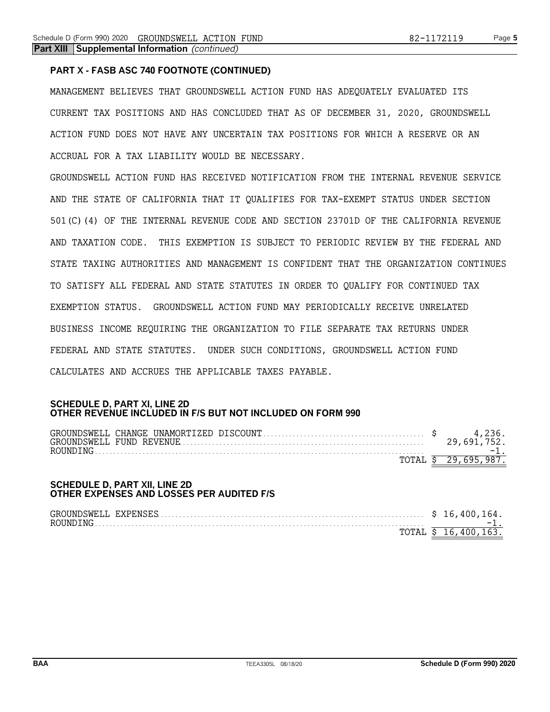### **PART X - FASB ASC 740 FOOTNOTE (CONTINUED)**

MANAGEMENT BELIEVES THAT GROUNDSWELL ACTION FUND HAS ADEQUATELY EVALUATED ITS CURRENT TAX POSITIONS AND HAS CONCLUDED THAT AS OF DECEMBER 31, 2020, GROUNDSWELL ACTION FUND DOES NOT HAVE ANY UNCERTAIN TAX POSITIONS FOR WHICH A RESERVE OR AN ACCRUAL FOR A TAX LIABILITY WOULD BE NECESSARY.

GROUNDSWELL ACTION FUND HAS RECEIVED NOTIFICATION FROM THE INTERNAL REVENUE SERVICE AND THE STATE OF CALIFORNIA THAT IT QUALIFIES FOR TAX-EXEMPT STATUS UNDER SECTION 501(C)(4) OF THE INTERNAL REVENUE CODE AND SECTION 23701D OF THE CALIFORNIA REVENUE AND TAXATION CODE. THIS EXEMPTION IS SUBJECT TO PERIODIC REVIEW BY THE FEDERAL AND STATE TAXING AUTHORITIES AND MANAGEMENT IS CONFIDENT THAT THE ORGANIZATION CONTINUES TO SATISFY ALL FEDERAL AND STATE STATUTES IN ORDER TO QUALIFY FOR CONTINUED TAX EXEMPTION STATUS. GROUNDSWELL ACTION FUND MAY PERIODICALLY RECEIVE UNRELATED BUSINESS INCOME REQUIRING THE ORGANIZATION TO FILE SEPARATE TAX RETURNS UNDER FEDERAL AND STATE STATUTES. UNDER SUCH CONDITIONS, GROUNDSWELL ACTION FUND CALCULATES AND ACCRUES THE APPLICABLE TAXES PAYABLE.

#### **SCHEDULE D, PART XI, LINE 2D OTHER REVENUE INCLUDED IN F/S BUT NOT INCLUDED ON FORM 990**

|  | 29,691,752.          |
|--|----------------------|
|  |                      |
|  | TOTAL $$29,695.987.$ |

### **SCHEDULE D, PART XII, LINE 2D OTHER EXPENSES AND LOSSES PER AUDITED F/S**

| GR(<br>DSMET.<br>ЕX<br><b>DH</b><br>31 LN 5<br>:NSF<br>. | ى | h<br>∸ |
|----------------------------------------------------------|---|--------|
| ROUNDING                                                 |   | -      |
|                                                          |   |        |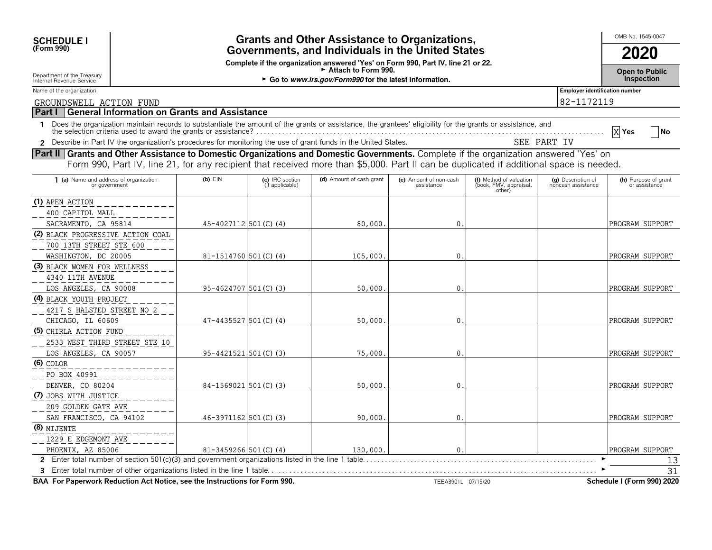| <b>Grants and Other Assistance to Organizations,</b><br><b>SCHEDULE I</b><br>(Form 990)<br>Governments, and Individuals in the United States                 |                            |                                    |                                                                                                         |                                      |                                                             |                                          |                                       |  |
|--------------------------------------------------------------------------------------------------------------------------------------------------------------|----------------------------|------------------------------------|---------------------------------------------------------------------------------------------------------|--------------------------------------|-------------------------------------------------------------|------------------------------------------|---------------------------------------|--|
|                                                                                                                                                              |                            | 2020                               |                                                                                                         |                                      |                                                             |                                          |                                       |  |
| Department of the Treasury                                                                                                                                   |                            |                                    | Complete if the organization answered 'Yes' on Form 990, Part IV, line 21 or 22.<br>Attach to Form 990. |                                      |                                                             |                                          | <b>Open to Public</b>                 |  |
| Internal Revenue Service<br>Name of the organization                                                                                                         |                            |                                    | ► Go to www.irs.gov/Form990 for the latest information.                                                 |                                      |                                                             | <b>Employer identification number</b>    | <b>Inspection</b>                     |  |
|                                                                                                                                                              |                            |                                    |                                                                                                         |                                      |                                                             |                                          |                                       |  |
| GROUNDSWELL ACTION FUND<br>Part I General Information on Grants and Assistance                                                                               |                            |                                    |                                                                                                         |                                      |                                                             | 82-1172119                               |                                       |  |
| 1 Does the organization maintain records to substantiate the amount of the grants or assistance, the grantees' eligibility for the grants or assistance, and |                            |                                    |                                                                                                         |                                      |                                                             |                                          |                                       |  |
|                                                                                                                                                              |                            |                                    |                                                                                                         |                                      |                                                             |                                          | $\overline{X}$ Yes<br> No             |  |
| 2 Describe in Part IV the organization's procedures for monitoring the use of grant funds in the United States.                                              |                            |                                    |                                                                                                         |                                      |                                                             | SEE PART IV                              |                                       |  |
| Part II Grants and Other Assistance to Domestic Organizations and Domestic Governments. Complete if the organization answered 'Yes' on                       |                            |                                    |                                                                                                         |                                      |                                                             |                                          |                                       |  |
| Form 990, Part IV, line 21, for any recipient that received more than \$5,000. Part II can be duplicated if additional space is needed.                      |                            |                                    |                                                                                                         |                                      |                                                             |                                          |                                       |  |
| 1 (a) Name and address of organization<br>or government                                                                                                      | $(b)$ $EIN$                | (c) IRC section<br>(if applicable) | (d) Amount of cash grant                                                                                | (e) Amount of non-cash<br>assistance | (f) Method of valuation<br>(book, FMV, appraisal,<br>other) | (g) Description of<br>noncash assistance | (h) Purpose of grant<br>or assistance |  |
| (1) APEN ACTION                                                                                                                                              |                            |                                    |                                                                                                         |                                      |                                                             |                                          |                                       |  |
| 400 CAPITOL MALL                                                                                                                                             |                            |                                    |                                                                                                         |                                      |                                                             |                                          |                                       |  |
| SACRAMENTO, CA 95814                                                                                                                                         | 45-4027112 501 (C) (4)     |                                    | 80,000.                                                                                                 | 0                                    |                                                             |                                          | PROGRAM SUPPORT                       |  |
| (2) BLACK PROGRESSIVE ACTION COAL                                                                                                                            |                            |                                    |                                                                                                         |                                      |                                                             |                                          |                                       |  |
| 700 13TH STREET STE 600                                                                                                                                      |                            |                                    |                                                                                                         |                                      |                                                             |                                          |                                       |  |
| WASHINGTON, DC 20005                                                                                                                                         | 81-1514760 501 (C) (4)     |                                    | 105,000                                                                                                 | 0                                    |                                                             |                                          | PROGRAM SUPPORT                       |  |
| (3) BLACK WOMEN FOR WELLNESS                                                                                                                                 |                            |                                    |                                                                                                         |                                      |                                                             |                                          |                                       |  |
| 4340 11TH AVENUE                                                                                                                                             |                            |                                    |                                                                                                         |                                      |                                                             |                                          |                                       |  |
| LOS ANGELES, CA 90008                                                                                                                                        | 95-4624707 501 (C) (3)     |                                    | 50,000.                                                                                                 | $\Omega$                             |                                                             |                                          | PROGRAM SUPPORT                       |  |
| (4) BLACK YOUTH PROJECT                                                                                                                                      |                            |                                    |                                                                                                         |                                      |                                                             |                                          |                                       |  |
| 4217 S HALSTED STREET NO 2                                                                                                                                   |                            |                                    |                                                                                                         |                                      |                                                             |                                          |                                       |  |
| CHICAGO, IL 60609                                                                                                                                            | $47 - 4435527$ 501 (C) (4) |                                    | 50,000.                                                                                                 | $\mathbf 0$ .                        |                                                             |                                          | PROGRAM SUPPORT                       |  |
| (5) CHIRLA ACTION FUND                                                                                                                                       |                            |                                    |                                                                                                         |                                      |                                                             |                                          |                                       |  |
| 2533 WEST THIRD STREET STE 10                                                                                                                                |                            |                                    |                                                                                                         |                                      |                                                             |                                          |                                       |  |
| LOS ANGELES, CA 90057                                                                                                                                        | 95-4421521 501 (C) (3)     |                                    | 75,000                                                                                                  | 0.                                   |                                                             |                                          | PROGRAM SUPPORT                       |  |
| $(6)$ COLOR                                                                                                                                                  |                            |                                    |                                                                                                         |                                      |                                                             |                                          |                                       |  |
| PO BOX 40991                                                                                                                                                 |                            |                                    |                                                                                                         |                                      |                                                             |                                          |                                       |  |
| DENVER, CO 80204                                                                                                                                             | 84-1569021 501 (C) (3)     |                                    | 50,000.                                                                                                 | $\mathsf 0$ .                        |                                                             |                                          | PROGRAM SUPPORT                       |  |
| (7) JOBS WITH JUSTICE                                                                                                                                        |                            |                                    |                                                                                                         |                                      |                                                             |                                          |                                       |  |
| 209 GOLDEN GATE AVE                                                                                                                                          |                            |                                    |                                                                                                         |                                      |                                                             |                                          |                                       |  |
| SAN FRANCISCO, CA 94102                                                                                                                                      | 46-3971162 501 (C) (3)     |                                    | 90,000                                                                                                  | 0.                                   |                                                             |                                          | PROGRAM SUPPORT                       |  |
| (8) MIJENTE                                                                                                                                                  |                            |                                    |                                                                                                         |                                      |                                                             |                                          |                                       |  |
| 1229 E EDGEMONT AVE                                                                                                                                          |                            |                                    |                                                                                                         |                                      |                                                             |                                          |                                       |  |
| PHOENIX, AZ 85006<br>2 Enter total number of section 501(c)(3) and government organizations listed in the line 1 table.                                      | 81-3459266 501 (C) (4)     |                                    | 130,000                                                                                                 | $\mathbf 0$ .                        |                                                             |                                          | PROGRAM SUPPORT<br>13                 |  |

 **3** Enter total number of other organizations listed in the line 1 table. . . . . . . . . . . . . . . . . . . . . . . . . . . . . . . . . . . . . . . . . . . . . . . . . . . . . . . . . . . . . . . . . . . . . . . . . . . . . . . . . . . . . . . . . . <sup>G</sup>**BAA For Paperwork Reduction Act Notice, see the Instructions for Form 990.**

TEEA3901L 07/15/20

**Schedule <sup>I</sup> (Form 990) 2020**

31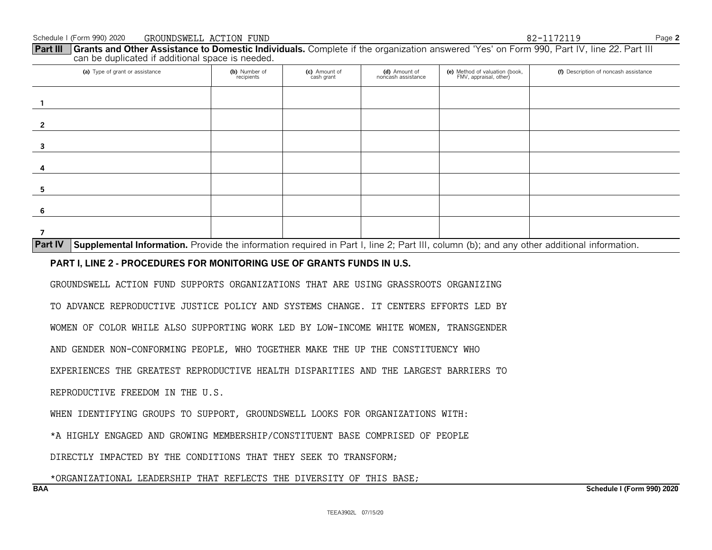**Part III Grants and Other Assistance to Domestic Individuals.** Complete if the organization answered 'Yes' on Form 990, Part IV, line 22. Part III can be duplicated if additional space is needed. $\frac{D}{H}$  82-1172119

| (a) Type of grant or assistance | (b) Number of<br>recipients | (c) Amount of<br>cash grant | (d) Amount of<br>noncash assistance | (e) Method of valuation (book,<br>FMV, appraisal, other) | (f) Description of noncash assistance |
|---------------------------------|-----------------------------|-----------------------------|-------------------------------------|----------------------------------------------------------|---------------------------------------|
|                                 |                             |                             |                                     |                                                          |                                       |
|                                 |                             |                             |                                     |                                                          |                                       |
|                                 |                             |                             |                                     |                                                          |                                       |
|                                 |                             |                             |                                     |                                                          |                                       |
|                                 |                             |                             |                                     |                                                          |                                       |
|                                 |                             |                             |                                     |                                                          |                                       |
| <u> enele</u> e cele e          |                             |                             |                                     |                                                          |                                       |

**Part IV Supplemental Information.** Provide the information required in Part I, line 2; Part III, column (b); and any other additional information.

### **PART I, LINE 2 - PROCEDURES FOR MONITORING USE OF GRANTS FUNDS IN U.S.**

GROUNDSWELL ACTION FUND SUPPORTS ORGANIZATIONS THAT ARE USING GRASSROOTS ORGANIZING

TO ADVANCE REPRODUCTIVE JUSTICE POLICY AND SYSTEMS CHANGE. IT CENTERS EFFORTS LED BY

WOMEN OF COLOR WHILE ALSO SUPPORTING WORK LED BY LOW-INCOME WHITE WOMEN, TRANSGENDER

AND GENDER NON-CONFORMING PEOPLE, WHO TOGETHER MAKE THE UP THE CONSTITUENCY WHO

EXPERIENCES THE GREATEST REPRODUCTIVE HEALTH DISPARITIES AND THE LARGEST BARRIERS TO

REPRODUCTIVE FREEDOM IN THE U.S.

WHEN IDENTIFYING GROUPS TO SUPPORT, GROUNDSWELL LOOKS FOR ORGANIZATIONS WITH:

\*A HIGHLY ENGAGED AND GROWING MEMBERSHIP/CONSTITUENT BASE COMPRISED OF PEOPLE

DIRECTLY IMPACTED BY THE CONDITIONS THAT THEY SEEK TO TRANSFORM;

\*ORGANIZATIONAL LEADERSHIP THAT REFLECTS THE DIVERSITY OF THIS BASE;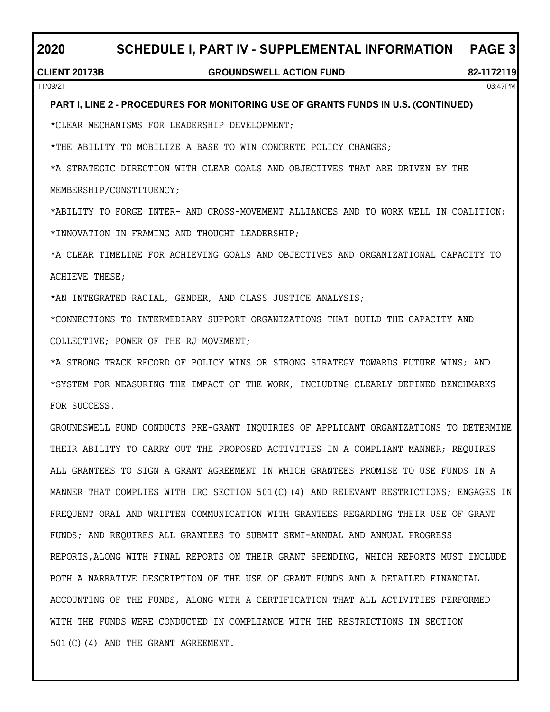### **2020 SCHEDULE I, PART IV - SUPPLEMENTAL INFORMATION PAGE 3**

### **CLIENT 20173B GROUNDSWELL ACTION FUND 82-1172119**

#### 11/09/21 03:47PM

### **PART I, LINE 2 - PROCEDURES FOR MONITORING USE OF GRANTS FUNDS IN U.S. (CONTINUED)**

\*CLEAR MECHANISMS FOR LEADERSHIP DEVELOPMENT;

\*THE ABILITY TO MOBILIZE A BASE TO WIN CONCRETE POLICY CHANGES;

\*A STRATEGIC DIRECTION WITH CLEAR GOALS AND OBJECTIVES THAT ARE DRIVEN BY THE MEMBERSHIP/CONSTITUENCY;

\*ABILITY TO FORGE INTER- AND CROSS-MOVEMENT ALLIANCES AND TO WORK WELL IN COALITION; \*INNOVATION IN FRAMING AND THOUGHT LEADERSHIP;

\*A CLEAR TIMELINE FOR ACHIEVING GOALS AND OBJECTIVES AND ORGANIZATIONAL CAPACITY TO ACHIEVE THESE;

\*AN INTEGRATED RACIAL, GENDER, AND CLASS JUSTICE ANALYSIS;

\*CONNECTIONS TO INTERMEDIARY SUPPORT ORGANIZATIONS THAT BUILD THE CAPACITY AND COLLECTIVE; POWER OF THE RJ MOVEMENT;

\*A STRONG TRACK RECORD OF POLICY WINS OR STRONG STRATEGY TOWARDS FUTURE WINS; AND \*SYSTEM FOR MEASURING THE IMPACT OF THE WORK, INCLUDING CLEARLY DEFINED BENCHMARKS FOR SUCCESS.

GROUNDSWELL FUND CONDUCTS PRE-GRANT INQUIRIES OF APPLICANT ORGANIZATIONS TO DETERMINE THEIR ABILITY TO CARRY OUT THE PROPOSED ACTIVITIES IN A COMPLIANT MANNER; REQUIRES ALL GRANTEES TO SIGN A GRANT AGREEMENT IN WHICH GRANTEES PROMISE TO USE FUNDS IN A MANNER THAT COMPLIES WITH IRC SECTION 501(C)(4) AND RELEVANT RESTRICTIONS; ENGAGES IN FREQUENT ORAL AND WRITTEN COMMUNICATION WITH GRANTEES REGARDING THEIR USE OF GRANT FUNDS; AND REQUIRES ALL GRANTEES TO SUBMIT SEMI-ANNUAL AND ANNUAL PROGRESS REPORTS,ALONG WITH FINAL REPORTS ON THEIR GRANT SPENDING, WHICH REPORTS MUST INCLUDE BOTH A NARRATIVE DESCRIPTION OF THE USE OF GRANT FUNDS AND A DETAILED FINANCIAL ACCOUNTING OF THE FUNDS, ALONG WITH A CERTIFICATION THAT ALL ACTIVITIES PERFORMED WITH THE FUNDS WERE CONDUCTED IN COMPLIANCE WITH THE RESTRICTIONS IN SECTION 501(C)(4) AND THE GRANT AGREEMENT.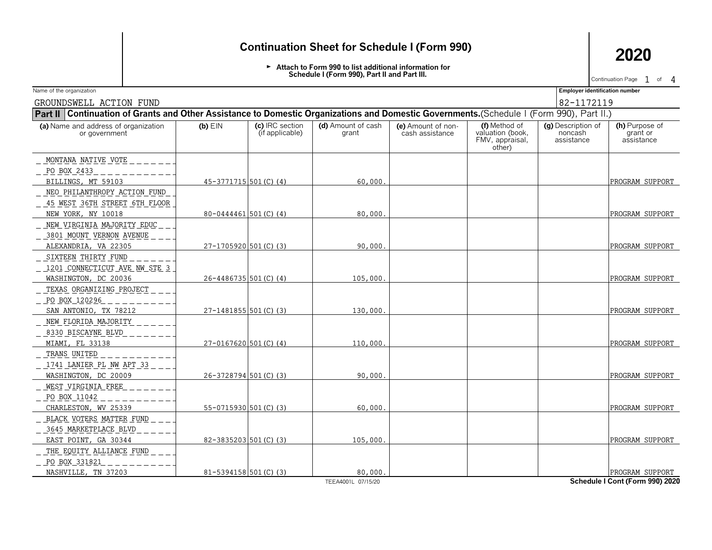G **Attach to Form 990 to list additional information for Schedule I (Form 990), Part II and Part III.**

Name of the organization

Continuation Page 1 of 4

**Employer identification number**

**2020**

| GROUNDSWELL ACTION FUND                                                                                                                   |                                                 | 82-1172119 |                             |                                       |                                                                |                                             |                                          |
|-------------------------------------------------------------------------------------------------------------------------------------------|-------------------------------------------------|------------|-----------------------------|---------------------------------------|----------------------------------------------------------------|---------------------------------------------|------------------------------------------|
| Part II Continuation of Grants and Other Assistance to Domestic Organizations and Domestic Governments. (Schedule I (Form 990), Part II.) |                                                 |            |                             |                                       |                                                                |                                             |                                          |
| (a) Name and address of organization<br>or government                                                                                     | (c) IRC section<br>$(b)$ EIN<br>(if applicable) |            | (d) Amount of cash<br>grant | (e) Amount of non-<br>cash assistance | (f) Method of<br>valuation (book,<br>FMV, appraisal,<br>other) | (a) Description of<br>noncash<br>assistance | (h) Purpose of<br>grant or<br>assistance |
| MONTANA NATIVE VOTE                                                                                                                       |                                                 |            |                             |                                       |                                                                |                                             |                                          |
| PO BOX 2433                                                                                                                               |                                                 |            |                             |                                       |                                                                |                                             |                                          |
| BILLINGS, MT 59103                                                                                                                        | 45-3771715 501 (C) (4)                          |            | 60,000                      |                                       |                                                                |                                             | PROGRAM SUPPORT                          |
| <u>NEO PHILANTHROPY ACTION FUND</u>                                                                                                       |                                                 |            |                             |                                       |                                                                |                                             |                                          |
| <u>45 WEST 36TH STREET 6TH FLOOR</u>                                                                                                      |                                                 |            |                             |                                       |                                                                |                                             |                                          |
| NEW YORK, NY 10018                                                                                                                        | $80 - 0444461$ 501 (C) (4)                      |            | 80,000.                     |                                       |                                                                |                                             | PROGRAM SUPPORT                          |
| NEW VIRGINIA MAJORITY EDUC<br>3801 MOUNT VERNON AVENUE                                                                                    |                                                 |            |                             |                                       |                                                                |                                             |                                          |
| ALEXANDRIA, VA 22305                                                                                                                      | 27-1705920 501 (C) (3)                          |            | 90.000.                     |                                       |                                                                |                                             | PROGRAM SUPPORT                          |
| SIXTEEN THIRTY FUND<br>1201 CONNECTICUT AVE NW STE 3                                                                                      |                                                 |            |                             |                                       |                                                                |                                             |                                          |
| WASHINGTON, DC 20036                                                                                                                      | $26 - 4486735$ 501 (C) (4)                      |            | 105,000.                    |                                       |                                                                |                                             | PROGRAM SUPPORT                          |
| <u>TEXAS ORGANIZING PROJECT</u>                                                                                                           |                                                 |            |                             |                                       |                                                                |                                             |                                          |
| PO BOX 120296                                                                                                                             |                                                 |            |                             |                                       |                                                                |                                             |                                          |
| SAN ANTONIO, TX 78212                                                                                                                     | $27 - 1481855$ 501 (C) (3)                      |            | 130,000.                    |                                       |                                                                |                                             | PROGRAM SUPPORT                          |
| <u>NEW FLORIDA MAJORITY</u>                                                                                                               |                                                 |            |                             |                                       |                                                                |                                             |                                          |
| 8330 BISCAYNE BLVD                                                                                                                        |                                                 |            |                             |                                       |                                                                |                                             |                                          |
| MIAMI, FL 33138                                                                                                                           | $27 - 0167620$ 501 (C) (4)                      |            | 110,000                     |                                       |                                                                |                                             | PROGRAM SUPPORT                          |
| TRANS UNITED                                                                                                                              |                                                 |            |                             |                                       |                                                                |                                             |                                          |
| <u>1741 LANIER PL NW APT 33</u>                                                                                                           |                                                 |            |                             |                                       |                                                                |                                             |                                          |
| WASHINGTON, DC 20009                                                                                                                      | 26-3728794 501 (C) (3)                          |            | 90.000.                     |                                       |                                                                |                                             | PROGRAM SUPPORT                          |
| WEST VIRGINIA FREE                                                                                                                        |                                                 |            |                             |                                       |                                                                |                                             |                                          |
| PO BOX 11042                                                                                                                              |                                                 |            |                             |                                       |                                                                |                                             |                                          |
| CHARLESTON, WV 25339                                                                                                                      | $55 - 0715930$ 501 (C) (3)                      |            | 60,000.                     |                                       |                                                                |                                             | PROGRAM SUPPORT                          |
| <u>BLACK VOTERS MATTER FUND</u>                                                                                                           |                                                 |            |                             |                                       |                                                                |                                             |                                          |
| 3645 MARKETPLACE BLVD                                                                                                                     |                                                 |            |                             |                                       |                                                                |                                             |                                          |
| EAST POINT, GA 30344                                                                                                                      | $82 - 3835203$ 501 (C) (3)                      |            | 105,000.                    |                                       |                                                                |                                             | PROGRAM SUPPORT                          |
| THE EQUITY ALLIANCE FUND                                                                                                                  |                                                 |            |                             |                                       |                                                                |                                             |                                          |
| PO BOX 331821                                                                                                                             |                                                 |            |                             |                                       |                                                                |                                             |                                          |
| NASHVILLE, TN 37203                                                                                                                       | 81-5394158 501 (C) (3)                          |            | 80,000.                     |                                       |                                                                |                                             | PROGRAM SUPPORT                          |

TEEA4001L 07/15/20

**Schedule I Cont (Form 990) 2020**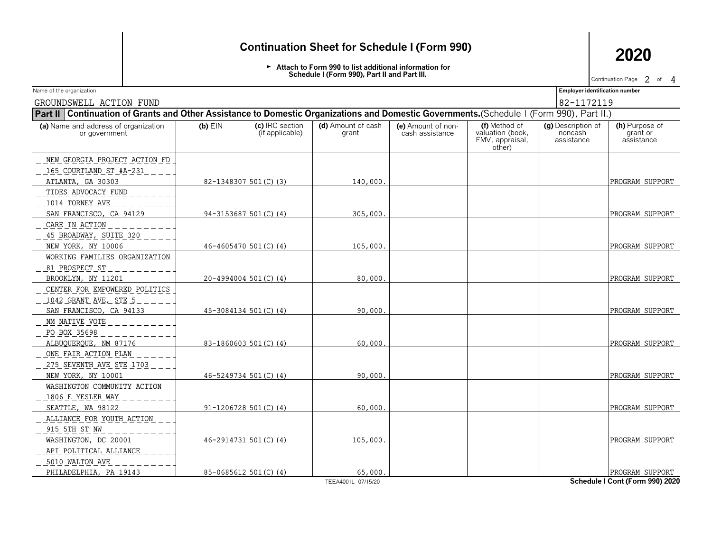G **Attach to Form 990 to list additional information for Schedule I (Form 990), Part II and Part III.**

Name of the organization

Continuation Page 2 of 4

**Employer identification number**

**2020**

| GROUNDSWELL ACTION FUND                                                                                                                   |                            | 82-1172119                         |                             |                                       |                                                                |                                             |                                          |
|-------------------------------------------------------------------------------------------------------------------------------------------|----------------------------|------------------------------------|-----------------------------|---------------------------------------|----------------------------------------------------------------|---------------------------------------------|------------------------------------------|
| Part II Continuation of Grants and Other Assistance to Domestic Organizations and Domestic Governments. (Schedule I (Form 990), Part II.) |                            |                                    |                             |                                       |                                                                |                                             |                                          |
| (a) Name and address of organization<br>or government                                                                                     | $(b)$ $E$ IN               | (c) IRC section<br>(if applicable) | (d) Amount of cash<br>grant | (e) Amount of non-<br>cash assistance | (f) Method of<br>valuation (book,<br>FMV, appraisal,<br>other) | (g) Description of<br>noncash<br>assistance | (h) Purpose of<br>grant or<br>assistance |
| <u>NEW GEORGIA PROJECT ACTION FD</u><br>165 COURTLAND ST #A-231                                                                           |                            |                                    |                             |                                       |                                                                |                                             |                                          |
| ATLANTA, GA 30303                                                                                                                         | $82 - 1348307$ 501 (C) (3) |                                    | 140,000                     |                                       |                                                                |                                             | PROGRAM SUPPORT                          |
| TIDES ADVOCACY FUND<br>1014 TORNEY AVE                                                                                                    |                            |                                    |                             |                                       |                                                                |                                             |                                          |
| SAN FRANCISCO, CA 94129                                                                                                                   | $94 - 3153687$ 501 (C) (4) |                                    | 305,000                     |                                       |                                                                |                                             | PROGRAM SUPPORT                          |
| CARE IN ACTION<br>45 BROADWAY, SUITE 320                                                                                                  |                            |                                    |                             |                                       |                                                                |                                             |                                          |
| NEW YORK, NY 10006                                                                                                                        | $46 - 4605470$ 501 (C) (4) |                                    | 105,000.                    |                                       |                                                                |                                             | PROGRAM SUPPORT                          |
| WORKING FAMILIES ORGANIZATION<br>81 PROSPECT ST                                                                                           |                            |                                    |                             |                                       |                                                                |                                             |                                          |
| BROOKLYN, NY 11201                                                                                                                        | $20 - 4994004$ 501 (C) (4) |                                    | 80,000                      |                                       |                                                                |                                             | PROGRAM SUPPORT                          |
| CENTER FOR EMPOWERED POLITICS<br>1042 GRANT AVE, STE 5<br>SAN FRANCISCO, CA 94133                                                         | 45-3084134 501 (C) (4)     |                                    | 90,000                      |                                       |                                                                |                                             | PROGRAM SUPPORT                          |
| NM NATIVE VOTE<br>PO BOX 35698                                                                                                            |                            |                                    |                             |                                       |                                                                |                                             |                                          |
| ALBUQUERQUE, NM 87176                                                                                                                     | $83 - 1860603$ 501 (C) (4) |                                    | 60,000                      |                                       |                                                                |                                             | PROGRAM SUPPORT                          |
| ONE FAIR ACTION PLAN<br><u>275 SEVENTH AVE STE 1703</u>                                                                                   |                            |                                    |                             |                                       |                                                                |                                             |                                          |
| NEW YORK, NY 10001                                                                                                                        | $46 - 5249734$ 501 (C) (4) |                                    | 90,000                      |                                       |                                                                |                                             | PROGRAM SUPPORT                          |
| WASHINGTON COMMUNITY ACTION<br><u>1806 E YESLER WAY</u>                                                                                   |                            |                                    |                             |                                       |                                                                |                                             |                                          |
| SEATTLE, WA 98122                                                                                                                         | $91 - 1206728$ 501 (C) (4) |                                    | 60,000                      |                                       |                                                                |                                             | PROGRAM SUPPORT                          |
| ALLIANCE FOR YOUTH ACTION<br>915 5TH ST NW                                                                                                |                            |                                    |                             |                                       |                                                                |                                             |                                          |
| WASHINGTON, DC 20001                                                                                                                      | $46 - 2914731$ 501 (C) (4) |                                    | 105,000                     |                                       |                                                                |                                             | PROGRAM SUPPORT                          |
| API POLITICAL ALLIANCE                                                                                                                    |                            |                                    |                             |                                       |                                                                |                                             |                                          |
| 5010 WALTON AVE                                                                                                                           |                            |                                    |                             |                                       |                                                                |                                             |                                          |
| PHILADELPHIA, PA 19143                                                                                                                    | 85-0685612 501 (C) (4)     |                                    | 65,000.                     |                                       |                                                                |                                             | PROGRAM SUPPORT                          |

TEEA4001L 07/15/20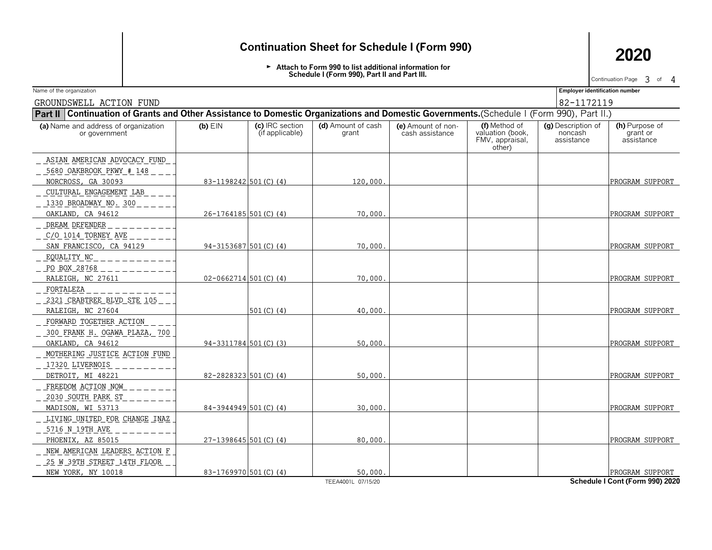G **Attach to Form 990 to list additional information for Schedule I (Form 990), Part II and Part III.**

Name of the organization

Continuation Page 3 of 4

**Employer identification number**

**2020**

| GROUNDSWELL ACTION FUND                                                                                                                   |                            | 82-1172119                         |                             |                                       |                                                                |                                             |                                          |
|-------------------------------------------------------------------------------------------------------------------------------------------|----------------------------|------------------------------------|-----------------------------|---------------------------------------|----------------------------------------------------------------|---------------------------------------------|------------------------------------------|
| Part II Continuation of Grants and Other Assistance to Domestic Organizations and Domestic Governments. (Schedule I (Form 990), Part II.) |                            |                                    |                             |                                       |                                                                |                                             |                                          |
| (a) Name and address of organization<br>or government                                                                                     | $(b)$ EIN                  | (c) IRC section<br>(if applicable) | (d) Amount of cash<br>grant | (e) Amount of non-<br>cash assistance | (f) Method of<br>valuation (book,<br>FMV, appraisal,<br>other) | (g) Description of<br>noncash<br>assistance | (h) Purpose of<br>grant or<br>assistance |
| ASIAN AMERICAN ADVOCACY FUND                                                                                                              |                            |                                    |                             |                                       |                                                                |                                             |                                          |
| 5680 OAKBROOK PKWY # 148                                                                                                                  |                            |                                    |                             |                                       |                                                                |                                             |                                          |
| NORCROSS, GA 30093                                                                                                                        | 83-1198242 501 (C) (4)     |                                    | 120,000                     |                                       |                                                                |                                             | PROGRAM SUPPORT                          |
| CULTURAL ENGAGEMENT LAB                                                                                                                   |                            |                                    |                             |                                       |                                                                |                                             |                                          |
| <u>1330 BROADWAY NO. 300 _</u>                                                                                                            |                            |                                    |                             |                                       |                                                                |                                             |                                          |
| OAKLAND, CA 94612                                                                                                                         | 26-1764185 501 (C) (4)     |                                    | 70,000                      |                                       |                                                                |                                             | PROGRAM SUPPORT                          |
| DREAM DEFENDER                                                                                                                            |                            |                                    |                             |                                       |                                                                |                                             |                                          |
| C/O 1014 TORNEY AVE                                                                                                                       |                            |                                    |                             |                                       |                                                                |                                             |                                          |
| SAN FRANCISCO, CA 94129                                                                                                                   | $94 - 3153687$ 501 (C) (4) |                                    | 70,000                      |                                       |                                                                |                                             | PROGRAM SUPPORT                          |
| EQUALITY NC                                                                                                                               |                            |                                    |                             |                                       |                                                                |                                             |                                          |
| PO BOX 28768                                                                                                                              |                            |                                    |                             |                                       |                                                                |                                             |                                          |
| RALEIGH, NC 27611                                                                                                                         | $02 - 0662714$ 501 (C) (4) |                                    | 70,000                      |                                       |                                                                |                                             | PROGRAM SUPPORT                          |
| FORTALEZA                                                                                                                                 |                            |                                    |                             |                                       |                                                                |                                             |                                          |
| 2321 CRABTREE BLVD STE 105                                                                                                                |                            |                                    |                             |                                       |                                                                |                                             |                                          |
| RALEIGH, NC 27604                                                                                                                         |                            | 501 $(C)$ $(4)$                    | 40,000                      |                                       |                                                                |                                             | PROGRAM SUPPORT                          |
| FORWARD TOGETHER ACTION                                                                                                                   |                            |                                    |                             |                                       |                                                                |                                             |                                          |
| <u>300 FRANK H. OGAWA PLAZA, 700</u>                                                                                                      |                            |                                    |                             |                                       |                                                                |                                             |                                          |
| OAKLAND, CA 94612                                                                                                                         | 94-3311784 501 (C) (3)     |                                    | 50,000                      |                                       |                                                                |                                             | PROGRAM SUPPORT                          |
| MOTHERING JUSTICE ACTION FUND                                                                                                             |                            |                                    |                             |                                       |                                                                |                                             |                                          |
| 17320 LIVERNOIS                                                                                                                           |                            |                                    |                             |                                       |                                                                |                                             |                                          |
| DETROIT, MI 48221                                                                                                                         | 82-2828323 501 (C) (4)     |                                    | 50.000                      |                                       |                                                                |                                             | PROGRAM SUPPORT                          |
| FREEDOM ACTION NOW                                                                                                                        |                            |                                    |                             |                                       |                                                                |                                             |                                          |
| <u>2030 SOUTH PARK ST</u>                                                                                                                 |                            |                                    |                             |                                       |                                                                |                                             |                                          |
| MADISON, WI 53713                                                                                                                         | $84 - 3944949$ 501 (C) (4) |                                    | 30,000                      |                                       |                                                                |                                             | PROGRAM SUPPORT                          |
| <u>LIVING UNITED FOR CHANGE INAZ</u>                                                                                                      |                            |                                    |                             |                                       |                                                                |                                             |                                          |
| 5716 N 19TH AVE                                                                                                                           |                            |                                    |                             |                                       |                                                                |                                             |                                          |
| PHOENIX, AZ 85015                                                                                                                         | $27-1398645$ 501 (C) (4)   |                                    | 80,000                      |                                       |                                                                |                                             | PROGRAM SUPPORT                          |
| NEW AMERICAN LEADERS ACTION F                                                                                                             |                            |                                    |                             |                                       |                                                                |                                             |                                          |
| <u>, 25 W 39TH STREET 14TH FLOOR</u>                                                                                                      |                            |                                    |                             |                                       |                                                                |                                             |                                          |
| NEW YORK, NY 10018                                                                                                                        | 83-1769970 501 (C) (4)     |                                    | 50,000.                     |                                       |                                                                | $R = 1$                                     | PROGRAM SUPPORT                          |

TEEA4001L 07/15/20

**Schedule I Cont (Form 990) 2020**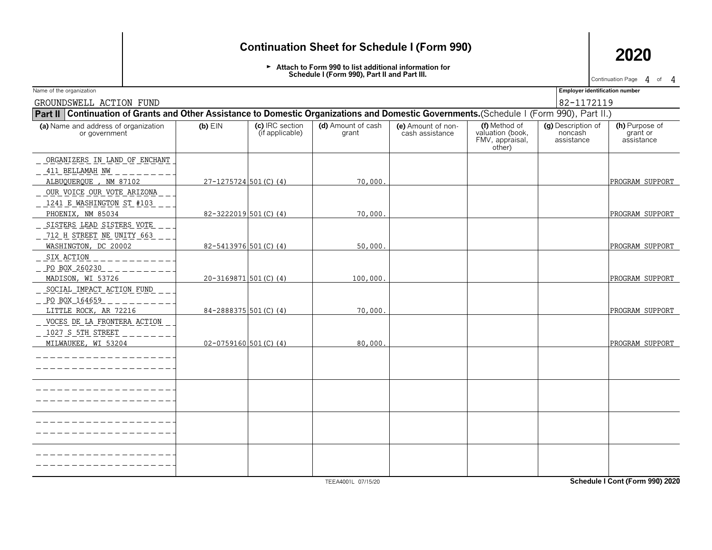G **Attach to Form 990 to list additional information for Schedule I (Form 990), Part II and Part III.**

Name of the organization

Continuation Page 4 of 4

**Employer identification number**

**2020**

| GROUNDSWELL ACTION FUND                                                                                                                     |                            | 82-1172119                         |                             |                                       |                                                                |                                             |                                          |
|---------------------------------------------------------------------------------------------------------------------------------------------|----------------------------|------------------------------------|-----------------------------|---------------------------------------|----------------------------------------------------------------|---------------------------------------------|------------------------------------------|
| Part II   Continuation of Grants and Other Assistance to Domestic Organizations and Domestic Governments. (Schedule I (Form 990), Part II.) |                            |                                    |                             |                                       |                                                                |                                             |                                          |
| (a) Name and address of organization<br>or government                                                                                       | $(b)$ EIN                  | (c) IRC section<br>(if applicable) | (d) Amount of cash<br>grant | (e) Amount of non-<br>cash assistance | (f) Method of<br>valuation (book,<br>FMV, appraisal,<br>other) | (g) Description of<br>noncash<br>assistance | (h) Purpose of<br>grant or<br>assistance |
| ORGANIZERS IN LAND OF ENCHANT<br>411 BELLAMAH NW                                                                                            |                            |                                    |                             |                                       |                                                                |                                             |                                          |
| ALBUQUERQUE, NM 87102                                                                                                                       | $27 - 1275724$ 501 (C) (4) |                                    | 70,000                      |                                       |                                                                |                                             | PROGRAM SUPPORT                          |
| OUR VOICE OUR VOTE ARIZONA<br>1241 E WASHINGTON ST #103                                                                                     |                            |                                    |                             |                                       |                                                                |                                             |                                          |
| PHOENIX, NM 85034                                                                                                                           | 82-3222019 501 (C) (4)     |                                    | 70,000                      |                                       |                                                                |                                             | PROGRAM SUPPORT                          |
| <u>__ SISTERS_LEAD_SISTERS_VOTE</u><br><u>712 H STREET NE UNITY 663</u><br>WASHINGTON, DC 20002                                             | $82 - 5413976$ 501 (C) (4) |                                    | 50,000                      |                                       |                                                                |                                             | PROGRAM SUPPORT                          |
| _ SIX_ACTION<br>$-$ PO BOX 260230<br>MADISON, WI 53726                                                                                      | $20 - 3169871$ 501 (C) (4) |                                    | 100,000                     |                                       |                                                                |                                             | PROGRAM SUPPORT                          |
| SOCIAL IMPACT ACTION FUND<br>PO BOX 164659<br>LITTLE ROCK, AR 72216                                                                         | $84 - 2888375$ 501 (C) (4) |                                    | 70,000                      |                                       |                                                                |                                             | PROGRAM SUPPORT                          |
| VOCES DE LA FRONTERA ACTION<br>1027 S 5TH STREET<br>MILWAUKEE, WI 53204                                                                     | $02 - 0759160$ 501 (C) (4) |                                    | 80,000                      |                                       |                                                                |                                             | PROGRAM SUPPORT                          |
|                                                                                                                                             |                            |                                    |                             |                                       |                                                                |                                             |                                          |
|                                                                                                                                             |                            |                                    |                             |                                       |                                                                |                                             |                                          |
|                                                                                                                                             |                            |                                    |                             |                                       |                                                                |                                             |                                          |
|                                                                                                                                             |                            |                                    |                             |                                       |                                                                |                                             |                                          |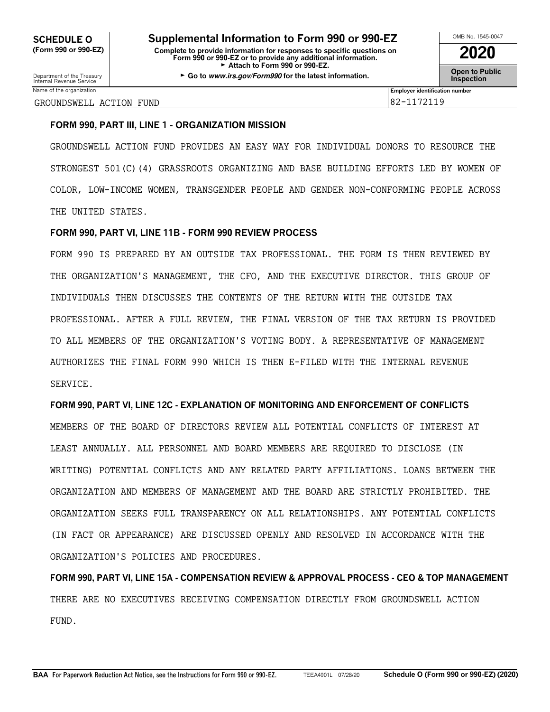| OMB No. 1545-0047 |
|-------------------|
| 2020              |
| Open to Public    |

GROUNDSWELL ACTION FUND 82-1172119

#### **FORM 990, PART III, LINE 1 - ORGANIZATION MISSION**

GROUNDSWELL ACTION FUND PROVIDES AN EASY WAY FOR INDIVIDUAL DONORS TO RESOURCE THE STRONGEST 501(C)(4) GRASSROOTS ORGANIZING AND BASE BUILDING EFFORTS LED BY WOMEN OF COLOR, LOW-INCOME WOMEN, TRANSGENDER PEOPLE AND GENDER NON-CONFORMING PEOPLE ACROSS THE UNITED STATES.

### **FORM 990, PART VI, LINE 11B - FORM 990 REVIEW PROCESS**

FORM 990 IS PREPARED BY AN OUTSIDE TAX PROFESSIONAL. THE FORM IS THEN REVIEWED BY THE ORGANIZATION'S MANAGEMENT, THE CFO, AND THE EXECUTIVE DIRECTOR. THIS GROUP OF INDIVIDUALS THEN DISCUSSES THE CONTENTS OF THE RETURN WITH THE OUTSIDE TAX PROFESSIONAL. AFTER A FULL REVIEW, THE FINAL VERSION OF THE TAX RETURN IS PROVIDED TO ALL MEMBERS OF THE ORGANIZATION'S VOTING BODY. A REPRESENTATIVE OF MANAGEMENT AUTHORIZES THE FINAL FORM 990 WHICH IS THEN E-FILED WITH THE INTERNAL REVENUE SERVICE.

### **FORM 990, PART VI, LINE 12C - EXPLANATION OF MONITORING AND ENFORCEMENT OF CONFLICTS**

MEMBERS OF THE BOARD OF DIRECTORS REVIEW ALL POTENTIAL CONFLICTS OF INTEREST AT LEAST ANNUALLY. ALL PERSONNEL AND BOARD MEMBERS ARE REQUIRED TO DISCLOSE (IN WRITING) POTENTIAL CONFLICTS AND ANY RELATED PARTY AFFILIATIONS. LOANS BETWEEN THE ORGANIZATION AND MEMBERS OF MANAGEMENT AND THE BOARD ARE STRICTLY PROHIBITED. THE ORGANIZATION SEEKS FULL TRANSPARENCY ON ALL RELATIONSHIPS. ANY POTENTIAL CONFLICTS (IN FACT OR APPEARANCE) ARE DISCUSSED OPENLY AND RESOLVED IN ACCORDANCE WITH THE ORGANIZATION'S POLICIES AND PROCEDURES.

**FORM 990, PART VI, LINE 15A - COMPENSATION REVIEW & APPROVAL PROCESS - CEO & TOP MANAGEMENT** THERE ARE NO EXECUTIVES RECEIVING COMPENSATION DIRECTLY FROM GROUNDSWELL ACTION FUND.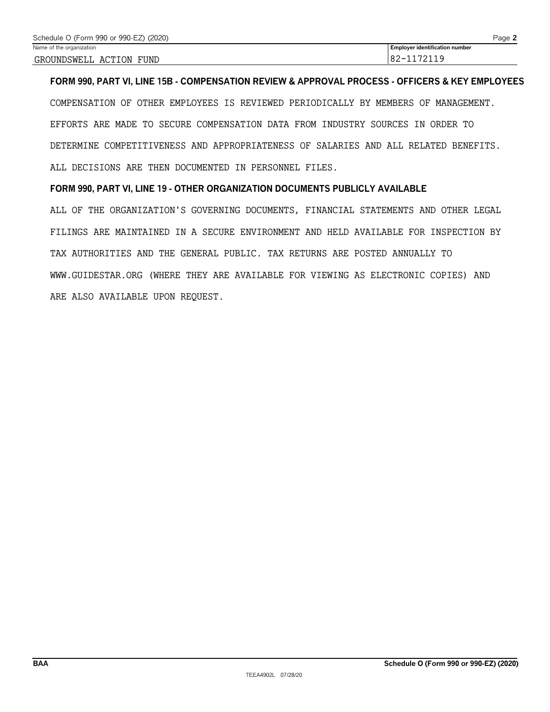| Schedule O (Form 990 or 990-EZ) (2020) | Page 2                                |
|----------------------------------------|---------------------------------------|
| Name of the organization               | <b>Employer identification number</b> |
| GROUNDSWELL ACTION FUND                | 82-1172119                            |

# **FORM 990, PART VI, LINE 15B - COMPENSATION REVIEW & APPROVAL PROCESS - OFFICERS & KEY EMPLOYEES** COMPENSATION OF OTHER EMPLOYEES IS REVIEWED PERIODICALLY BY MEMBERS OF MANAGEMENT. EFFORTS ARE MADE TO SECURE COMPENSATION DATA FROM INDUSTRY SOURCES IN ORDER TO DETERMINE COMPETITIVENESS AND APPROPRIATENESS OF SALARIES AND ALL RELATED BENEFITS. ALL DECISIONS ARE THEN DOCUMENTED IN PERSONNEL FILES.

### **FORM 990, PART VI, LINE 19 - OTHER ORGANIZATION DOCUMENTS PUBLICLY AVAILABLE**

ALL OF THE ORGANIZATION'S GOVERNING DOCUMENTS, FINANCIAL STATEMENTS AND OTHER LEGAL FILINGS ARE MAINTAINED IN A SECURE ENVIRONMENT AND HELD AVAILABLE FOR INSPECTION BY TAX AUTHORITIES AND THE GENERAL PUBLIC. TAX RETURNS ARE POSTED ANNUALLY TO WWW.GUIDESTAR.ORG (WHERE THEY ARE AVAILABLE FOR VIEWING AS ELECTRONIC COPIES) AND ARE ALSO AVAILABLE UPON REQUEST.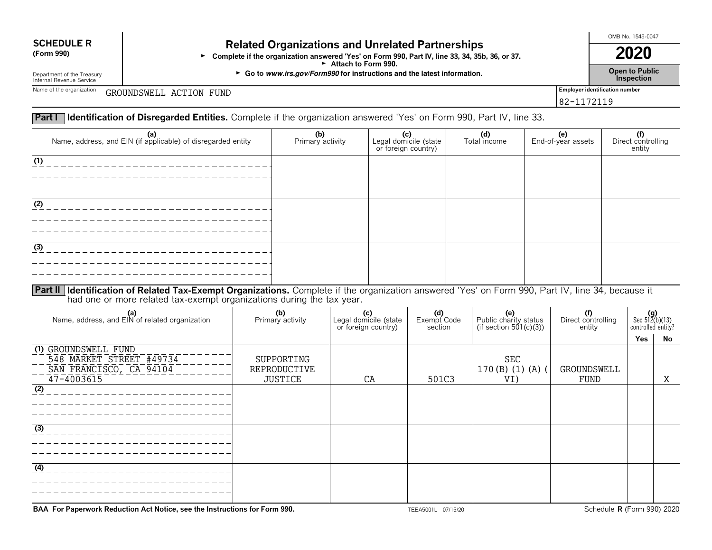# **SCHEDULE R**

### **Related Organizations and Unrelated Partnerships**

 **(Form 990)** <sup>G</sup>**Complete if the organization answered 'Yes' on Form 990, Part IV, line 33, 34, 35b, 36, or 37.**Attach to Form 990.

G **Go to www.irs.gov/Form990 Open to Public** Department of the Treasury **for instructions and the latest information.** e and **Inspection**<br>e

OMB No. 1545-0047

 **2020Open to Public** 

82-1172119

Department of the Treasury<br>Internal Revenue Service

Name of the organization

**Employer identification number** GROUNDSWELL ACTION FUND

### **Part I Identification of Disregarded Entities.** Complete if the organization answered 'Yes' on Form 990, Part IV, line 33.

| (a)<br>Name, address, and EIN (if applicable) of disregarded entity                                                                                 | (b)<br>Primary activity | (c)<br>Legal domicile (state<br>or foreign country) | (d)<br>Total income | <b>(e)</b><br>End-of-year assets | (f)<br>Direct controlling<br>entity |
|-----------------------------------------------------------------------------------------------------------------------------------------------------|-------------------------|-----------------------------------------------------|---------------------|----------------------------------|-------------------------------------|
| (1)                                                                                                                                                 |                         |                                                     |                     |                                  |                                     |
|                                                                                                                                                     |                         |                                                     |                     |                                  |                                     |
|                                                                                                                                                     |                         |                                                     |                     |                                  |                                     |
|                                                                                                                                                     |                         |                                                     |                     |                                  |                                     |
|                                                                                                                                                     |                         |                                                     |                     |                                  |                                     |
| (2)                                                                                                                                                 |                         |                                                     |                     |                                  |                                     |
|                                                                                                                                                     |                         |                                                     |                     |                                  |                                     |
|                                                                                                                                                     |                         |                                                     |                     |                                  |                                     |
|                                                                                                                                                     |                         |                                                     |                     |                                  |                                     |
|                                                                                                                                                     |                         |                                                     |                     |                                  |                                     |
| (3)                                                                                                                                                 |                         |                                                     |                     |                                  |                                     |
|                                                                                                                                                     |                         |                                                     |                     |                                  |                                     |
|                                                                                                                                                     |                         |                                                     |                     |                                  |                                     |
|                                                                                                                                                     |                         |                                                     |                     |                                  |                                     |
|                                                                                                                                                     |                         |                                                     |                     |                                  |                                     |
| Part II   Identification of Related Tax-Exempt Organizations. Complete if the organization answered 'Yes' on Form 990, Part IV, line 34, because it |                         |                                                     |                     |                                  |                                     |

had one or more related tax-exempt organizations during the tax year.

| (a)<br>Name, address, and EIN of related organization                                                               | (b)<br>Primary activity                      | (c)<br>Legal domicile (state<br>or foreign country) | (d)<br>Exempt Code<br>section | (e)<br>Public charity status<br>(if section $501(c)(3)$ ) | (f)<br>Direct controlling<br>entity | $(g)$<br>Sec 512(b)(13)<br>controlled entity? |    |
|---------------------------------------------------------------------------------------------------------------------|----------------------------------------------|-----------------------------------------------------|-------------------------------|-----------------------------------------------------------|-------------------------------------|-----------------------------------------------|----|
|                                                                                                                     |                                              |                                                     |                               |                                                           |                                     | <b>Yes</b>                                    | No |
| (1) GROUNDSWELL FUND<br>548 MARKET STREET #49734<br>SAN FRANCISCO, CA 94104<br>$\overline{47} - \overline{4003615}$ | SUPPORTING<br>REPRODUCTIVE<br><b>JUSTICE</b> | CA                                                  | 501C3                         | <b>SEC</b><br>170(B) (1) (A)<br>VI)                       | GROUNDSWELL<br>FUND                 |                                               | Χ  |
| (2)                                                                                                                 |                                              |                                                     |                               |                                                           |                                     |                                               |    |
| (3)                                                                                                                 |                                              |                                                     |                               |                                                           |                                     |                                               |    |
| $\overline{(4)}$                                                                                                    |                                              |                                                     |                               |                                                           |                                     |                                               |    |

**BAA For Paperwork Reduction Act Notice, see the Instructions for Form 990.**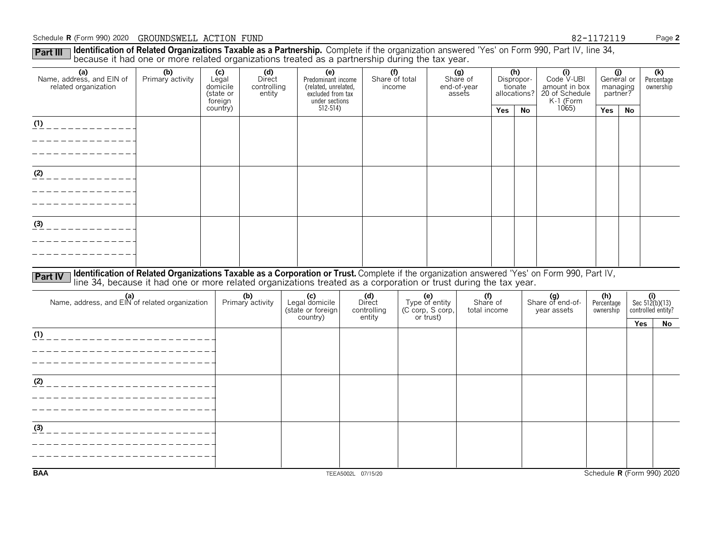### Schedule **R** (Form 990) 2020 Page**<sup>2</sup>** GROUNDSWELL ACTION FUND

Part III Identification of Related Organizations Taxable as a Partnership. Complete if the organization answered 'Yes' on Form 990, Part IV, line 34,<br>because it had one or more related organizations treated as a partnershi D 82-1172119

| (a)<br>Name, address, and EIN of<br>related organization | (b)<br>Primary activity                                                                                                                                                                                                        | (c)<br>Legal<br>domicile<br>(state or<br>foreign | (d)<br>Direct<br>controlling<br>entity |                               | (e)<br>Predominant income<br>(related, unrelated,<br>excluded from tax<br>under sections | $\sim$ power of $\sim$<br>$\overline{(\text{f})}$<br>Share of total<br>income |  |                               | (g)<br>Share of<br>end-of-year<br>assets |     | (h)<br>(i)<br>Code V-UBI<br>Dispropor-<br>tionate<br>amount in box<br>20 of Schedule<br>allocations?<br>K-1 (Form |                         | (j)<br>General or<br>managing<br>partner? |     | (k)<br>Percentage<br>ownership |
|----------------------------------------------------------|--------------------------------------------------------------------------------------------------------------------------------------------------------------------------------------------------------------------------------|--------------------------------------------------|----------------------------------------|-------------------------------|------------------------------------------------------------------------------------------|-------------------------------------------------------------------------------|--|-------------------------------|------------------------------------------|-----|-------------------------------------------------------------------------------------------------------------------|-------------------------|-------------------------------------------|-----|--------------------------------|
|                                                          |                                                                                                                                                                                                                                | country)                                         |                                        |                               | $512 - 514$                                                                              |                                                                               |  |                               |                                          | Yes | No                                                                                                                | 1065                    | Yes                                       | No  |                                |
| $(1)$ _ _ _ _ _ _ _ _ _ _ _ _ _ _                        |                                                                                                                                                                                                                                |                                                  |                                        |                               |                                                                                          |                                                                               |  |                               |                                          |     |                                                                                                                   |                         |                                           |     |                                |
| ____________                                             |                                                                                                                                                                                                                                |                                                  |                                        |                               |                                                                                          |                                                                               |  |                               |                                          |     |                                                                                                                   |                         |                                           |     |                                |
| $\frac{1}{2}$                                            |                                                                                                                                                                                                                                |                                                  |                                        |                               |                                                                                          |                                                                               |  |                               |                                          |     |                                                                                                                   |                         |                                           |     |                                |
|                                                          |                                                                                                                                                                                                                                |                                                  |                                        |                               |                                                                                          |                                                                               |  |                               |                                          |     |                                                                                                                   |                         |                                           |     |                                |
| $(2)$ _ _ _ _ _ _ _ _ _ _ _ _ _                          |                                                                                                                                                                                                                                |                                                  |                                        |                               |                                                                                          |                                                                               |  |                               |                                          |     |                                                                                                                   |                         |                                           |     |                                |
|                                                          |                                                                                                                                                                                                                                |                                                  |                                        |                               |                                                                                          |                                                                               |  |                               |                                          |     |                                                                                                                   |                         |                                           |     |                                |
|                                                          |                                                                                                                                                                                                                                |                                                  |                                        |                               |                                                                                          |                                                                               |  |                               |                                          |     |                                                                                                                   |                         |                                           |     |                                |
| (3)                                                      |                                                                                                                                                                                                                                |                                                  |                                        |                               |                                                                                          |                                                                               |  |                               |                                          |     |                                                                                                                   |                         |                                           |     |                                |
| . _ _ _ _ _ _ _ _ _ _ _ _                                |                                                                                                                                                                                                                                |                                                  |                                        |                               |                                                                                          |                                                                               |  |                               |                                          |     |                                                                                                                   |                         |                                           |     |                                |
|                                                          |                                                                                                                                                                                                                                |                                                  |                                        |                               |                                                                                          |                                                                               |  |                               |                                          |     |                                                                                                                   |                         |                                           |     |                                |
|                                                          |                                                                                                                                                                                                                                |                                                  |                                        |                               |                                                                                          |                                                                               |  |                               |                                          |     |                                                                                                                   |                         |                                           |     |                                |
| <b>Part IV</b>                                           | Identification of Related Organizations Taxable as a Corporation or Trust. Complete if the organization answered 'Yes' on Form 990, Part IV, line 34, because it had one or more related organizations treated as a corporatio |                                                  |                                        |                               |                                                                                          |                                                                               |  |                               |                                          |     |                                                                                                                   |                         |                                           |     |                                |
|                                                          |                                                                                                                                                                                                                                |                                                  |                                        |                               |                                                                                          |                                                                               |  |                               |                                          |     |                                                                                                                   |                         |                                           |     |                                |
| (a)<br>Name, address, and EIN of related organization    |                                                                                                                                                                                                                                |                                                  | (b)<br>Primary activity                |                               | (c)<br>Legal domicile                                                                    | (d)<br>Direct                                                                 |  | (e)<br>Type of entity         | (f)<br>Share of                          |     |                                                                                                                   | (g)<br>Share of end-of- | (h)<br>Percentage                         |     | (i)<br>Sec 512(b)(13)          |
|                                                          |                                                                                                                                                                                                                                |                                                  |                                        | (state or foreign<br>country) |                                                                                          | controlling<br>entity                                                         |  | (C corp, S corp,<br>or trust) | total income                             |     |                                                                                                                   | year assets             | ownership                                 |     | controlled entity?             |
|                                                          |                                                                                                                                                                                                                                |                                                  |                                        |                               |                                                                                          |                                                                               |  |                               |                                          |     |                                                                                                                   |                         |                                           | Yes | No                             |
| <u>(1)</u> ______________________________                |                                                                                                                                                                                                                                |                                                  |                                        |                               |                                                                                          |                                                                               |  |                               |                                          |     |                                                                                                                   |                         |                                           |     |                                |
|                                                          |                                                                                                                                                                                                                                |                                                  |                                        |                               |                                                                                          |                                                                               |  |                               |                                          |     |                                                                                                                   |                         |                                           |     |                                |
|                                                          |                                                                                                                                                                                                                                |                                                  |                                        |                               |                                                                                          |                                                                               |  |                               |                                          |     |                                                                                                                   |                         |                                           |     |                                |
| (2)<br>_________________________                         |                                                                                                                                                                                                                                |                                                  |                                        |                               |                                                                                          |                                                                               |  |                               |                                          |     |                                                                                                                   |                         |                                           |     |                                |
|                                                          |                                                                                                                                                                                                                                |                                                  |                                        |                               |                                                                                          |                                                                               |  |                               |                                          |     |                                                                                                                   |                         |                                           |     |                                |
|                                                          |                                                                                                                                                                                                                                |                                                  |                                        |                               |                                                                                          |                                                                               |  |                               |                                          |     |                                                                                                                   |                         |                                           |     |                                |
| (3)                                                      |                                                                                                                                                                                                                                |                                                  |                                        |                               |                                                                                          |                                                                               |  |                               |                                          |     |                                                                                                                   |                         |                                           |     |                                |
|                                                          |                                                                                                                                                                                                                                |                                                  |                                        |                               |                                                                                          |                                                                               |  |                               |                                          |     |                                                                                                                   |                         |                                           |     |                                |
|                                                          |                                                                                                                                                                                                                                |                                                  |                                        |                               |                                                                                          |                                                                               |  |                               |                                          |     |                                                                                                                   |                         |                                           |     |                                |
|                                                          |                                                                                                                                                                                                                                |                                                  |                                        |                               |                                                                                          |                                                                               |  |                               |                                          |     |                                                                                                                   |                         |                                           |     |                                |
| <b>BAA</b>                                               |                                                                                                                                                                                                                                |                                                  |                                        |                               |                                                                                          | TEEA5002L 07/15/20                                                            |  |                               |                                          |     |                                                                                                                   |                         |                                           |     | Schedule R (Form 990) 2020     |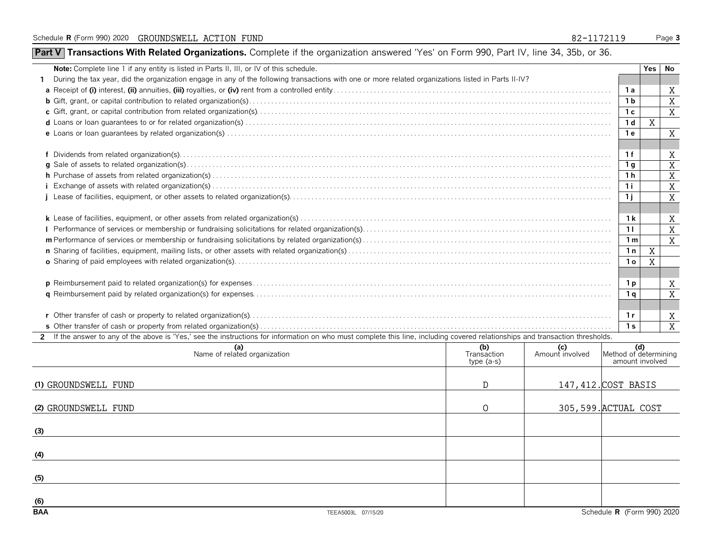**(4)**

**(5)**

**(6) BAA**

## **Part V Transactions With Related Organizations.** Complete if the organization answered 'Yes' on Form 990, Part IV, line 34, 35b, or 36.

|                                                                                                                                                                                                                                                     |             |                        |                       | Yes | No                  |  |  |  |  |  |
|-----------------------------------------------------------------------------------------------------------------------------------------------------------------------------------------------------------------------------------------------------|-------------|------------------------|-----------------------|-----|---------------------|--|--|--|--|--|
| Note: Complete line 1 if any entity is listed in Parts II, III, or IV of this schedule.<br>During the tax year, did the organization engage in any of the following transactions with one or more related organizations listed in Parts II-IV?<br>1 |             |                        |                       |     |                     |  |  |  |  |  |
|                                                                                                                                                                                                                                                     |             |                        |                       |     |                     |  |  |  |  |  |
|                                                                                                                                                                                                                                                     |             |                        | 1 a                   |     | Χ                   |  |  |  |  |  |
|                                                                                                                                                                                                                                                     |             |                        | 1 b                   |     | $\mathbf X$         |  |  |  |  |  |
|                                                                                                                                                                                                                                                     |             |                        | 1 с                   |     | $\overline{X}$      |  |  |  |  |  |
|                                                                                                                                                                                                                                                     |             |                        | 1 <sub>d</sub>        | X   |                     |  |  |  |  |  |
|                                                                                                                                                                                                                                                     |             |                        | 1 е                   |     | X                   |  |  |  |  |  |
|                                                                                                                                                                                                                                                     |             |                        |                       |     |                     |  |  |  |  |  |
|                                                                                                                                                                                                                                                     |             |                        | 1f<br>1 g             |     | Χ<br>$\overline{X}$ |  |  |  |  |  |
|                                                                                                                                                                                                                                                     |             |                        |                       |     |                     |  |  |  |  |  |
|                                                                                                                                                                                                                                                     |             |                        | 1 h                   |     | $\mathbf X$         |  |  |  |  |  |
|                                                                                                                                                                                                                                                     |             |                        | 1i                    |     | X                   |  |  |  |  |  |
|                                                                                                                                                                                                                                                     |             |                        | 1i                    |     | X                   |  |  |  |  |  |
|                                                                                                                                                                                                                                                     |             |                        |                       |     |                     |  |  |  |  |  |
|                                                                                                                                                                                                                                                     |             |                        |                       |     |                     |  |  |  |  |  |
|                                                                                                                                                                                                                                                     |             |                        |                       |     |                     |  |  |  |  |  |
|                                                                                                                                                                                                                                                     |             |                        |                       |     |                     |  |  |  |  |  |
|                                                                                                                                                                                                                                                     |             |                        |                       |     |                     |  |  |  |  |  |
|                                                                                                                                                                                                                                                     |             |                        |                       |     |                     |  |  |  |  |  |
|                                                                                                                                                                                                                                                     |             |                        |                       |     |                     |  |  |  |  |  |
|                                                                                                                                                                                                                                                     |             |                        | 1 p                   |     | Χ                   |  |  |  |  |  |
|                                                                                                                                                                                                                                                     |             |                        | 1 g                   |     | X                   |  |  |  |  |  |
|                                                                                                                                                                                                                                                     |             |                        |                       |     |                     |  |  |  |  |  |
|                                                                                                                                                                                                                                                     |             |                        | 1r                    |     | Χ                   |  |  |  |  |  |
|                                                                                                                                                                                                                                                     |             |                        | 1 <sub>s</sub>        |     | X                   |  |  |  |  |  |
| 2 If the answer to any of the above is 'Yes,' see the instructions for information on who must complete this line, including covered relationships and transaction thresholds.                                                                      |             |                        |                       |     |                     |  |  |  |  |  |
|                                                                                                                                                                                                                                                     | (b)         |                        |                       |     |                     |  |  |  |  |  |
| (a)<br>Name of related organization                                                                                                                                                                                                                 | Transaction | (c)<br>Amount involved | Method of determining |     |                     |  |  |  |  |  |
|                                                                                                                                                                                                                                                     | $type(a-s)$ |                        | amount involved       |     |                     |  |  |  |  |  |
|                                                                                                                                                                                                                                                     |             |                        |                       |     |                     |  |  |  |  |  |
| (1) GROUNDSWELL FUND                                                                                                                                                                                                                                | D           | 147, 412. COST BASIS   |                       |     |                     |  |  |  |  |  |
|                                                                                                                                                                                                                                                     |             |                        |                       |     |                     |  |  |  |  |  |
| (2) GROUNDSWELL FUND<br>305,599. ACTUAL COST<br>0                                                                                                                                                                                                   |             |                        |                       |     |                     |  |  |  |  |  |
|                                                                                                                                                                                                                                                     |             |                        |                       |     |                     |  |  |  |  |  |
| (3)                                                                                                                                                                                                                                                 |             |                        |                       |     |                     |  |  |  |  |  |
|                                                                                                                                                                                                                                                     |             |                        |                       |     |                     |  |  |  |  |  |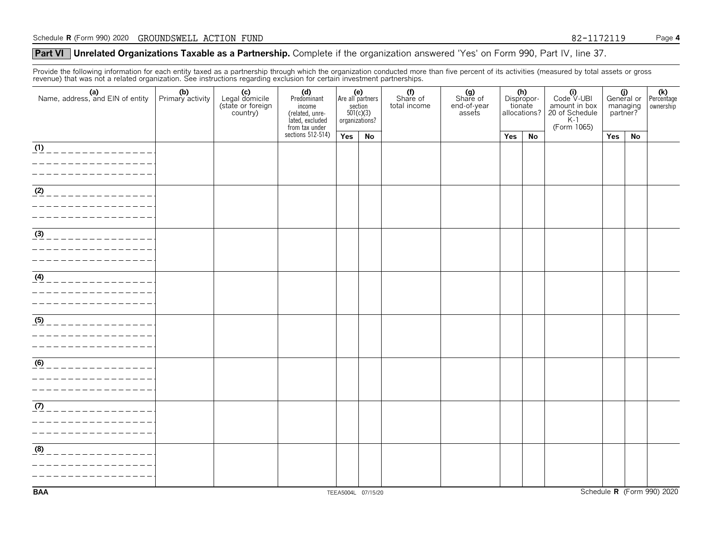### **Part VI** Unrelated Organizations Taxable as a Partnership. Complete if the organization answered 'Yes' on Form 990, Part IV, line 37.

Provide the following information for each entity taxed as a partnership through which the organization conducted more than five percent of its activities (measured by total assets or gross<br>revenue) that was not a related

| $\overline{\phantom{a}}$<br>$\tilde{\phantom{a}}$           | $\tilde{\phantom{a}}$                                  |                                                                    |                                                                                 |    |                          |                                          |                                              |    |                                                                                |                                             |    |                                |
|-------------------------------------------------------------|--------------------------------------------------------|--------------------------------------------------------------------|---------------------------------------------------------------------------------|----|--------------------------|------------------------------------------|----------------------------------------------|----|--------------------------------------------------------------------------------|---------------------------------------------|----|--------------------------------|
| (a)<br>Name, address, and EIN of entity<br>Primary activity | (c)<br>Legal domicile<br>(state or foreign<br>country) | (d)<br>Predominant<br>income<br>(related, unre-<br>lated, excluded | (e)<br>Are all partners<br>$\frac{\text{section}}{501(c)(3)}$<br>organizations? |    | Share of<br>total income | (g)<br>Share of<br>end-of-year<br>assets | (h)<br>Dispropor-<br>tionate<br>allocations? |    | $(i)$<br>Code V-UBI<br>amount in box<br>20 of Schedule<br>$K-1$<br>(Form 1065) | $(i)$<br>General or<br>managing<br>partner? |    | (k)<br>Percentage<br>ownership |
|                                                             |                                                        | from tax under<br>sections 512-514)                                | Yes                                                                             | No |                          |                                          | Yes                                          | No |                                                                                | Yes                                         | No |                                |
| $\overline{(\mathbf{1})}$<br>_____________                  |                                                        |                                                                    |                                                                                 |    |                          |                                          |                                              |    |                                                                                |                                             |    |                                |
| (2)                                                         |                                                        |                                                                    |                                                                                 |    |                          |                                          |                                              |    |                                                                                |                                             |    |                                |
| $\frac{(3)}{2}$                                             |                                                        |                                                                    |                                                                                 |    |                          |                                          |                                              |    |                                                                                |                                             |    |                                |
| $\frac{4}{9}$<br>_____________                              |                                                        |                                                                    |                                                                                 |    |                          |                                          |                                              |    |                                                                                |                                             |    |                                |
| $\overline{(5)}$                                            |                                                        |                                                                    |                                                                                 |    |                          |                                          |                                              |    |                                                                                |                                             |    |                                |
| $\underline{(6)}$<br>____________                           |                                                        |                                                                    |                                                                                 |    |                          |                                          |                                              |    |                                                                                |                                             |    |                                |
| $\sqrt{7}$<br>. _ _ _ _ _ _ _ _ _ _ _ _                     |                                                        |                                                                    |                                                                                 |    |                          |                                          |                                              |    |                                                                                |                                             |    |                                |
| $\frac{1}{(8)}$                                             |                                                        |                                                                    |                                                                                 |    |                          |                                          |                                              |    |                                                                                |                                             |    |                                |

**BAA**